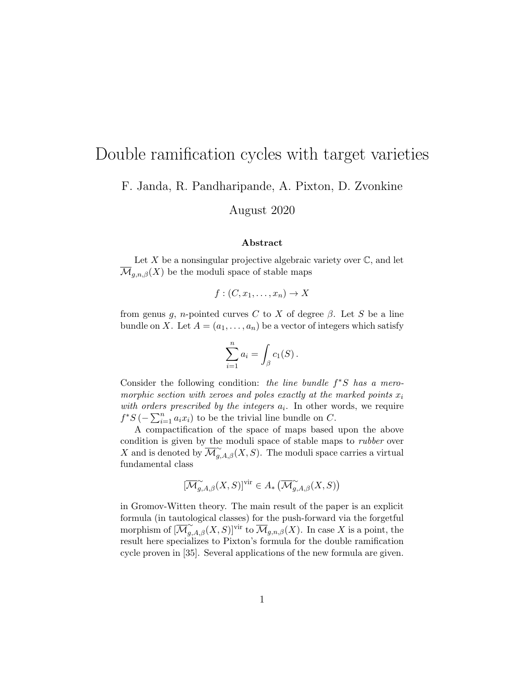# Double ramification cycles with target varieties

F. Janda, R. Pandharipande, A. Pixton, D. Zvonkine

August 2020

#### Abstract

Let X be a nonsingular projective algebraic variety over  $\mathbb{C}$ , and let  $\overline{\mathcal{M}}_{g,n,\beta}(X)$  be the moduli space of stable maps

 $f:(C, x_1, \ldots, x_n) \to X$ 

from genus g, n-pointed curves C to X of degree  $\beta$ . Let S be a line bundle on X. Let  $A = (a_1, \ldots, a_n)$  be a vector of integers which satisfy

$$
\sum_{i=1}^n a_i = \int_{\beta} c_1(S) .
$$

Consider the following condition: the line bundle  $f^*S$  has a meromorphic section with zeroes and poles exactly at the marked points  $x_i$ with orders prescribed by the integers  $a_i$ . In other words, we require  $f^*S$  ( $-\sum_{i=1}^n a_i x_i$ ) to be the trivial line bundle on C.

A compactification of the space of maps based upon the above condition is given by the moduli space of stable maps to *rubber* over X and is denoted by  $\overline{\mathcal{M}}_{g,A,\beta}^{\sim}(X, S)$ . The moduli space carries a virtual fundamental class

$$
[\overline{\mathcal{M}}^\sim_{g,A,\beta}(X,S)]^\mathrm{vir}\in A_*\left(\overline{\mathcal{M}}^\sim_{g,A,\beta}(X,S)\right)
$$

in Gromov-Witten theory. The main result of the paper is an explicit formula (in tautological classes) for the push-forward via the forgetful morphism of  $\widetilde{[M_{g,A,\beta}^{\sim}(X,S)]}$ <sup>vir</sup> to  $\overline{\mathcal{M}}_{g,n,\beta}(X)$ . In case X is a point, the result here specializes to Pixton's formula for the double ramification cycle proven in [35]. Several applications of the new formula are given.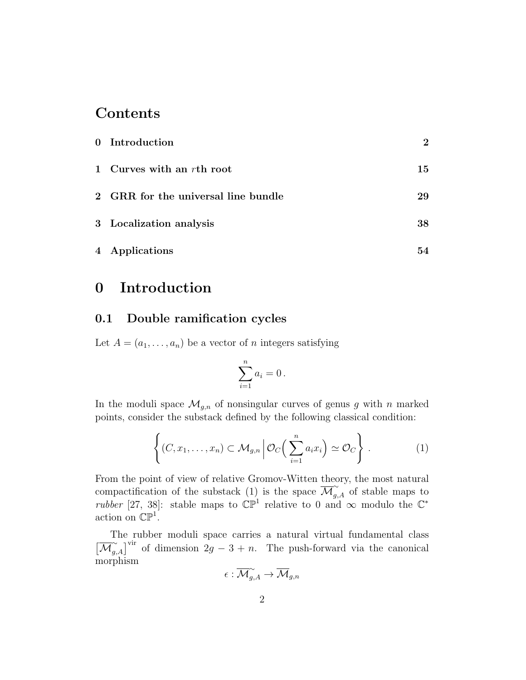# Contents

| 0 Introduction                      | $\bf{2}$ |
|-------------------------------------|----------|
| 1 Curves with an $r$ th root        | 15       |
| 2 GRR for the universal line bundle | 29       |
| 3 Localization analysis             | 38       |
| 4 Applications                      | 54       |

# 0 Introduction

### 0.1 Double ramification cycles

Let  $A = (a_1, \ldots, a_n)$  be a vector of n integers satisfying

$$
\sum_{i=1}^n a_i = 0.
$$

In the moduli space  $\mathcal{M}_{g,n}$  of nonsingular curves of genus g with n marked points, consider the substack defined by the following classical condition:

$$
\left\{ (C, x_1, \dots, x_n) \subset \mathcal{M}_{g,n} \, \middle| \, \mathcal{O}_C\Big(\sum_{i=1}^n a_i x_i\Big) \simeq \mathcal{O}_C \right\} \, . \tag{1}
$$

From the point of view of relative Gromov-Witten theory, the most natural compactification of the substack (1) is the space  $\overline{\mathcal{M}}_{g,A}^{\sim}$  of stable maps to rubber [27, 38]: stable maps to  $\mathbb{CP}^1$  relative to 0 and  $\infty$  modulo the  $\mathbb{C}^*$ action on  $\mathbb{CP}^1$ .

The rubber moduli space carries a natural virtual fundamental class  $\left[\overline{\mathcal{M}}_{g,A}^{\sim}\right]^{vir}$  of dimension  $2g-3+n$ . The push-forward via the canonical morphism

$$
\epsilon: \overline{\mathcal{M}}_{g, A}^{\sim} \to \overline{\mathcal{M}}_{g, n}
$$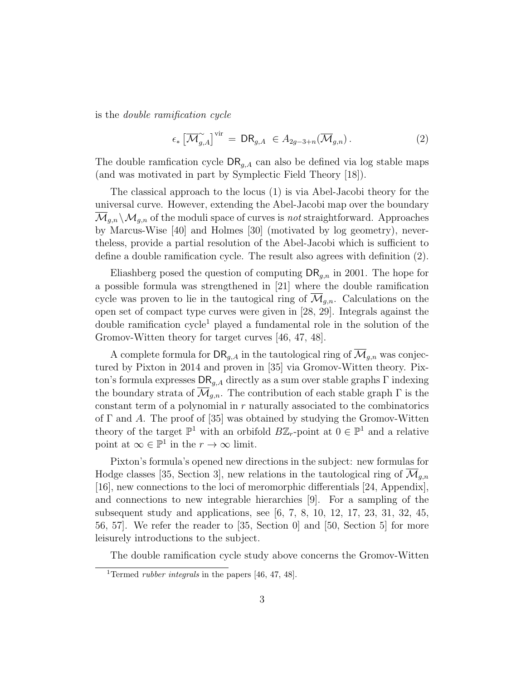is the double ramification cycle

$$
\epsilon_* \left[ \overline{\mathcal{M}}_{g,A}^{\sim} \right]^{vir} = \mathsf{DR}_{g,A} \ \in A_{2g-3+n}(\overline{\mathcal{M}}_{g,n}). \tag{2}
$$

The double ramfication cycle  $\textsf{DR}_{g,A}$  can also be defined via log stable maps (and was motivated in part by Symplectic Field Theory [18]).

The classical approach to the locus (1) is via Abel-Jacobi theory for the universal curve. However, extending the Abel-Jacobi map over the boundary  $\mathcal{M}_{q,n} \setminus \mathcal{M}_{q,n}$  of the moduli space of curves is not straightforward. Approaches by Marcus-Wise [40] and Holmes [30] (motivated by log geometry), nevertheless, provide a partial resolution of the Abel-Jacobi which is sufficient to define a double ramification cycle. The result also agrees with definition (2).

Eliashberg posed the question of computing  $\textsf{DR}_{g,n}$  in 2001. The hope for a possible formula was strengthened in [21] where the double ramification cycle was proven to lie in the tautogical ring of  $\overline{\mathcal{M}}_{q,n}$ . Calculations on the open set of compact type curves were given in [28, 29]. Integrals against the double ramification cycle<sup>1</sup> played a fundamental role in the solution of the Gromov-Witten theory for target curves [46, 47, 48].

A complete formula for  $\textsf{DR}_{g,A}$  in the tautological ring of  $\overline{\mathcal{M}}_{g,n}$  was conjectured by Pixton in 2014 and proven in [35] via Gromov-Witten theory. Pixton's formula expresses  $\textsf{DR}_{q,A}$  directly as a sum over stable graphs  $\Gamma$  indexing the boundary strata of  $\mathcal{M}_{g,n}$ . The contribution of each stable graph  $\Gamma$  is the constant term of a polynomial in  $r$  naturally associated to the combinatorics of  $\Gamma$  and A. The proof of [35] was obtained by studying the Gromov-Witten theory of the target  $\mathbb{P}^1$  with an orbifold  $B\mathbb{Z}_r$ -point at  $0 \in \mathbb{P}^1$  and a relative point at  $\infty \in \mathbb{P}^1$  in the  $r \to \infty$  limit.

Pixton's formula's opened new directions in the subject: new formulas for Hodge classes [35, Section 3], new relations in the tautological ring of  $\overline{\mathcal{M}}_{g,n}$ [16], new connections to the loci of meromorphic differentials [24, Appendix], and connections to new integrable hierarchies [9]. For a sampling of the subsequent study and applications, see [6, 7, 8, 10, 12, 17, 23, 31, 32, 45, 56, 57]. We refer the reader to [35, Section 0] and [50, Section 5] for more leisurely introductions to the subject.

The double ramification cycle study above concerns the Gromov-Witten

<sup>&</sup>lt;sup>1</sup>Termed *rubber integrals* in the papers [46, 47, 48].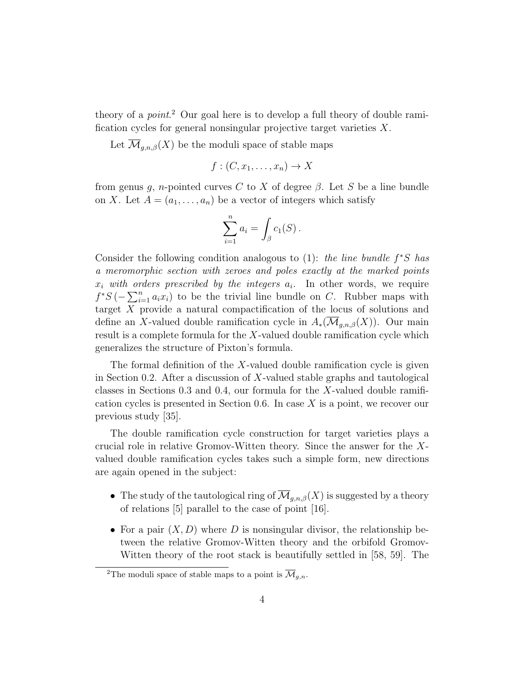theory of a *point*.<sup>2</sup> Our goal here is to develop a full theory of double ramification cycles for general nonsingular projective target varieties  $X$ .

Let  $\overline{\mathcal{M}}_{g,n,\beta}(X)$  be the moduli space of stable maps

$$
f:(C,x_1,\ldots,x_n)\to X
$$

from genus g, n-pointed curves C to X of degree  $\beta$ . Let S be a line bundle on X. Let  $A = (a_1, \ldots, a_n)$  be a vector of integers which satisfy

$$
\sum_{i=1}^n a_i = \int_{\beta} c_1(S) .
$$

Consider the following condition analogous to  $(1)$ : the line bundle  $f^*S$  has a meromorphic section with zeroes and poles exactly at the marked points  $x_i$  with orders prescribed by the integers  $a_i$ . In other words, we require  $f^*S(-\sum_{i=1}^n a_i x_i)$  to be the trivial line bundle on C. Rubber maps with target X provide a natural compactification of the locus of solutions and define an X-valued double ramification cycle in  $A_*(\overline{\mathcal{M}}_{q,n,\beta}(X))$ . Our main result is a complete formula for the  $X$ -valued double ramification cycle which generalizes the structure of Pixton's formula.

The formal definition of the  $X$ -valued double ramification cycle is given in Section 0.2. After a discussion of  $X$ -valued stable graphs and tautological classes in Sections 0.3 and 0.4, our formula for the  $X$ -valued double ramification cycles is presented in Section 0.6. In case X is a point, we recover our previous study [35].

The double ramification cycle construction for target varieties plays a crucial role in relative Gromov-Witten theory. Since the answer for the Xvalued double ramification cycles takes such a simple form, new directions are again opened in the subject:

- The study of the tautological ring of  $\overline{\mathcal{M}}_{q,n,\beta}(X)$  is suggested by a theory of relations [5] parallel to the case of point [16].
- For a pair  $(X, D)$  where D is nonsingular divisor, the relationship between the relative Gromov-Witten theory and the orbifold Gromov-Witten theory of the root stack is beautifully settled in [58, 59]. The

<sup>&</sup>lt;sup>2</sup>The moduli space of stable maps to a point is  $\overline{\mathcal{M}}_{q,n}$ .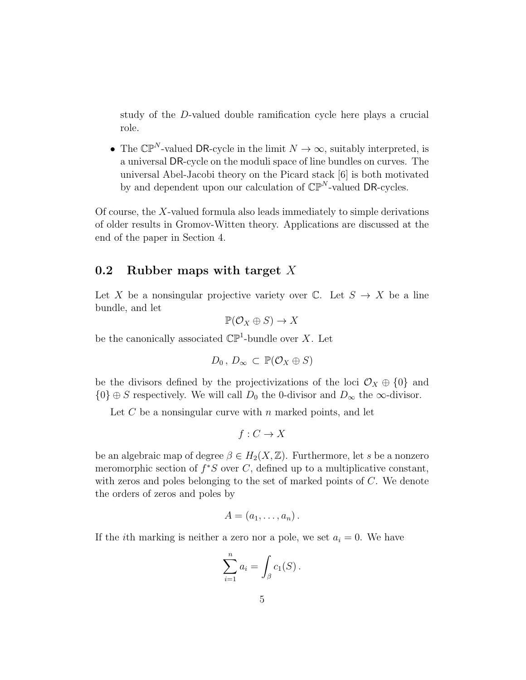study of the D-valued double ramification cycle here plays a crucial role.

• The  $\mathbb{CP}^N$ -valued DR-cycle in the limit  $N \to \infty$ , suitably interpreted, is a universal DR-cycle on the moduli space of line bundles on curves. The universal Abel-Jacobi theory on the Picard stack [6] is both motivated by and dependent upon our calculation of  $\mathbb{CP}^N$ -valued DR-cycles.

Of course, the X-valued formula also leads immediately to simple derivations of older results in Gromov-Witten theory. Applications are discussed at the end of the paper in Section 4.

### 0.2 Rubber maps with target X

Let X be a nonsingular projective variety over  $\mathbb{C}$ . Let  $S \to X$  be a line bundle, and let

$$
\mathbb{P}(\mathcal{O}_X \oplus S) \to X
$$

be the canonically associated  $\mathbb{CP}^1$ -bundle over X. Let

$$
D_0, D_{\infty} \subset \mathbb{P}(\mathcal{O}_X \oplus S)
$$

be the divisors defined by the projectivizations of the loci  $\mathcal{O}_X \oplus \{0\}$  and  ${0} \oplus S$  respectively. We will call  $D_0$  the 0-divisor and  $D_{\infty}$  the  $\infty$ -divisor.

Let C be a nonsingular curve with n marked points, and let

$$
f: C \to X
$$

be an algebraic map of degree  $\beta \in H_2(X, \mathbb{Z})$ . Furthermore, let s be a nonzero meromorphic section of  $f^*S$  over C, defined up to a multiplicative constant, with zeros and poles belonging to the set of marked points of C. We denote the orders of zeros and poles by

$$
A=(a_1,\ldots,a_n).
$$

If the *i*th marking is neither a zero nor a pole, we set  $a_i = 0$ . We have

$$
\sum_{i=1}^n a_i = \int_{\beta} c_1(S) .
$$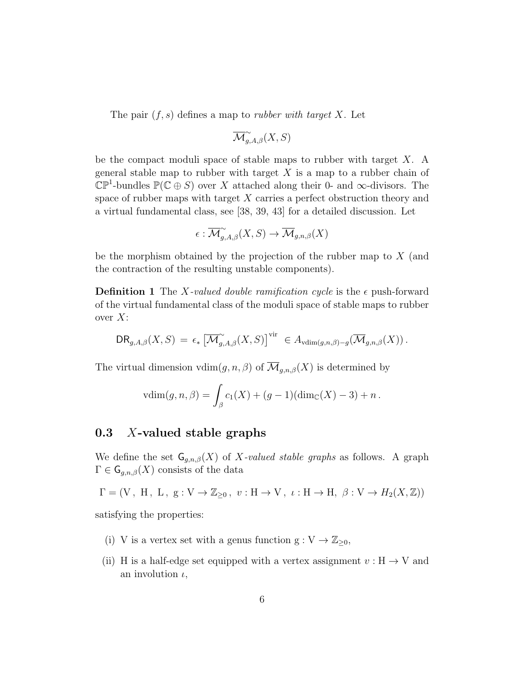The pair  $(f, s)$  defines a map to *rubber with target X*. Let

$$
\overline{\mathcal{M}}_{g,A,\beta}^{\sim}(X,S)
$$

be the compact moduli space of stable maps to rubber with target  $X$ . A general stable map to rubber with target  $X$  is a map to a rubber chain of  $\mathbb{CP}^1$ -bundles  $\mathbb{P}(\mathbb{C} \oplus S)$  over X attached along their 0- and  $\infty$ -divisors. The space of rubber maps with target  $X$  carries a perfect obstruction theory and a virtual fundamental class, see [38, 39, 43] for a detailed discussion. Let

$$
\epsilon: \overline{\mathcal{M}}_{g,A,\beta}^{\sim}(X,S)\rightarrow \overline{\mathcal{M}}_{g,n,\beta}(X)
$$

be the morphism obtained by the projection of the rubber map to  $X$  (and the contraction of the resulting unstable components).

**Definition 1** The X-valued double ramification cycle is the  $\epsilon$  push-forward of the virtual fundamental class of the moduli space of stable maps to rubber over  $X$ :

$$
\mathsf{DR}_{g,A,\beta}(X,S) = \epsilon_* \left[ \overline{\mathcal{M}}_{g,A,\beta}^{\sim}(X,S) \right]^{\text{vir}} \in A_{\text{vdim}(g,n,\beta)-g}(\overline{\mathcal{M}}_{g,n,\beta}(X)).
$$

The virtual dimension  $\text{vdim}(g, n, \beta)$  of  $\overline{\mathcal{M}}_{q,n,\beta}(X)$  is determined by

$$
vdim(g, n, \beta) = \int_{\beta} c_1(X) + (g - 1)(dim_{\mathbb{C}}(X) - 3) + n.
$$

### 0.3 X-valued stable graphs

We define the set  $\mathsf{G}_{g,n,\beta}(X)$  of X-valued stable graphs as follows. A graph  $\Gamma \in \mathsf{G}_{g,n,\beta}(X)$  consists of the data

$$
\Gamma=(V\,,\,\,H\,,\,\,L\,,\,\,g:V\rightarrow\mathbb{Z}_{\geq0}\,,\,\,v:H\rightarrow V\,,\,\,\iota:H\rightarrow H,\,\,\beta:V\rightarrow H_2(X,\mathbb{Z}))
$$

satisfying the properties:

- (i) V is a vertex set with a genus function  $g: V \to \mathbb{Z}_{\geq 0}$ ,
- (ii) H is a half-edge set equipped with a vertex assignment  $v : H \to V$  and an involution  $\iota$ ,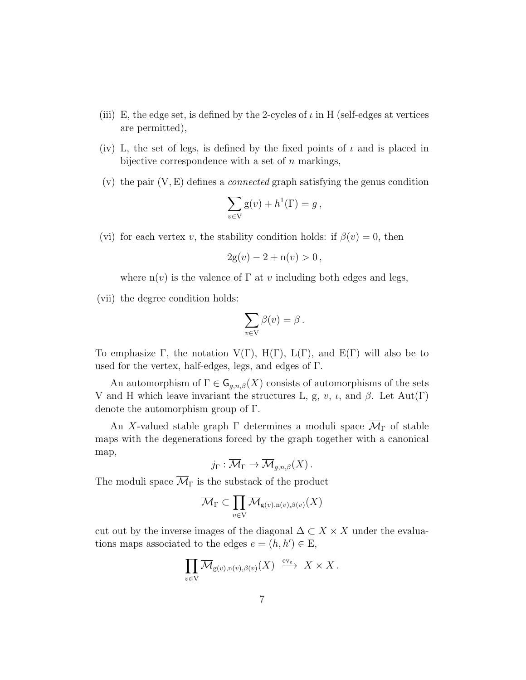- (iii) E, the edge set, is defined by the 2-cycles of  $\iota$  in H (self-edges at vertices are permitted),
- (iv) L, the set of legs, is defined by the fixed points of  $\iota$  and is placed in bijective correspondence with a set of  $n$  markings,
- (v) the pair  $(V, E)$  defines a *connected* graph satisfying the genus condition

$$
\sum_{v \in V} g(v) + h^{1}(\Gamma) = g,
$$

(vi) for each vertex v, the stability condition holds: if  $\beta(v) = 0$ , then

$$
2g(v) - 2 + n(v) > 0,
$$

where  $n(v)$  is the valence of  $\Gamma$  at v including both edges and legs,

(vii) the degree condition holds:

$$
\sum_{v \in V} \beta(v) = \beta.
$$

To emphasize  $\Gamma$ , the notation  $V(\Gamma)$ ,  $H(\Gamma)$ ,  $L(\Gamma)$ , and  $E(\Gamma)$  will also be to used for the vertex, half-edges, legs, and edges of Γ.

An automorphism of  $\Gamma \in \mathsf{G}_{g,n,\beta}(X)$  consists of automorphisms of the sets V and H which leave invariant the structures L, g, v,  $\iota$ , and  $\beta$ . Let Aut(Γ) denote the automorphism group of Γ.

An X-valued stable graph  $\Gamma$  determines a moduli space  $\overline{\mathcal{M}}_{\Gamma}$  of stable maps with the degenerations forced by the graph together with a canonical map,

$$
j_{\Gamma}: \overline{\mathcal{M}}_{\Gamma} \to \overline{\mathcal{M}}_{g,n,\beta}(X) .
$$

The moduli space  $\overline{\mathcal{M}}_{\Gamma}$  is the substack of the product

$$
\overline{\mathcal{M}}_{\Gamma} \subset \prod_{v \in V} \overline{\mathcal{M}}_{g(v),n(v),\beta(v)}(X)
$$

cut out by the inverse images of the diagonal  $\Delta \subset X \times X$  under the evaluations maps associated to the edges  $e = (h, h') \in E$ ,

$$
\prod_{v \in V} \overline{\mathcal{M}}_{g(v),n(v),\beta(v)}(X) \stackrel{\text{ev}_e}{\longrightarrow} X \times X.
$$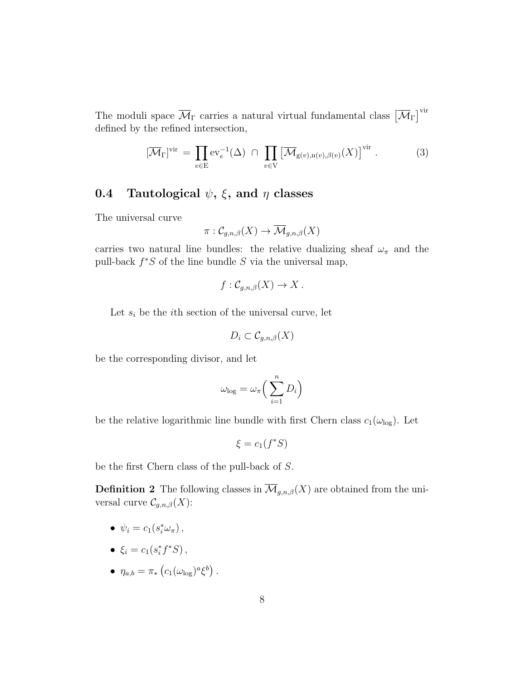The moduli space  $\overline{\mathcal{M}}_{\Gamma}$  carries a natural virtual fundamental class  $\left[\overline{\mathcal{M}}_{\Gamma}\right]^{\text{vir}}$ defined by the refined intersection,

$$
[\overline{\mathcal{M}}_{\Gamma}]^{\text{vir}} = \prod_{e \in E} \text{ev}_e^{-1}(\Delta) \cap \prod_{v \in V} [\overline{\mathcal{M}}_{g(v),n(v),\beta(v)}(X)]^{\text{vir}}.
$$
 (3)

### 0.4 Tautological  $\psi$ ,  $\xi$ , and  $\eta$  classes

The universal curve

$$
\pi: \mathcal{C}_{g,n,\beta}(X) \to \overline{\mathcal{M}}_{g,n,\beta}(X)
$$

carries two natural line bundles: the relative dualizing sheaf  $\omega_{\pi}$  and the pull-back  $f^*S$  of the line bundle S via the universal map,

$$
f: \mathcal{C}_{g,n,\beta}(X) \to X.
$$

Let  $s_i$  be the *i*th section of the universal curve, let

$$
D_i \subset \mathcal{C}_{g,n,\beta}(X)
$$

be the corresponding divisor, and let

$$
\omega_{\log} = \omega_{\pi} \left( \sum_{i=1}^{n} D_i \right)
$$

be the relative logarithmic line bundle with first Chern class  $c_1(\omega_{\text{log}})$ . Let

$$
\xi = c_1(f^*S)
$$

be the first Chern class of the pull-back of S.

**Definition 2** The following classes in  $\overline{\mathcal{M}}_{g,n,\beta}(X)$  are obtained from the universal curve  $\mathcal{C}_{g,n,\beta}(X)$ :

- $\psi_i = c_1(s_i^*\omega_\pi),$
- $\xi_i = c_1(s_i^* f^* S)$ ,
- $\eta_{a,b} = \pi_* \left( c_1(\omega_{\log})^a \xi^b \right).$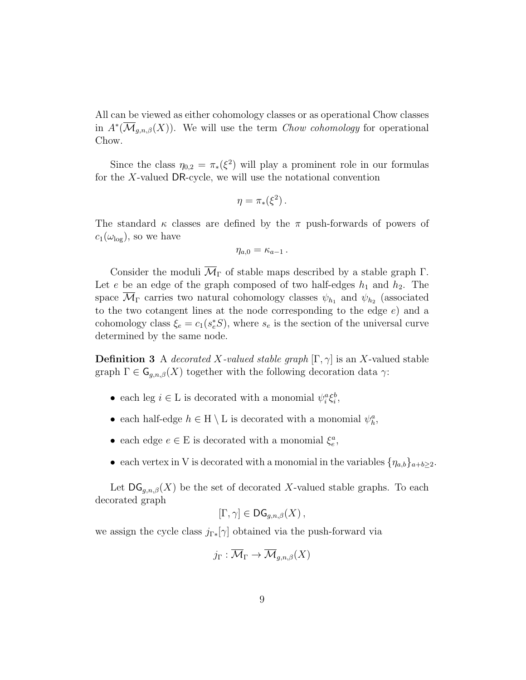All can be viewed as either cohomology classes or as operational Chow classes in  $A^*(\overline{\mathcal{M}}_{g,n,\beta}(X))$ . We will use the term *Chow cohomology* for operational Chow.

Since the class  $\eta_{0,2} = \pi_*(\xi^2)$  will play a prominent role in our formulas for the X-valued DR-cycle, we will use the notational convention

$$
\eta = \pi_*(\xi^2).
$$

The standard  $\kappa$  classes are defined by the  $\pi$  push-forwards of powers of  $c_1(\omega_{\text{log}})$ , so we have

$$
\eta_{a,0}=\kappa_{a-1}\,.
$$

Consider the moduli  $\overline{\mathcal{M}}_{\Gamma}$  of stable maps described by a stable graph  $\Gamma$ . Let e be an edge of the graph composed of two half-edges  $h_1$  and  $h_2$ . The space  $\mathcal{M}_{\Gamma}$  carries two natural cohomology classes  $\psi_{h_1}$  and  $\psi_{h_2}$  (associated to the two cotangent lines at the node corresponding to the edge  $e$ ) and a cohomology class  $\xi_e = c_1(s_e^*S)$ , where  $s_e$  is the section of the universal curve determined by the same node.

**Definition 3** A decorated X-valued stable graph  $[\Gamma, \gamma]$  is an X-valued stable graph  $\Gamma \in \mathsf{G}_{q,n,\beta}(X)$  together with the following decoration data  $\gamma$ :

- each leg  $i \in L$  is decorated with a monomial  $\psi_i^a \xi_i^b$ ,
- each half-edge  $h \in H \setminus L$  is decorated with a monomial  $\psi_h^a$ ,
- each edge  $e \in E$  is decorated with a monomial  $\xi_e^a$ ,
- each vertex in V is decorated with a monomial in the variables  $\{\eta_{a,b}\}_{a+b\geq 2}$ .

Let  $DG_{g,n,\beta}(X)$  be the set of decorated X-valued stable graphs. To each decorated graph

$$
[\Gamma, \gamma] \in \mathsf{DG}_{g,n,\beta}(X)\,,
$$

we assign the cycle class  $j_{\Gamma*}[\gamma]$  obtained via the push-forward via

$$
j_{\Gamma}: \overline{\mathcal{M}}_{\Gamma} \to \overline{\mathcal{M}}_{g,n,\beta}(X)
$$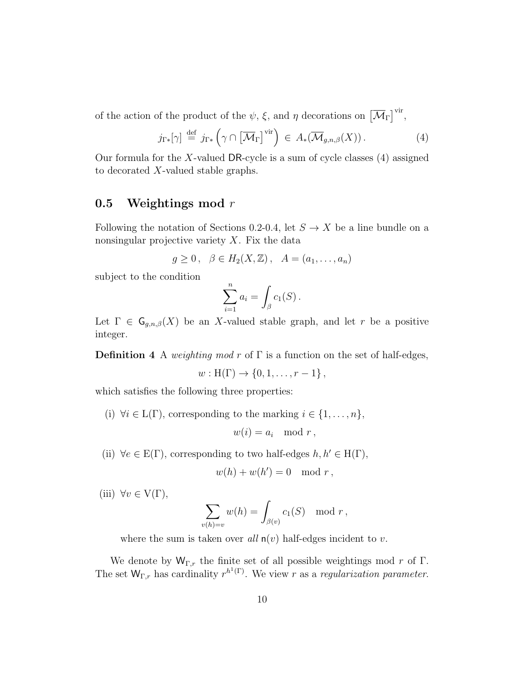of the action of the product of the  $\psi$ ,  $\xi$ , and  $\eta$  decorations on  $\left[\overline{\mathcal{M}}_{\Gamma}\right]^{\text{vir}}$ ,

$$
j_{\Gamma*}[\gamma] \stackrel{\text{def}}{=} j_{\Gamma*} \left( \gamma \cap [\overline{\mathcal{M}}_{\Gamma}]^{\text{vir}} \right) \in A_*(\overline{\mathcal{M}}_{g,n,\beta}(X)). \tag{4}
$$

Our formula for the X-valued DR-cycle is a sum of cycle classes  $(4)$  assigned to decorated X-valued stable graphs.

### 0.5 Weightings mod  $r$

Following the notation of Sections 0.2-0.4, let  $S \to X$  be a line bundle on a nonsingular projective variety  $X$ . Fix the data

$$
g\geq 0\,,\quad \beta\in H_2(X,\mathbb{Z})\,,\quad A=(a_1,\ldots,a_n)
$$

subject to the condition

$$
\sum_{i=1}^n a_i = \int_{\beta} c_1(S) .
$$

Let  $\Gamma \in \mathsf{G}_{g,n,\beta}(X)$  be an X-valued stable graph, and let r be a positive integer.

**Definition 4** A weighting mod r of  $\Gamma$  is a function on the set of half-edges,

$$
w: H(\Gamma) \to \{0, 1, \ldots, r-1\},\,
$$

which satisfies the following three properties:

(i)  $\forall i \in L(\Gamma)$ , corresponding to the marking  $i \in \{1, \ldots, n\}$ ,

$$
w(i) = a_i \mod r,
$$

(ii)  $\forall e \in E(\Gamma)$ , corresponding to two half-edges  $h, h' \in H(\Gamma)$ ,

$$
w(h) + w(h') = 0 \mod r,
$$

(iii)  $\forall v \in V(\Gamma)$ ,

$$
\sum_{v(h)=v} w(h) = \int_{\beta(v)} c_1(S) \mod r,
$$

where the sum is taken over all  $n(v)$  half-edges incident to v.

We denote by  $W_{\Gamma,r}$  the finite set of all possible weightings mod r of  $\Gamma$ . The set  $W_{\Gamma,r}$  has cardinality  $r^{h^1(\Gamma)}$ . We view r as a regularization parameter.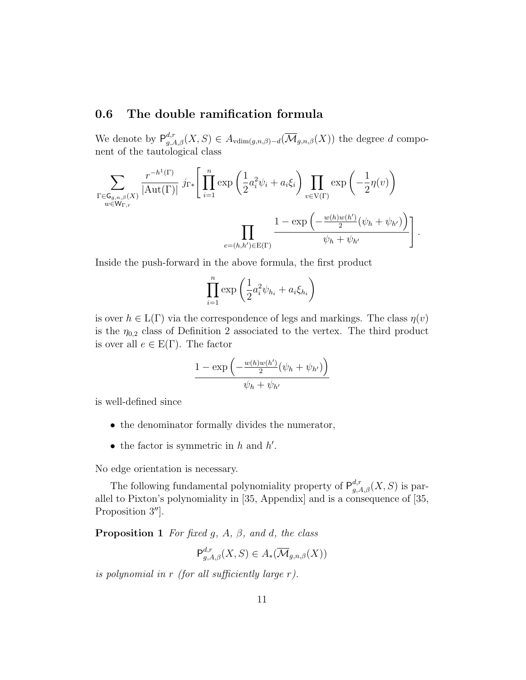### 0.6 The double ramification formula

We denote by  $P_{g,A,\beta}^{d,r}(X, S) \in A_{\text{vdim}(g,n,\beta)-d}(\overline{\mathcal{M}}_{g,n,\beta}(X))$  the degree d component of the tautological class

$$
\sum_{\substack{\Gamma \in \mathsf{G}_{g,n,\beta}(X) \\ w \in \mathsf{W}_{\Gamma,r}}} \frac{r^{-h^1(\Gamma)}}{|\mathrm{Aut}(\Gamma)|} j_{\Gamma*} \left[ \prod_{i=1}^n \exp\left(\frac{1}{2} a_i^2 \psi_i + a_i \xi_i\right) \prod_{v \in \mathrm{V}(\Gamma)} \exp\left(-\frac{1}{2} \eta(v)\right) \right] \prod_{\substack{w \in \mathrm{W}_{\Gamma,r}}} \frac{1 - \exp\left(-\frac{w(h)w(h')}{2} (\psi_h + \psi_{h'})\right)}{\psi_h + \psi_{h'}} \right].
$$

Inside the push-forward in the above formula, the first product

$$
\prod_{i=1}^n \exp\left(\frac{1}{2}a_i^2 \psi_{h_i} + a_i \xi_{h_i}\right)
$$

is over  $h \in L(\Gamma)$  via the correspondence of legs and markings. The class  $\eta(v)$ is the  $\eta_{0,2}$  class of Definition 2 associated to the vertex. The third product is over all  $e \in E(\Gamma)$ . The factor

$$
\frac{1 - \exp\left(-\frac{w(h)w(h')}{2}(\psi_h + \psi_{h'})\right)}{\psi_h + \psi_{h'}}
$$

is well-defined since

- the denominator formally divides the numerator,
- the factor is symmetric in  $h$  and  $h'$ .

No edge orientation is necessary.

The following fundamental polynomiality property of  $P_{g,A,\beta}^{d,r}(X, S)$  is parallel to Pixton's polynomiality in [35, Appendix] and is a consequence of [35, Proposition  $3^{\prime\prime}$ .

**Proposition 1** For fixed g, A,  $\beta$ , and d, the class

$$
\mathsf{P}^{d,r}_{g,A,\beta}(X,S) \in A_*(\overline{\mathcal{M}}_{g,n,\beta}(X))
$$

is polynomial in  $r$  (for all sufficiently large  $r$ ).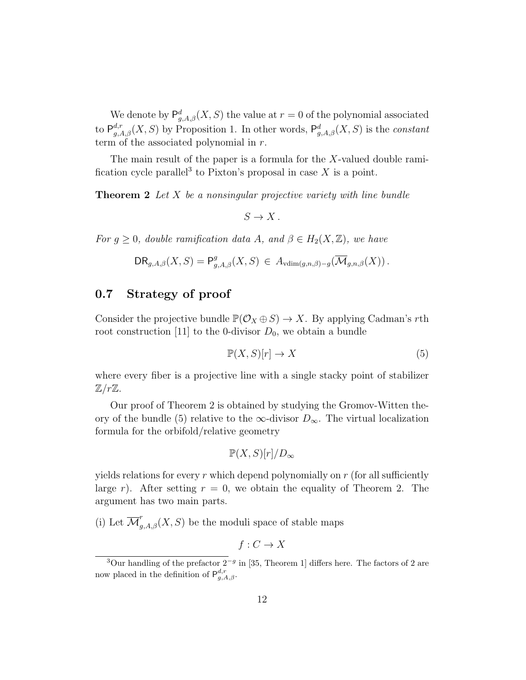We denote by  $P_{g,A,\beta}^d(X, S)$  the value at  $r = 0$  of the polynomial associated to  $P_{g,A,\beta}^{d,r}(X, S)$  by Proposition 1. In other words,  $P_{g,A,\beta}^{d}(X, S)$  is the *constant* term of the associated polynomial in r.

The main result of the paper is a formula for the  $X$ -valued double ramification cycle parallel<sup>3</sup> to Pixton's proposal in case  $X$  is a point.

**Theorem 2** Let  $X$  be a nonsingular projective variety with line bundle

 $S \to X$ .

For  $g \geq 0$ , double ramification data A, and  $\beta \in H_2(X, \mathbb{Z})$ , we have

$$
\mathsf{DR}_{g,A,\beta}(X,S) = \mathsf{P}^g_{g,A,\beta}(X,S) \in A_{\text{vdim}(g,n,\beta)-g}(\overline{\mathcal{M}}_{g,n,\beta}(X)).
$$

### 0.7 Strategy of proof

Consider the projective bundle  $\mathbb{P}(\mathcal{O}_X \oplus S) \to X$ . By applying Cadman's rth root construction [11] to the 0-divisor  $D_0$ , we obtain a bundle

$$
\mathbb{P}(X, S)[r] \to X \tag{5}
$$

where every fiber is a projective line with a single stacky point of stabilizer  $\mathbb{Z}/r\mathbb{Z}$ .

Our proof of Theorem 2 is obtained by studying the Gromov-Witten theory of the bundle (5) relative to the  $\infty$ -divisor  $D_{\infty}$ . The virtual localization formula for the orbifold/relative geometry

$$
\mathbb{P}(X,S)[r]/D_{\infty}
$$

yields relations for every r which depend polynomially on  $r$  (for all sufficiently large r). After setting  $r = 0$ , we obtain the equality of Theorem 2. The argument has two main parts.

(i) Let  $\overline{\mathcal{M}}_{g,A,\beta}^r(X, S)$  be the moduli space of stable maps

$$
f:C\to X
$$

<sup>&</sup>lt;sup>3</sup>Our handling of the prefactor  $2^{-g}$  in [35, Theorem 1] differs here. The factors of 2 are now placed in the definition of  $P_{g,A,\beta}^{d,r}$ .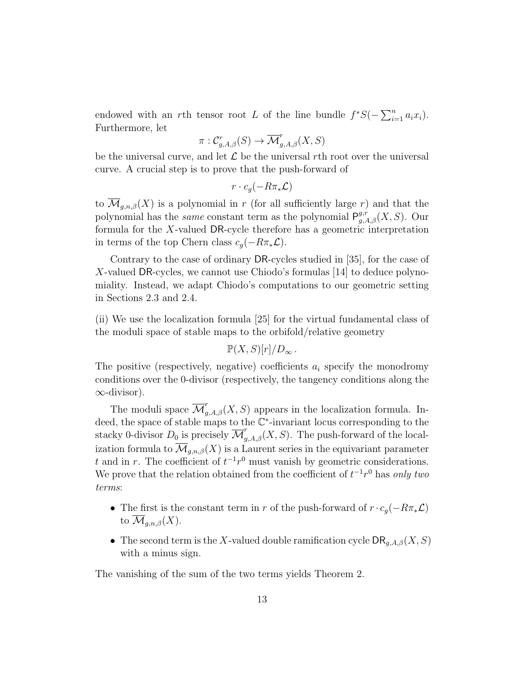endowed with an rth tensor root L of the line bundle  $f^*S(-\sum_{i=1}^n a_i x_i)$ . Furthermore, let

$$
\pi: \mathcal{C}_{g,A,\beta}^r(S) \to \overline{\mathcal{M}}_{g,A,\beta}^r(X,S)
$$

be the universal curve, and let  $\mathcal L$  be the universal rth root over the universal curve. A crucial step is to prove that the push-forward of

$$
r\cdot c_g(-R\pi_*\mathcal{L})
$$

to  $\overline{\mathcal{M}}_{g,n,\beta}(X)$  is a polynomial in r (for all sufficiently large r) and that the polynomial has the *same* constant term as the polynomial  $P_{g,A,\beta}^{g,r}(X, S)$ . Our formula for the X-valued DR-cycle therefore has a geometric interpretation in terms of the top Chern class  $c_q(-R\pi_*\mathcal{L})$ .

Contrary to the case of ordinary DR-cycles studied in [35], for the case of X-valued DR-cycles, we cannot use Chiodo's formulas [14] to deduce polynomiality. Instead, we adapt Chiodo's computations to our geometric setting in Sections 2.3 and 2.4.

(ii) We use the localization formula [25] for the virtual fundamental class of the moduli space of stable maps to the orbifold/relative geometry

 $\mathbb{P}(X, S)[r]/D_{\infty}$ .

The positive (respectively, negative) coefficients  $a_i$  specify the monodromy conditions over the 0-divisor (respectively, the tangency conditions along the  $\infty$ -divisor).

The moduli space  $\overline{\mathcal{M}}_{g,A,\beta}^r(X, S)$  appears in the localization formula. Indeed, the space of stable maps to the  $\mathbb{C}^*$ -invariant locus corresponding to the stacky 0-divisor  $D_0$  is precisely  $\overline{\mathcal{M}}_{g,A,\beta}^r(X, S)$ . The push-forward of the localization formula to  $\overline{\mathcal{M}}_{q,n,\beta}(X)$  is a Laurent series in the equivariant parameter t and in r. The coefficient of  $t^{-1}r^0$  must vanish by geometric considerations. We prove that the relation obtained from the coefficient of  $t^{-1}r^0$  has only two terms:

- The first is the constant term in r of the push-forward of  $r \cdot c_g(-R\pi_*\mathcal{L})$ to  $\mathcal{M}_{q,n,\beta}(X)$ .
- The second term is the X-valued double ramification cycle  $\text{DR}_{q,A,\beta}(X, S)$ with a minus sign.

The vanishing of the sum of the two terms yields Theorem 2.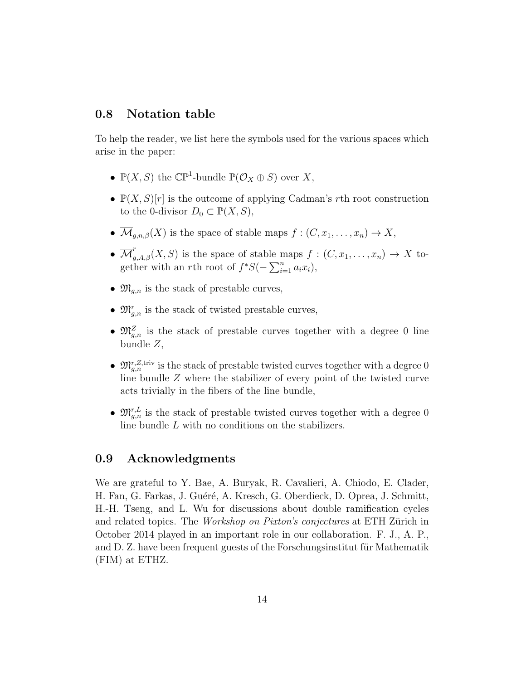### 0.8 Notation table

To help the reader, we list here the symbols used for the various spaces which arise in the paper:

- $\mathbb{P}(X, S)$  the  $\mathbb{CP}^1$ -bundle  $\mathbb{P}(\mathcal{O}_X \oplus S)$  over X,
- $\mathbb{P}(X, S)[r]$  is the outcome of applying Cadman's rth root construction to the 0-divisor  $D_0 \subset \mathbb{P}(X, S)$ ,
- $\overline{\mathcal{M}}_{g,n,\beta}(X)$  is the space of stable maps  $f : (C, x_1, \ldots, x_n) \to X$ ,
- $\overline{\mathcal{M}}_{g,A,\beta}^r(X, S)$  is the space of stable maps  $f : (C, x_1, \ldots, x_n) \to X$  together with an rth root of  $f^*S(-\sum_{i=1}^n a_i x_i)$ ,
- $\mathfrak{M}_{q,n}$  is the stack of prestable curves,
- $\mathfrak{M}_{g,n}^r$  is the stack of twisted prestable curves,
- $\mathfrak{M}_{g,n}^Z$  is the stack of prestable curves together with a degree 0 line bundle Z,
- $\mathfrak{M}_{g,n}^{r,Z,\text{triv}}$  is the stack of prestable twisted curves together with a degree 0 line bundle Z where the stabilizer of every point of the twisted curve acts trivially in the fibers of the line bundle,
- $\mathfrak{M}_{g,n}^{r,L}$  is the stack of prestable twisted curves together with a degree 0 line bundle L with no conditions on the stabilizers.

#### 0.9 Acknowledgments

We are grateful to Y. Bae, A. Buryak, R. Cavalieri, A. Chiodo, E. Clader, H. Fan, G. Farkas, J. Guéré, A. Kresch, G. Oberdieck, D. Oprea, J. Schmitt, H.-H. Tseng, and L. Wu for discussions about double ramification cycles and related topics. The *Workshop on Pixton's conjectures* at ETH Zürich in October 2014 played in an important role in our collaboration. F. J., A. P., and D. Z. have been frequent guests of the Forschungsinstitut für Mathematik (FIM) at ETHZ.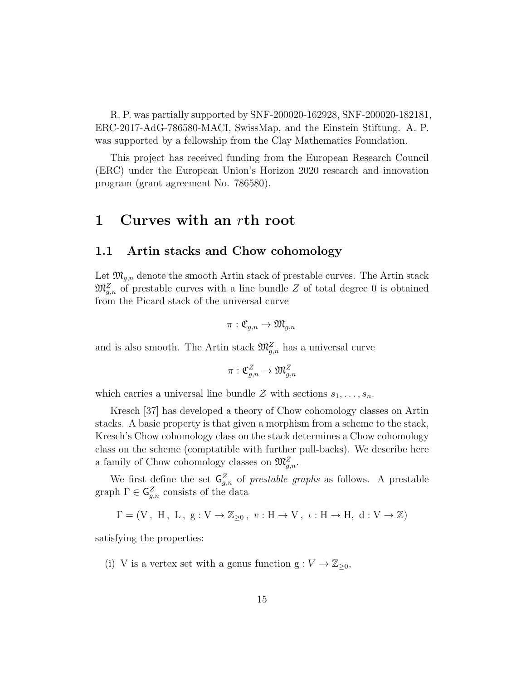R. P. was partially supported by SNF-200020-162928, SNF-200020-182181, ERC-2017-AdG-786580-MACI, SwissMap, and the Einstein Stiftung. A. P. was supported by a fellowship from the Clay Mathematics Foundation.

This project has received funding from the European Research Council (ERC) under the European Union's Horizon 2020 research and innovation program (grant agreement No. 786580).

## 1 Curves with an rth root

#### 1.1 Artin stacks and Chow cohomology

Let  $\mathfrak{M}_{g,n}$  denote the smooth Artin stack of prestable curves. The Artin stack  $\mathfrak{M}_{g,n}^Z$  of prestable curves with a line bundle Z of total degree 0 is obtained from the Picard stack of the universal curve

$$
\pi: \mathfrak{C}_{g,n} \to \mathfrak{M}_{g,n}
$$

and is also smooth. The Artin stack  $\mathfrak{M}^Z_{g,n}$  has a universal curve

$$
\pi: \mathfrak{C}^Z_{g,n} \to \mathfrak{M}^Z_{g,n}
$$

which carries a universal line bundle  $\mathcal Z$  with sections  $s_1, \ldots, s_n$ .

Kresch [37] has developed a theory of Chow cohomology classes on Artin stacks. A basic property is that given a morphism from a scheme to the stack, Kresch's Chow cohomology class on the stack determines a Chow cohomology class on the scheme (comptatible with further pull-backs). We describe here a family of Chow cohomology classes on  $\mathfrak{M}_{g,n}^Z$ .

We first define the set  $\mathsf{G}^Z_{g,n}$  of prestable graphs as follows. A prestable graph  $\Gamma \in \mathsf{G}_{g,n}^Z$  consists of the data

 $\Gamma = (V, H, L, g: V \to \mathbb{Z}_{\geq 0}, v: H \to V, \iota: H \to H, d: V \to \mathbb{Z})$ 

satisfying the properties:

(i) V is a vertex set with a genus function  $g: V \to \mathbb{Z}_{\geq 0}$ ,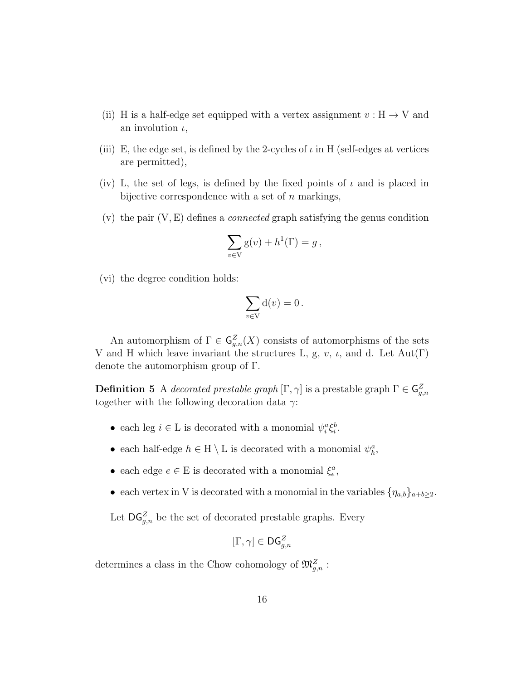- (ii) H is a half-edge set equipped with a vertex assignment  $v : H \to V$  and an involution  $\iota$ ,
- (iii) E, the edge set, is defined by the 2-cycles of  $\iota$  in H (self-edges at vertices are permitted),
- (iv) L, the set of legs, is defined by the fixed points of  $\iota$  and is placed in bijective correspondence with a set of  $n$  markings,
- $(v)$  the pair  $(V, E)$  defines a *connected* graph satisfying the genus condition

$$
\sum_{v \in V} g(v) + h^{1}(\Gamma) = g,
$$

(vi) the degree condition holds:

$$
\sum_{v \in V} d(v) = 0.
$$

An automorphism of  $\Gamma \in \mathsf{G}_{g,n}^Z(X)$  consists of automorphisms of the sets V and H which leave invariant the structures L, g, v,  $\iota$ , and d. Let Aut(Γ) denote the automorphism group of Γ.

**Definition 5** A decorated prestable graph  $[\Gamma, \gamma]$  is a prestable graph  $\Gamma \in \mathsf{G}^Z_{g,n}$ together with the following decoration data  $\gamma$ :

- each leg  $i \in L$  is decorated with a monomial  $\psi_i^a \xi_i^b$ .
- each half-edge  $h \in H \setminus L$  is decorated with a monomial  $\psi_h^a$ ,
- each edge  $e \in E$  is decorated with a monomial  $\xi_e^a$ ,
- each vertex in V is decorated with a monomial in the variables  $\{\eta_{a,b}\}_{a+b\geq 2}$ .

Let  $\mathsf{DG}_{g,n}^Z$  be the set of decorated prestable graphs. Every

$$
[\Gamma,\gamma]\in \mathsf{DG}_{g,n}^Z
$$

determines a class in the Chow cohomology of  $\mathfrak{M}^Z_{g,n}$ :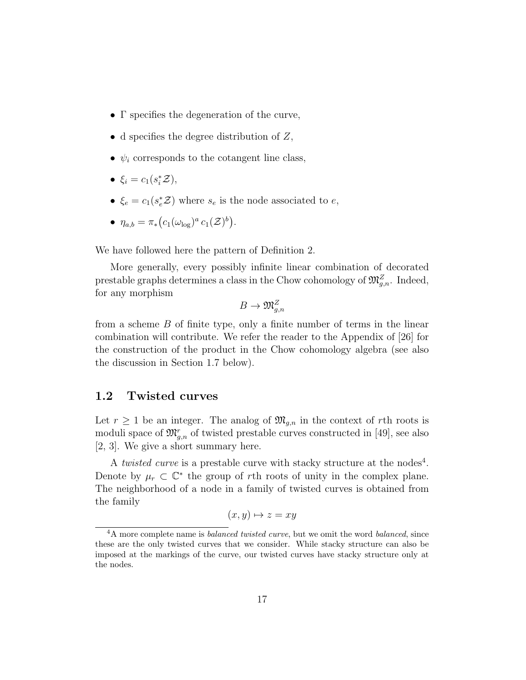- Γ specifies the degeneration of the curve,
- d specifies the degree distribution of  $Z$ ,
- $\psi_i$  corresponds to the cotangent line class,
- $\xi_i = c_1(s_i^* \mathcal{Z}),$
- $\xi_e = c_1(s_e^* \mathcal{Z})$  where  $s_e$  is the node associated to  $e$ ,
- $\eta_{a,b} = \pi_* (c_1(\omega_{\log})^a c_1(\mathcal{Z})^b).$

We have followed here the pattern of Definition 2.

More generally, every possibly infinite linear combination of decorated prestable graphs determines a class in the Chow cohomology of  $\mathfrak{M}^Z_{g,n}$ . Indeed, for any morphism

$$
B\to \mathfrak{M}_{g,n}^Z
$$

from a scheme  $B$  of finite type, only a finite number of terms in the linear combination will contribute. We refer the reader to the Appendix of [26] for the construction of the product in the Chow cohomology algebra (see also the discussion in Section 1.7 below).

#### 1.2 Twisted curves

Let  $r \geq 1$  be an integer. The analog of  $\mathfrak{M}_{q,n}$  in the context of rth roots is moduli space of  $\mathfrak{M}^r_{g,n}$  of twisted prestable curves constructed in [49], see also [2, 3]. We give a short summary here.

A *twisted curve* is a prestable curve with stacky structure at the nodes<sup>4</sup>. Denote by  $\mu_r \subset \mathbb{C}^*$  the group of rth roots of unity in the complex plane. The neighborhood of a node in a family of twisted curves is obtained from the family

$$
(x, y) \mapsto z = xy
$$

<sup>&</sup>lt;sup>4</sup>A more complete name is *balanced twisted curve*, but we omit the word *balanced*, since these are the only twisted curves that we consider. While stacky structure can also be imposed at the markings of the curve, our twisted curves have stacky structure only at the nodes.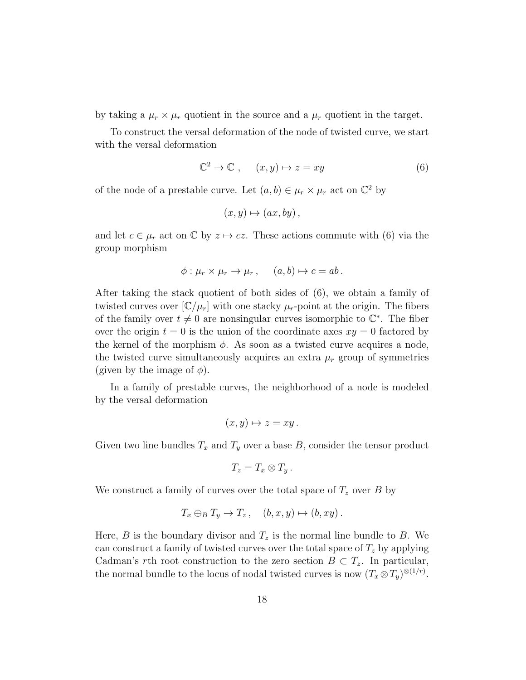by taking a  $\mu_r \times \mu_r$  quotient in the source and a  $\mu_r$  quotient in the target.

To construct the versal deformation of the node of twisted curve, we start with the versal deformation

$$
\mathbb{C}^2 \to \mathbb{C} \;, \quad (x, y) \mapsto z = xy \tag{6}
$$

of the node of a prestable curve. Let  $(a, b) \in \mu_r \times \mu_r$  act on  $\mathbb{C}^2$  by

$$
(x, y) \mapsto (ax, by)
$$

and let  $c \in \mu_r$  act on  $\mathbb C$  by  $z \mapsto cz$ . These actions commute with (6) via the group morphism

$$
\phi: \mu_r \times \mu_r \to \mu_r, \quad (a, b) \mapsto c = ab.
$$

After taking the stack quotient of both sides of (6), we obtain a family of twisted curves over  $[\mathbb{C}/\mu_r]$  with one stacky  $\mu_r$ -point at the origin. The fibers of the family over  $t \neq 0$  are nonsingular curves isomorphic to  $\mathbb{C}^*$ . The fiber over the origin  $t = 0$  is the union of the coordinate axes  $xy = 0$  factored by the kernel of the morphism  $\phi$ . As soon as a twisted curve acquires a node, the twisted curve simultaneously acquires an extra  $\mu_r$  group of symmetries (given by the image of  $\phi$ ).

In a family of prestable curves, the neighborhood of a node is modeled by the versal deformation

$$
(x, y) \mapsto z = xy.
$$

Given two line bundles  $T_x$  and  $T_y$  over a base B, consider the tensor product

$$
T_z = T_x \otimes T_y.
$$

We construct a family of curves over the total space of  $T_z$  over B by

$$
T_x \oplus_B T_y \to T_z, \quad (b, x, y) \mapsto (b, xy).
$$

Here, B is the boundary divisor and  $T_z$  is the normal line bundle to B. We can construct a family of twisted curves over the total space of  $T<sub>z</sub>$  by applying Cadman's rth root construction to the zero section  $B \subset T_z$ . In particular, the normal bundle to the locus of nodal twisted curves is now  $(T_x \otimes T_y)^{\otimes (1/r)}$ .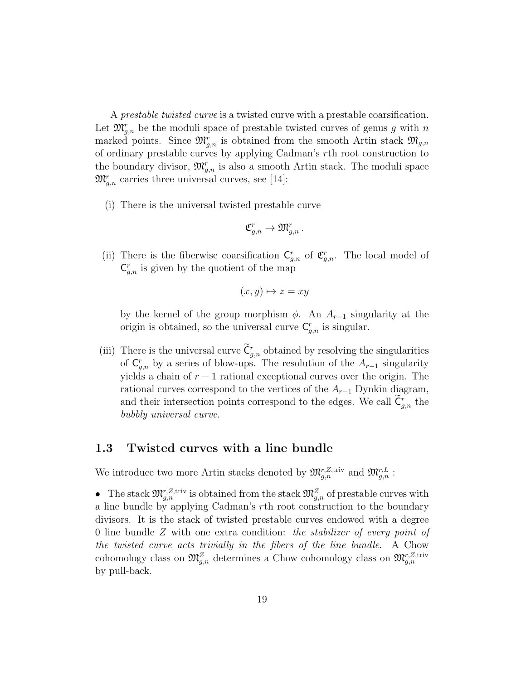A prestable twisted curve is a twisted curve with a prestable coarsification. Let  $\mathfrak{M}_{g,n}^r$  be the moduli space of prestable twisted curves of genus g with n marked points. Since  $\mathfrak{M}_{g,n}^r$  is obtained from the smooth Artin stack  $\mathfrak{M}_{g,n}$ of ordinary prestable curves by applying Cadman's rth root construction to the boundary divisor,  $\mathfrak{M}_{g,n}^r$  is also a smooth Artin stack. The moduli space  $\mathfrak{M}^r_{g,n}$  carries three universal curves, see [14]:

(i) There is the universal twisted prestable curve

$$
\mathfrak{C}_{g,n}^r\to \mathfrak{M}_{g,n}^r\,.
$$

(ii) There is the fiberwise coarsification  $C_{g,n}^r$  of  $C_{g,n}^r$ . The local model of  $C_{g,n}^r$  is given by the quotient of the map

$$
(x, y) \mapsto z = xy
$$

by the kernel of the group morphism  $\phi$ . An  $A_{r-1}$  singularity at the origin is obtained, so the universal curve  $C_{g,n}^r$  is singular.

(iii) There is the universal curve  $C_{g,n}^r$  obtained by resolving the singularities of  $C_{g,n}^r$  by a series of blow-ups. The resolution of the  $A_{r-1}$  singularity yields a chain of  $r - 1$  rational exceptional curves over the origin. The rational curves correspond to the vertices of the  $A_{r-1}$  Dynkin diagram, and their intersection points correspond to the edges. We call  $\tilde{C}_{g,n}^r$  the bubbly universal curve.

#### 1.3 Twisted curves with a line bundle

We introduce two more Artin stacks denoted by  $\mathfrak{M}^{r,Z,\text{triv}}_{g,n}$  and  $\mathfrak{M}^{r,L}_{g,n}$ :

• The stack  $\mathfrak{M}_{g,n}^{r,\mathbb{Z},\text{triv}}$  is obtained from the stack  $\mathfrak{M}_{g,n}^{\mathbb{Z}}$  of prestable curves with a line bundle by applying Cadman's rth root construction to the boundary divisors. It is the stack of twisted prestable curves endowed with a degree 0 line bundle Z with one extra condition: the stabilizer of every point of the twisted curve acts trivially in the fibers of the line bundle. A Chow cohomology class on  $\mathfrak{M}^Z_{g,n}$  determines a Chow cohomology class on  $\mathfrak{M}^{r,Z,\text{triv}}_{g,n}$ by pull-back.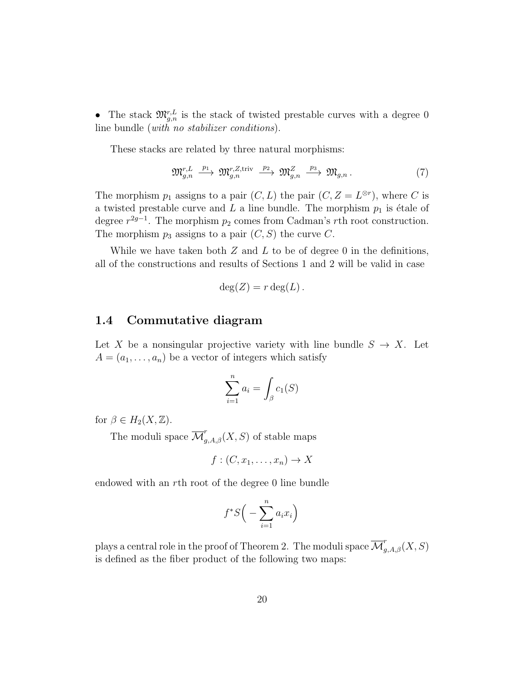• The stack  $\mathfrak{M}_{g,n}^{r,L}$  is the stack of twisted prestable curves with a degree 0 line bundle (with no stabilizer conditions).

These stacks are related by three natural morphisms:

$$
\mathfrak{M}_{g,n}^{r,L} \xrightarrow{p_1} \mathfrak{M}_{g,n}^{r,Z,\text{triv}} \xrightarrow{p_2} \mathfrak{M}_{g,n}^Z \xrightarrow{p_3} \mathfrak{M}_{g,n}.
$$
 (7)

The morphism  $p_1$  assigns to a pair  $(C, L)$  the pair  $(C, Z = L^{\otimes r})$ , where C is a twisted prestable curve and  $L$  a line bundle. The morphism  $p_1$  is étale of degree  $r^{2g-1}$ . The morphism  $p_2$  comes from Cadman's rth root construction. The morphism  $p_3$  assigns to a pair  $(C, S)$  the curve C.

While we have taken both  $Z$  and  $L$  to be of degree 0 in the definitions, all of the constructions and results of Sections 1 and 2 will be valid in case

$$
\deg(Z) = r \deg(L).
$$

### 1.4 Commutative diagram

Let X be a nonsingular projective variety with line bundle  $S \to X$ . Let  $A = (a_1, \ldots, a_n)$  be a vector of integers which satisfy

$$
\sum_{i=1}^{n} a_i = \int_{\beta} c_1(S)
$$

for  $\beta \in H_2(X, \mathbb{Z})$ .

The moduli space  $\overline{\mathcal{M}}_{g,A,\beta}^r(X, S)$  of stable maps

$$
f:(C,x_1,\ldots,x_n)\to X
$$

endowed with an rth root of the degree 0 line bundle

$$
f^*S\Big(-\sum_{i=1}^n a_i x_i\Big)
$$

plays a central role in the proof of Theorem 2. The moduli space  $\overline{\mathcal M}_{g,A,\beta}^r(X, S)$ is defined as the fiber product of the following two maps: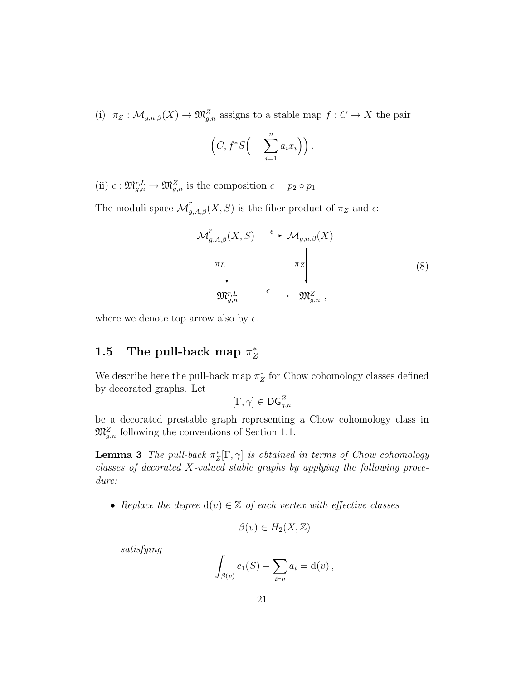(i)  $\pi_Z : \overline{\mathcal{M}}_{g,n,\beta}(X) \to \mathfrak{M}_{g,n}^Z$  assigns to a stable map  $f : C \to X$  the pair

$$
\left(C, f^*S\Big(-\sum_{i=1}^n a_i x_i\Big)\right).
$$

(ii)  $\epsilon : \mathfrak{M}_{g,n}^{r,L} \to \mathfrak{M}_{g,n}^Z$  is the composition  $\epsilon = p_2 \circ p_1$ .

The moduli space  $\overline{\mathcal{M}}_{g,A,\beta}^r(X, S)$  is the fiber product of  $\pi_Z$  and  $\epsilon$ :

$$
\overline{\mathcal{M}}_{g,A,\beta}^{r}(X,S) \xrightarrow{\epsilon} \overline{\mathcal{M}}_{g,n,\beta}(X)
$$
\n
$$
\pi_{L} \downarrow \qquad \pi_{Z} \downarrow \qquad (8)
$$
\n
$$
\mathfrak{M}_{g,n}^{r,L} \xrightarrow{\epsilon} \mathfrak{M}_{g,n}^{Z},
$$

where we denote top arrow also by  $\epsilon$ .

#### 1.5 The pull-back map  $\pi^*_{\mathbb{Z}}$ Z

We describe here the pull-back map  $\pi_Z^*$  for Chow cohomology classes defined by decorated graphs. Let

$$
[\Gamma,\gamma]\in \mathsf{DG}_{g,n}^Z
$$

be a decorated prestable graph representing a Chow cohomology class in  $\mathfrak{M}_{g,n}^Z$  following the conventions of Section 1.1.

**Lemma 3** The pull-back  $\pi_Z^*[\Gamma, \gamma]$  is obtained in terms of Chow cohomology classes of decorated X-valued stable graphs by applying the following procedure:

• Replace the degree  $d(v) \in \mathbb{Z}$  of each vertex with effective classes

$$
\beta(v) \in H_2(X, \mathbb{Z})
$$

satisfying

$$
\int_{\beta(v)} c_1(S) - \sum_{i \vdash v} a_i = \mathrm{d}(v) ,
$$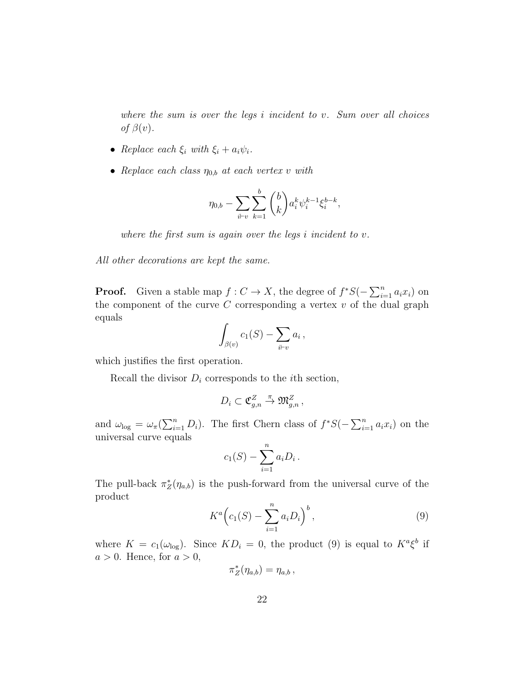where the sum is over the legs i incident to v. Sum over all choices of  $\beta(v)$ .

- Replace each  $\xi_i$  with  $\xi_i + a_i \psi_i$ .
- Replace each class  $\eta_{0,b}$  at each vertex v with

$$
\eta_{0,b} - \sum_{i \vdash v} \sum_{k=1}^{b} \binom{b}{k} a_i^k \psi_i^{k-1} \xi_i^{b-k},
$$

where the first sum is again over the legs  $i$  incident to  $v$ .

All other decorations are kept the same.

**Proof.** Given a stable map  $f: C \to X$ , the degree of  $f^*S(-\sum_{i=1}^n a_i x_i)$  on the component of the curve  $C$  corresponding a vertex  $v$  of the dual graph equals

$$
\int_{\beta(v)} c_1(S) - \sum_{i \vdash v} a_i \,,
$$

which justifies the first operation.

Recall the divisor  $D_i$  corresponds to the *i*th section,

$$
D_i\subset \mathfrak{C}^Z_{g,n}\stackrel{\pi}{\to} \mathfrak{M}^Z_{g,n}\,,
$$

and  $\omega_{\text{log}} = \omega_{\pi}(\sum_{i=1}^{n} D_i)$ . The first Chern class of  $f^*S(-\sum_{i=1}^{n} a_i x_i)$  on the universal curve equals

$$
c_1(S) - \sum_{i=1}^n a_i D_i.
$$

The pull-back  $\pi_Z^*(\eta_{a,b})$  is the push-forward from the universal curve of the product

$$
K^{a}\left(c_{1}(S) - \sum_{i=1}^{n} a_{i}D_{i}\right)^{b}, \qquad (9)
$$

where  $K = c_1(\omega_{\text{log}})$ . Since  $KD_i = 0$ , the product (9) is equal to  $K^a \xi^b$  if  $a > 0$ . Hence, for  $a > 0$ ,

$$
\pi_Z^*(\eta_{a,b})=\eta_{a,b}\,,
$$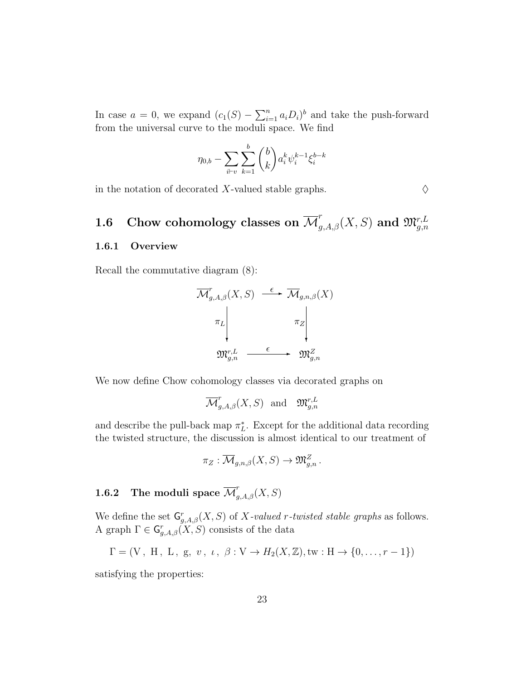In case  $a = 0$ , we expand  $(c_1(S) - \sum_{i=1}^n a_i D_i)^b$  and take the push-forward from the universal curve to the moduli space. We find

$$
\eta_{0,b} - \sum_{i \vdash v} \sum_{k=1}^{b} \binom{b}{k} a_i^k \psi_i^{k-1} \xi_i^{b-k}
$$

in the notation of decorated X-valued stable graphs.  $\Diamond$ 

# 1.6 Chow cohomology classes on  $\overline{\mathcal M}^r_{g,A,\beta}(X,S)$  and  $\mathfrak M^{r,L}_{g,n}$

#### 1.6.1 Overview

Recall the commutative diagram (8):

$$
\overline{\mathcal{M}}_{g,A,\beta}^{r}(X,S) \xrightarrow{\epsilon} \overline{\mathcal{M}}_{g,n,\beta}(X)
$$
\n
$$
\pi_{L} \downarrow \qquad \pi_{Z} \downarrow \qquad \pi_{Z} \downarrow
$$
\n
$$
\mathfrak{M}_{g,n}^{r,L} \xrightarrow{\epsilon} \mathfrak{M}_{g,n}^{Z}
$$

We now define Chow cohomology classes via decorated graphs on

$$
\overline{\mathcal{M}}_{g,A,\beta}^{r}(X,S)
$$
 and  $\mathfrak{M}_{g,n}^{r,L}$ 

and describe the pull-back map  $\pi_L^*$ . Except for the additional data recording the twisted structure, the discussion is almost identical to our treatment of

$$
\pi_Z: \overline{\mathcal{M}}_{g,n,\beta}(X,S) \to \mathfrak{M}_{g,n}^Z.
$$

# **1.6.2** The moduli space  $\overline{\mathcal{M}}'_{g,A,\beta}(X, S)$

We define the set  $G_{g,A,\beta}^r(X, S)$  of X-valued r-twisted stable graphs as follows. A graph  $\Gamma \in \mathsf{G}_{g,A,\beta}^r(X,S)$  consists of the data

$$
\Gamma = (V, H, L, g, v, \iota, \beta : V \to H_2(X, \mathbb{Z}), \text{tw} : H \to \{0, \ldots, r-1\})
$$

satisfying the properties: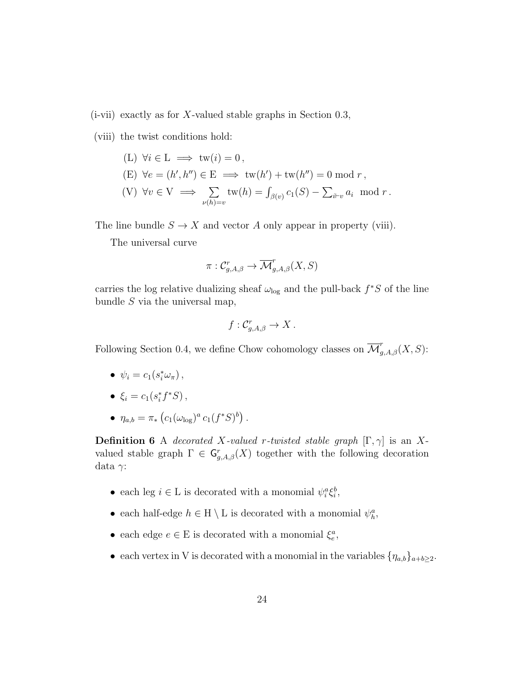$(i$ -vii) exactly as for X-valued stable graphs in Section 0.3,

(viii) the twist conditions hold:

- $(L) \ \forall i \in L \implies \text{tw}(i) = 0$ ,
- $(E) \ \forall e = (h', h'') \in E \implies \text{tw}(h') + \text{tw}(h'') = 0 \text{ mod } r,$

(V) 
$$
\forall v \in V \implies \sum_{\nu(h)=v} \text{tw}(h) = \int_{\beta(v)} c_1(S) - \sum_{i \vdash v} a_i \mod r
$$
.

The line bundle  $S \to X$  and vector A only appear in property (viii).

The universal curve

$$
\pi: \mathcal{C}^r_{g,A,\beta}\to \overline{\mathcal{M}}^r_{g,A,\beta}(X, S)
$$

carries the log relative dualizing sheaf  $\omega_{\text{log}}$  and the pull-back  $f^*S$  of the line bundle  $S$  via the universal map,

$$
f: \mathcal{C}_{g,A,\beta}^r \to X.
$$

Following Section 0.4, we define Chow cohomology classes on  $\overline{\mathcal{M}}_{g,A,\beta}^{r}(X, S)$ :

- $\psi_i = c_1(s_i^*\omega_\pi),$
- $\xi_i = c_1(s_i^* f^* S)$ ,
- $\eta_{a,b} = \pi_* \left( c_1 (\omega_{\log})^a c_1 (f^*S)^b \right).$

**Definition 6** A decorated X-valued r-twisted stable graph  $[\Gamma, \gamma]$  is an Xvalued stable graph  $\Gamma \in \mathsf{G}_{g,A,\beta}^r(X)$  together with the following decoration data γ:

- each leg  $i \in L$  is decorated with a monomial  $\psi_i^a \xi_i^b$ ,
- each half-edge  $h \in H \setminus L$  is decorated with a monomial  $\psi_h^a$ ,
- each edge  $e \in E$  is decorated with a monomial  $\xi_e^a$ ,
- each vertex in V is decorated with a monomial in the variables  $\{\eta_{a,b}\}_{a+b\geq 2}$ .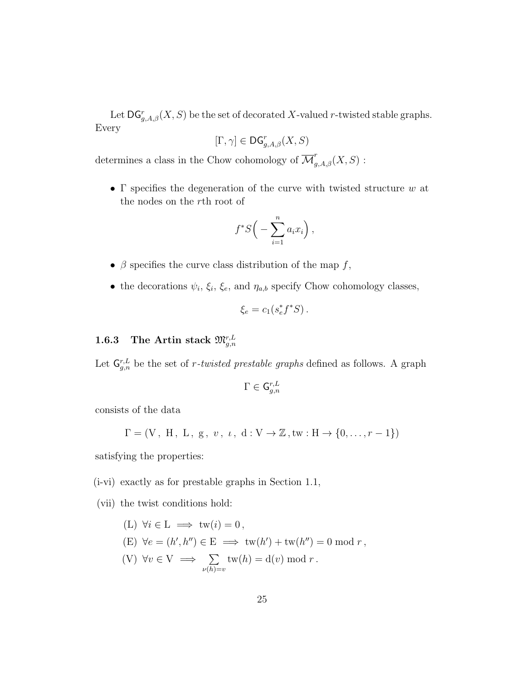Let  $\mathsf{DG}_{g,A,\beta}^r(X,S)$  be the set of decorated X-valued r-twisted stable graphs. Every

$$
[\Gamma,\gamma]\in \mathsf{DG}_{g,A,\beta}^r(X,S)
$$

determines a class in the Chow cohomology of  $\overline{\mathcal{M}}_{g,A,\beta}^r(X, S)$ :

• Γ specifies the degeneration of the curve with twisted structure  $w$  at the nodes on the rth root of

$$
f^*S\Big(-\sum_{i=1}^n a_i x_i\Big)\,
$$

- $\bullet$   $\beta$  specifies the curve class distribution of the map  $f,$
- the decorations  $\psi_i, \xi_i, \xi_e$ , and  $\eta_{a,b}$  specify Chow cohomology classes,

$$
\xi_e = c_1(s_e^* f^* S).
$$

### $1.6.3$  The Artin stack  $\mathfrak{M}^{r,L}_{g,n}$

Let  $\mathsf{G}_{g,n}^{r,L}$  be the set of *r*-twisted prestable graphs defined as follows. A graph

$$
\Gamma \in \mathsf{G}^{r,L}_{g,n}
$$

consists of the data

$$
\Gamma = (V, H, L, g, v, t, d: V \to \mathbb{Z}, tw: H \to \{0, ..., r-1\})
$$

satisfying the properties:

(i-vi) exactly as for prestable graphs in Section 1.1,

(vii) the twist conditions hold:

$$
(L) \ \forall i \in L \implies \text{tw}(i) = 0,
$$
  
\n
$$
(E) \ \forall e = (h', h'') \in E \implies \text{tw}(h') + \text{tw}(h'') = 0 \text{ mod } r,
$$
  
\n
$$
(V) \ \forall v \in V \implies \sum_{\nu(h)=v} \text{tw}(h) = d(v) \text{ mod } r.
$$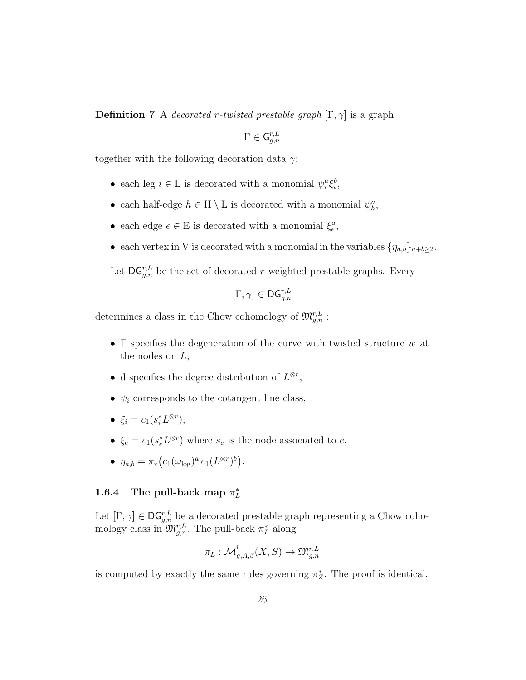**Definition 7** A decorated r-twisted prestable graph  $[\Gamma, \gamma]$  is a graph

$$
\Gamma\in \mathsf{G}^{r,L}_{g,n}
$$

together with the following decoration data  $\gamma$ :

- each leg  $i \in L$  is decorated with a monomial  $\psi_i^a \xi_i^b$ ,
- each half-edge  $h \in H \setminus L$  is decorated with a monomial  $\psi_h^a$ ,
- each edge  $e \in E$  is decorated with a monomial  $\xi_e^a$ ,
- each vertex in V is decorated with a monomial in the variables  $\{\eta_{a,b}\}_{{a+b\geq 2}}$ .

Let  $\mathsf{DG}_{g,n}^{r,L}$  be the set of decorated r-weighted prestable graphs. Every

$$
[\Gamma,\gamma]\in \mathsf{DG}_{g,n}^{r,L}
$$

determines a class in the Chow cohomology of  $\mathfrak{M}^{r,L}_{g,n}$ :

- Γ specifies the degeneration of the curve with twisted structure  $w$  at the nodes on  $L$ ,
- d specifies the degree distribution of  $L^{\otimes r}$ ,
- $\psi_i$  corresponds to the cotangent line class,
- $\xi_i = c_1(s_i^* L^{\otimes r}),$
- $\xi_e = c_1(s_e^* L^{\otimes r})$  where  $s_e$  is the node associated to  $e$ ,
- $\eta_{a,b} = \pi_* (c_1(\omega_{\text{log}})^a c_1(L^{\otimes r})^b).$

### 1.6.4 The pull-back map  $\pi_L^*$

Let  $[\Gamma, \gamma] \in \mathsf{DG}_{g,n}^{r,L}$  be a decorated prestable graph representing a Chow cohomology class in  $\mathfrak{M}^{r,L}_{g,n}$ . The pull-back  $\pi^*_{L}$  along

$$
\pi_L: \overline{\mathcal{M}}_{g,A,\beta}^r(X, S) \to \mathfrak{M}_{g,n}^{r,L}
$$

is computed by exactly the same rules governing  $\pi_Z^*$ . The proof is identical.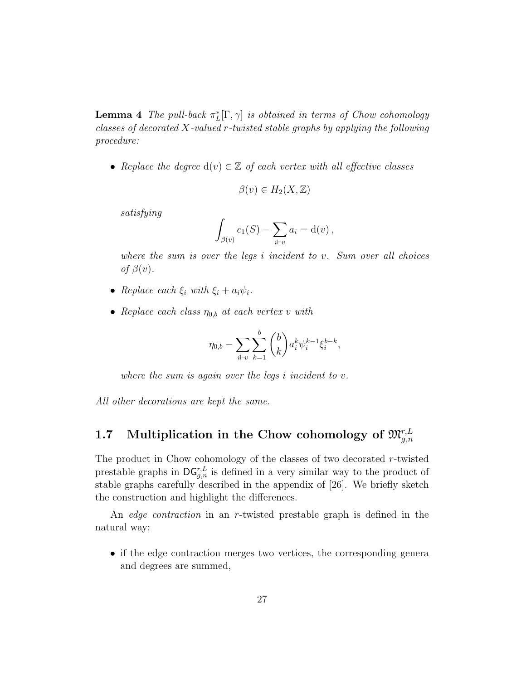**Lemma 4** The pull-back  $\pi_L^*[\Gamma, \gamma]$  is obtained in terms of Chow cohomology classes of decorated X-valued r-twisted stable graphs by applying the following procedure:

• Replace the degree  $d(v) \in \mathbb{Z}$  of each vertex with all effective classes

$$
\beta(v) \in H_2(X, \mathbb{Z})
$$

satisfying

$$
\int_{\beta(v)} c_1(S) - \sum_{i \vdash v} a_i = \mathrm{d}(v),
$$

where the sum is over the legs i incident to v. Sum over all choices of  $\beta(v)$ .

- Replace each  $\xi_i$  with  $\xi_i + a_i \psi_i$ .
- Replace each class  $\eta_{0,b}$  at each vertex v with

$$
\eta_{0,b} - \sum_{i \vdash v} \sum_{k=1}^{b} \binom{b}{k} a_i^k \psi_i^{k-1} \xi_i^{b-k},
$$

where the sum is again over the legs  $i$  incident to  $v$ .

All other decorations are kept the same.

# 1.7 Multiplication in the Chow cohomology of  $\mathfrak{M}^{r, L}_{g, n}$

The product in Chow cohomology of the classes of two decorated r-twisted prestable graphs in  $\mathsf{DG}_{g,n}^{r,L}$  is defined in a very similar way to the product of stable graphs carefully described in the appendix of [26]. We briefly sketch the construction and highlight the differences.

An edge contraction in an r-twisted prestable graph is defined in the natural way:

• if the edge contraction merges two vertices, the corresponding genera and degrees are summed,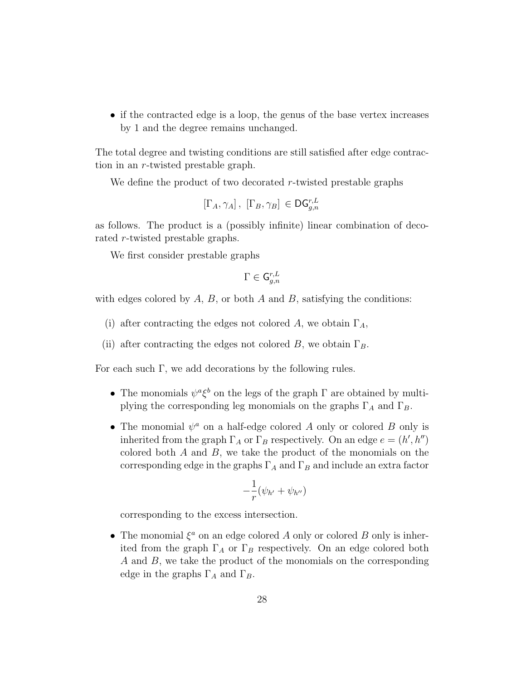• if the contracted edge is a loop, the genus of the base vertex increases by 1 and the degree remains unchanged.

The total degree and twisting conditions are still satisfied after edge contraction in an r-twisted prestable graph.

We define the product of two decorated r-twisted prestable graphs

$$
\left[\Gamma_A, \gamma_A\right], \; \left[\Gamma_B, \gamma_B\right] \in \mathsf{DG}_{g,n}^{r,L}
$$

as follows. The product is a (possibly infinite) linear combination of decorated r-twisted prestable graphs.

We first consider prestable graphs

$$
\Gamma\in \mathsf{G}^{r,L}_{g,n}
$$

with edges colored by  $A, B$ , or both  $A$  and  $B$ , satisfying the conditions:

- (i) after contracting the edges not colored A, we obtain  $\Gamma_A$ ,
- (ii) after contracting the edges not colored B, we obtain  $\Gamma_B$ .

For each such Γ, we add decorations by the following rules.

- The monomials  $\psi^a \xi^b$  on the legs of the graph  $\Gamma$  are obtained by multiplying the corresponding leg monomials on the graphs  $\Gamma_A$  and  $\Gamma_B$ .
- The monomial  $\psi^a$  on a half-edge colored A only or colored B only is inherited from the graph  $\Gamma_A$  or  $\Gamma_B$  respectively. On an edge  $e = (h', h'')$ colored both  $A$  and  $B$ , we take the product of the monomials on the corresponding edge in the graphs  $\Gamma_A$  and  $\Gamma_B$  and include an extra factor

$$
-\frac{1}{r}(\psi_{h'} + \psi_{h''})
$$

corresponding to the excess intersection.

• The monomial  $\xi^a$  on an edge colored A only or colored B only is inherited from the graph  $\Gamma_A$  or  $\Gamma_B$  respectively. On an edge colored both A and B, we take the product of the monomials on the corresponding edge in the graphs  $\Gamma_A$  and  $\Gamma_B$ .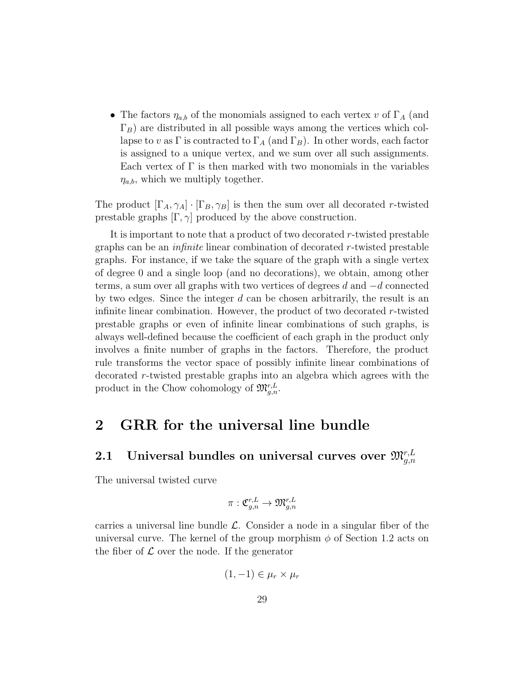• The factors  $\eta_{a,b}$  of the monomials assigned to each vertex v of  $\Gamma_A$  (and  $\Gamma_B$ ) are distributed in all possible ways among the vertices which collapse to v as  $\Gamma$  is contracted to  $\Gamma_A$  (and  $\Gamma_B$ ). In other words, each factor is assigned to a unique vertex, and we sum over all such assignments. Each vertex of  $\Gamma$  is then marked with two monomials in the variables  $\eta_{a,b}$ , which we multiply together.

The product  $[\Gamma_A, \gamma_A] \cdot [\Gamma_B, \gamma_B]$  is then the sum over all decorated r-twisted prestable graphs  $[\Gamma, \gamma]$  produced by the above construction.

It is important to note that a product of two decorated  $r$ -twisted prestable graphs can be an infinite linear combination of decorated r-twisted prestable graphs. For instance, if we take the square of the graph with a single vertex of degree 0 and a single loop (and no decorations), we obtain, among other terms, a sum over all graphs with two vertices of degrees d and  $-d$  connected by two edges. Since the integer  $d$  can be chosen arbitrarily, the result is an infinite linear combination. However, the product of two decorated  $r$ -twisted prestable graphs or even of infinite linear combinations of such graphs, is always well-defined because the coefficient of each graph in the product only involves a finite number of graphs in the factors. Therefore, the product rule transforms the vector space of possibly infinite linear combinations of decorated r-twisted prestable graphs into an algebra which agrees with the product in the Chow cohomology of  $\mathfrak{M}^{r,L}_{g,n}$ .

## 2 GRR for the universal line bundle

# 2.1 Universal bundles on universal curves over  $\mathfrak{M}^{r, L}_{g, n}$

The universal twisted curve

$$
\pi: \mathfrak{C}_{g,n}^{r,L} \to \mathfrak{M}_{g,n}^{r,L}
$$

carries a universal line bundle  $\mathcal{L}$ . Consider a node in a singular fiber of the universal curve. The kernel of the group morphism  $\phi$  of Section 1.2 acts on the fiber of  $\mathcal L$  over the node. If the generator

$$
(1,-1)\in \mu_r\times\mu_r
$$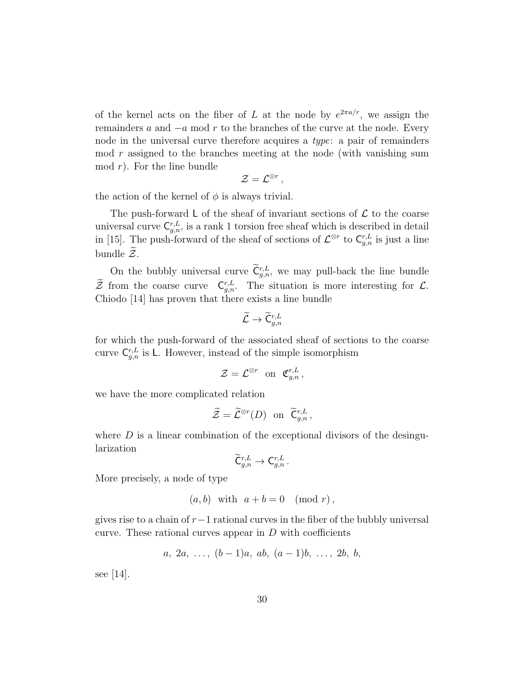of the kernel acts on the fiber of L at the node by  $e^{2\pi a/r}$ , we assign the remainders a and  $-a \mod r$  to the branches of the curve at the node. Every node in the universal curve therefore acquires a type: a pair of remainders mod  $r$  assigned to the branches meeting at the node (with vanishing sum  $mod r$ . For the line bundle

$$
\mathcal{Z}=\mathcal{L}^{\otimes r}\,,
$$

the action of the kernel of  $\phi$  is always trivial.

The push-forward L of the sheaf of invariant sections of  $\mathcal L$  to the coarse universal curve  $C_{g,n}^{r,L}$ , is a rank 1 torsion free sheaf which is described in detail in [15]. The push-forward of the sheaf of sections of  $\mathcal{L}^{\otimes r}$  to  $\mathsf{C}_{g,n}^{r,L}$  is just a line bundle  $\mathcal{Z}$ .

On the bubbly universal curve  $\tilde{C}_{g,n}^{r,L}$ , we may pull-back the line bundle  $\tilde{Z}$  from the coarse curve  $C_{g,n}^{r,L}$ . The situation is more interesting for  $\mathcal{L}$ . Chiodo [14] has proven that there exists a line bundle

$$
\widetilde{\mathcal{L}} \to \widetilde{\mathsf{C}}^{r,L}_{g,n}
$$

for which the push-forward of the associated sheaf of sections to the coarse curve  $C_{g,n}^{r,L}$  is L. However, instead of the simple isomorphism

$$
\mathcal{Z}=\mathcal{L}^{\otimes r}\ \ \text{on}\ \ \mathfrak{C}^{r,L}_{g,n}\,,
$$

we have the more complicated relation

$$
\widetilde{\mathcal{Z}} = \widetilde{\mathcal{L}}^{\otimes r}(D) \text{ on } \widetilde{\mathsf{C}}^{r,L}_{g,n},
$$

where  $D$  is a linear combination of the exceptional divisors of the desingularization

$$
\widetilde{\mathsf{C}}{}_{g,n}^{r,L} \to \mathsf{C}_{g,n}^{r,L} \, .
$$

More precisely, a node of type

$$
(a, b) \text{ with } a + b = 0 \pmod{r},
$$

gives rise to a chain of  $r-1$  rational curves in the fiber of the bubbly universal curve. These rational curves appear in  $D$  with coefficients

$$
a, 2a, \ldots, (b-1)a, ab, (a-1)b, \ldots, 2b, b,
$$

see [14].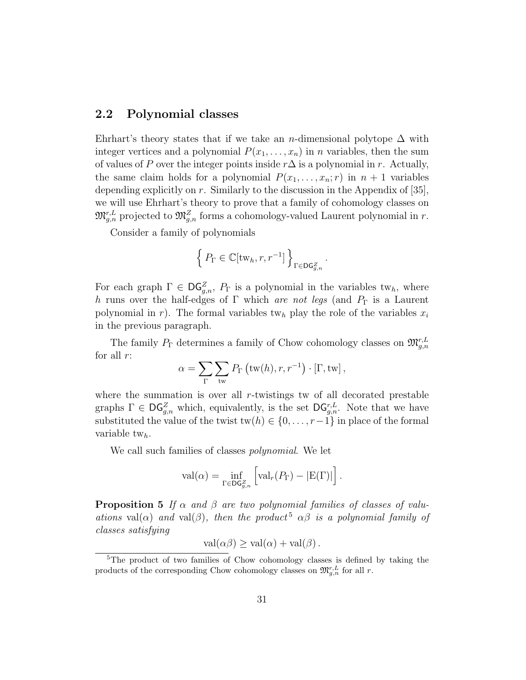#### 2.2 Polynomial classes

Ehrhart's theory states that if we take an n-dimensional polytope  $\Delta$  with integer vertices and a polynomial  $P(x_1, \ldots, x_n)$  in *n* variables, then the sum of values of P over the integer points inside  $r\Delta$  is a polynomial in r. Actually, the same claim holds for a polynomial  $P(x_1, \ldots, x_n; r)$  in  $n + 1$  variables depending explicitly on r. Similarly to the discussion in the Appendix of [35], we will use Ehrhart's theory to prove that a family of cohomology classes on  $\mathfrak{M}^{r,L}_{g,n}$  projected to  $\mathfrak{M}^{Z}_{g,n}$  forms a cohomology-valued Laurent polynomial in r.

Consider a family of polynomials

$$
\left\{ P_{\Gamma} \in \mathbb{C}[\mathrm{tw}_{h}, r, r^{-1}] \right\}_{\Gamma \in \mathrm{DG}_{g,n}^{Z}}.
$$

For each graph  $\Gamma \in \mathsf{DG}_{g,n}^Z$ ,  $P_{\Gamma}$  is a polynomial in the variables tw<sub>h</sub>, where h runs over the half-edges of Γ which are not legs (and  $P_{\Gamma}$  is a Laurent polynomial in r). The formal variables tw<sub>h</sub> play the role of the variables  $x_i$ in the previous paragraph.

The family  $P_{\Gamma}$  determines a family of Chow cohomology classes on  $\mathfrak{M}^{r,L}_{g,n}$ for all  $r$ :

$$
\alpha = \sum_{\Gamma} \sum_{\text{tw}} P_{\Gamma} \left( \text{tw}(h), r, r^{-1} \right) \cdot \left[ \Gamma, \text{tw} \right],
$$

where the summation is over all  $r$ -twistings tw of all decorated prestable graphs  $\Gamma \in \mathrm{DG}_{g,n}^Z$  which, equivalently, is the set  $\mathrm{DG}_{g,n}^{r,L}$ . Note that we have substituted the value of the twist  $\text{tw}(h) \in \{0, \ldots, r-1\}$  in place of the formal variable  $tw_h$ .

We call such families of classes *polynomial*. We let

$$
\text{val}(\alpha) = \inf_{\Gamma \in \mathsf{DG}_{g,n}^Z} \left[ \text{val}_r(P_{\Gamma}) - |\mathcal{E}(\Gamma)| \right].
$$

**Proposition 5** If  $\alpha$  and  $\beta$  are two polynomial families of classes of valuations val( $\alpha$ ) and val( $\beta$ ), then the product<sup>5</sup>  $\alpha\beta$  is a polynomial family of classes satisfying

$$
\text{val}(\alpha \beta) \ge \text{val}(\alpha) + \text{val}(\beta) .
$$

<sup>5</sup>The product of two families of Chow cohomology classes is defined by taking the products of the corresponding Chow cohomology classes on  $\mathfrak{M}_{g,n}^{r,L}$  for all r.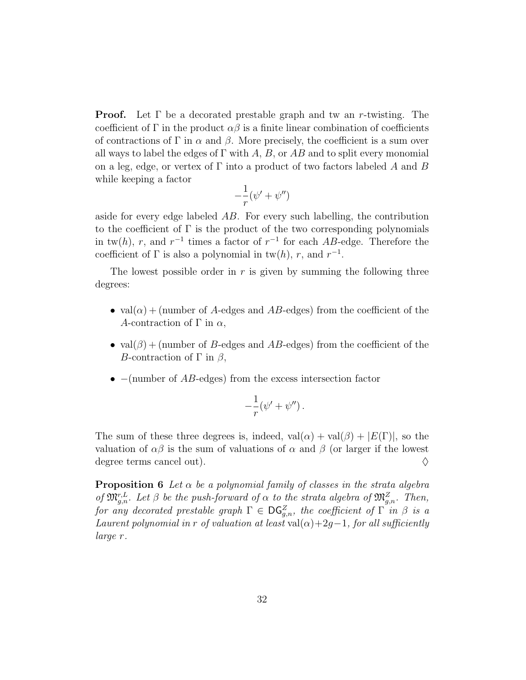**Proof.** Let  $\Gamma$  be a decorated prestable graph and tw an r-twisting. The coefficient of Γ in the product  $\alpha\beta$  is a finite linear combination of coefficients of contractions of  $\Gamma$  in  $\alpha$  and  $\beta$ . More precisely, the coefficient is a sum over all ways to label the edges of  $\Gamma$  with A, B, or AB and to split every monomial on a leg, edge, or vertex of  $\Gamma$  into a product of two factors labeled A and B while keeping a factor

$$
-\frac{1}{r}(\psi'+\psi'')
$$

aside for every edge labeled AB. For every such labelling, the contribution to the coefficient of  $\Gamma$  is the product of the two corresponding polynomials in tw(h), r, and  $r^{-1}$  times a factor of  $r^{-1}$  for each AB-edge. Therefore the coefficient of  $\Gamma$  is also a polynomial in tw(h), r, and  $r^{-1}$ .

The lowest possible order in  $r$  is given by summing the following three degrees:

- val $(\alpha)$  + (number of A-edges and AB-edges) from the coefficient of the A-contraction of  $\Gamma$  in  $\alpha$ ,
- val $(\beta)$  + (number of B-edges and AB-edges) from the coefficient of the B-contraction of  $\Gamma$  in  $\beta$ ,
- $-(\text{number of }AB\text{-edges})$  from the excess intersection factor

$$
-\frac{1}{r}(\psi'+\psi'')\,.
$$

The sum of these three degrees is, indeed,  $val(\alpha) + val(\beta) + |E(\Gamma)|$ , so the valuation of  $\alpha\beta$  is the sum of valuations of  $\alpha$  and  $\beta$  (or larger if the lowest degree terms cancel out).  $\diamondsuit$ 

**Proposition 6** Let  $\alpha$  be a polynomial family of classes in the strata algebra of  $\mathfrak{M}_{g,n}^{r,L}$ . Let  $\beta$  be the push-forward of  $\alpha$  to the strata algebra of  $\mathfrak{M}_{g,n}^Z$ . Then, for any decorated prestable graph  $\Gamma \in \mathsf{DG}_{g,n}^Z$ , the coefficient of  $\Gamma$  in  $\beta$  is a Laurent polynomial in r of valuation at least val( $\alpha$ )+2g−1, for all sufficiently large r.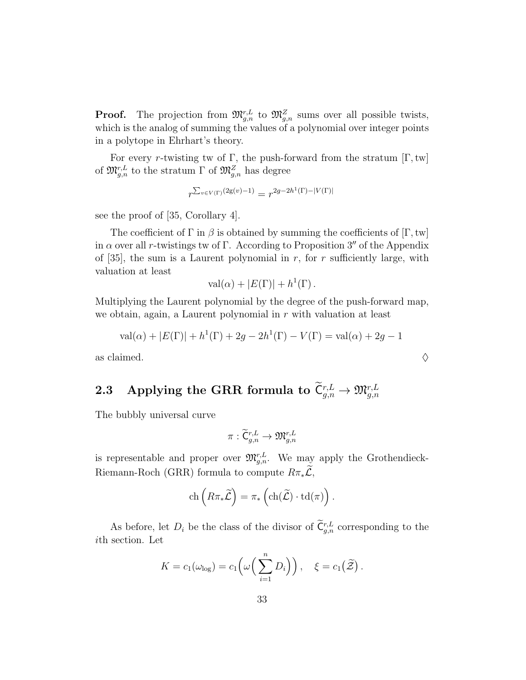**Proof.** The projection from  $\mathfrak{M}_{g,n}^{r,L}$  to  $\mathfrak{M}_{g,n}^{Z}$  sums over all possible twists, which is the analog of summing the values of a polynomial over integer points in a polytope in Ehrhart's theory.

For every r-twisting tw of  $\Gamma$ , the push-forward from the stratum  $[\Gamma, \text{tw}]$ of  $\mathfrak{M}^{r,L}_{g,n}$  to the stratum  $\Gamma$  of  $\mathfrak{M}^{Z}_{g,n}$  has degree

$$
r^{\sum_{v \in V(\Gamma)} (2g(v) - 1)} = r^{2g - 2h^1(\Gamma) - |V(\Gamma)|}
$$

see the proof of [35, Corollary 4].

The coefficient of  $\Gamma$  in  $\beta$  is obtained by summing the coefficients of  $[\Gamma, \text{tw}]$ in  $\alpha$  over all r-twistings tw of Γ. According to Proposition 3" of the Appendix of [35], the sum is a Laurent polynomial in  $r$ , for  $r$  sufficiently large, with valuation at least

$$
\mathrm{val}(\alpha) + |E(\Gamma)| + h^{1}(\Gamma).
$$

Multiplying the Laurent polynomial by the degree of the push-forward map, we obtain, again, a Laurent polynomial in r with valuation at least

$$
val(\alpha) + |E(\Gamma)| + h^{1}(\Gamma) + 2g - 2h^{1}(\Gamma) - V(\Gamma) = val(\alpha) + 2g - 1
$$

as claimed.  $\Diamond$ 

# ${\bf 2.3} \quad \text{Applying the GRR formula to } \widetilde{\mathsf{C}}^{r,L}_{g,n} \rightarrow \mathfrak{M}^{r,L}_{g,n}$

The bubbly universal curve

$$
\pi:\widetilde{\mathsf{C}}^{r,L}_{g,n}\to \mathfrak{M}^{r,L}_{g,n}
$$

is representable and proper over  $\mathfrak{M}_{g,n}^{r,L}$ . We may apply the Grothendieck-Riemann-Roch (GRR) formula to compute  $R\pi_*\widetilde{\mathcal{L}}$ ,

$$
\operatorname{ch}\left(R\pi_*\widetilde{\mathcal{L}}\right)=\pi_*\left(\operatorname{ch}(\widetilde{\mathcal{L}})\cdot\operatorname{td}(\pi)\right).
$$

As before, let  $D_i$  be the class of the divisor of  $\tilde{\mathsf{C}}_{g,n}^{r,L}$  corresponding to the ith section. Let

$$
K = c_1(\omega_{\text{log}}) = c_1\left(\omega\left(\sum_{i=1}^n D_i\right)\right), \quad \xi = c_1(\widetilde{\mathcal{Z}}).
$$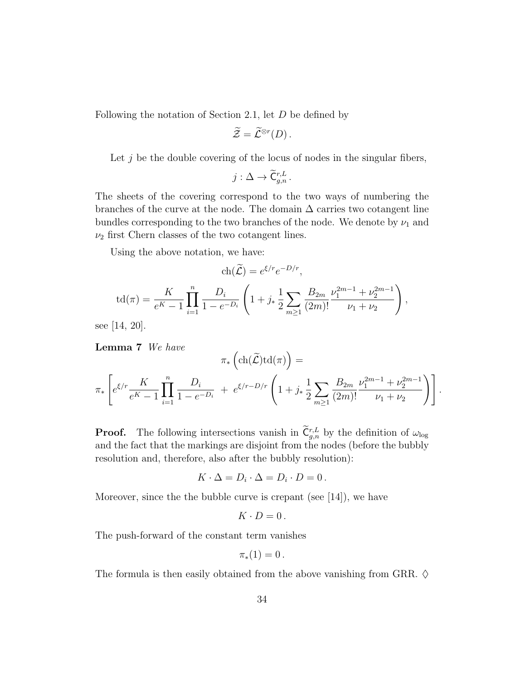Following the notation of Section 2.1, let D be defined by

$$
\widetilde{\mathcal{Z}}=\widetilde{\mathcal{L}}^{\otimes r}(D).
$$

Let  $j$  be the double covering of the locus of nodes in the singular fibers,

$$
j:\Delta\to \widetilde{\mathsf{C}}^{r,L}_{g,n}.
$$

The sheets of the covering correspond to the two ways of numbering the branches of the curve at the node. The domain  $\Delta$  carries two cotangent line bundles corresponding to the two branches of the node. We denote by  $\nu_1$  and  $\nu_2$  first Chern classes of the two cotangent lines.

Using the above notation, we have:

$$
\operatorname{ch}(\widetilde{\mathcal{L}}) = e^{\xi/r} e^{-D/r},
$$
  

$$
\operatorname{td}(\pi) = \frac{K}{e^{K} - 1} \prod_{i=1}^{n} \frac{D_i}{1 - e^{-D_i}} \left( 1 + j_* \frac{1}{2} \sum_{m \ge 1} \frac{B_{2m}}{(2m)!} \frac{\nu_1^{2m-1} + \nu_2^{2m-1}}{\nu_1 + \nu_2} \right),
$$

see [14, 20].

**Lemma 7** We have  
\n
$$
\pi_* \left( \text{ch}(\widetilde{\mathcal{L}}) \text{td}(\pi) \right) =
$$
\n
$$
\pi_* \left[ e^{\xi/r} \frac{K}{e^K - 1} \prod_{i=1}^n \frac{D_i}{1 - e^{-D_i}} + e^{\xi/r - D/r} \left( 1 + j_* \frac{1}{2} \sum_{m \ge 1} \frac{B_{2m}}{(2m)!} \frac{\nu_1^{2m-1} + \nu_2^{2m-1}}{\nu_1 + \nu_2} \right) \right].
$$

**Proof.** The following intersections vanish in  $C_{g,n}^{r,L}$  by the definition of  $\omega_{\log}$ and the fact that the markings are disjoint from the nodes (before the bubbly resolution and, therefore, also after the bubbly resolution):

$$
K \cdot \Delta = D_i \cdot \Delta = D_i \cdot D = 0.
$$

Moreover, since the the bubble curve is crepant (see [14]), we have

$$
K\cdot D=0\,.
$$

The push-forward of the constant term vanishes

$$
\pi_*(1)=0.
$$

The formula is then easily obtained from the above vanishing from GRR.  $\diamond$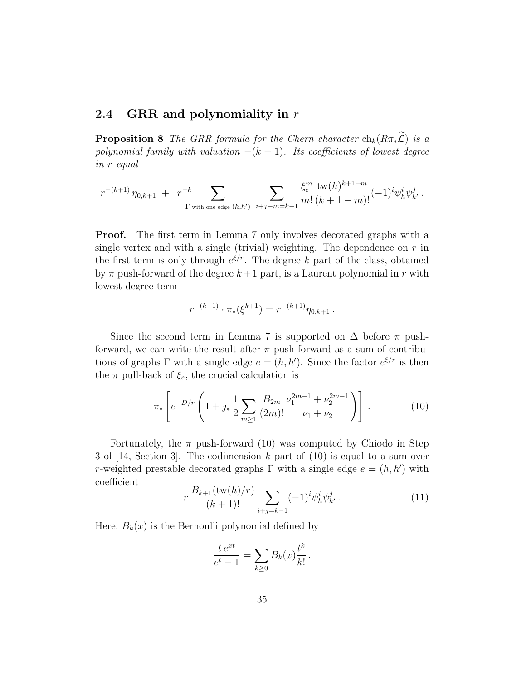#### 2.4 GRR and polynomiality in  $r$

**Proposition 8** The GRR formula for the Chern character  $\text{ch}_k(R\pi_*\widetilde{\mathcal{L}})$  is a polynomial family with valuation  $-(k + 1)$ . Its coefficients of lowest degree in r equal

$$
r^{-(k+1)}\,\eta_{0,k+1}\,\,+\,\,\,r^{-k}\sum_{\Gamma\text{ with one edge }(h,h')}\;\sum_{i+j+m=k-1}\frac{\xi_e^m\,\operatorname{tw}(h)^{k+1-m}}{m!}\bigl(-1)^i\psi^i_h\psi^j_{h'}\,.
$$

**Proof.** The first term in Lemma 7 only involves decorated graphs with a single vertex and with a single (trivial) weighting. The dependence on  $r$  in the first term is only through  $e^{\xi/r}$ . The degree k part of the class, obtained by  $\pi$  push-forward of the degree  $k+1$  part, is a Laurent polynomial in r with lowest degree term

$$
r^{-(k+1)} \cdot \pi_*(\xi^{k+1}) = r^{-(k+1)} \eta_{0,k+1} \, .
$$

Since the second term in Lemma 7 is supported on  $\Delta$  before  $\pi$  pushforward, we can write the result after  $\pi$  push-forward as a sum of contributions of graphs  $\Gamma$  with a single edge  $e = (h, h')$ . Since the factor  $e^{\xi/r}$  is then the  $\pi$  pull-back of  $\xi_e$ , the crucial calculation is

$$
\pi_* \left[ e^{-D/r} \left( 1 + j_* \frac{1}{2} \sum_{m \ge 1} \frac{B_{2m}}{(2m)!} \frac{\nu_1^{2m-1} + \nu_2^{2m-1}}{\nu_1 + \nu_2} \right) \right]. \tag{10}
$$

Fortunately, the  $\pi$  push-forward (10) was computed by Chiodo in Step 3 of [14, Section 3]. The codimension k part of (10) is equal to a sum over r-weighted prestable decorated graphs  $\Gamma$  with a single edge  $e = (h, h')$  with coefficient

$$
r \frac{B_{k+1}(\text{tw}(h)/r)}{(k+1)!} \sum_{i+j=k-1} (-1)^i \psi_h^i \psi_{h'}^j.
$$
 (11)

Here,  $B_k(x)$  is the Bernoulli polynomial defined by

$$
\frac{t e^{xt}}{e^t - 1} = \sum_{k \ge 0} B_k(x) \frac{t^k}{k!}.
$$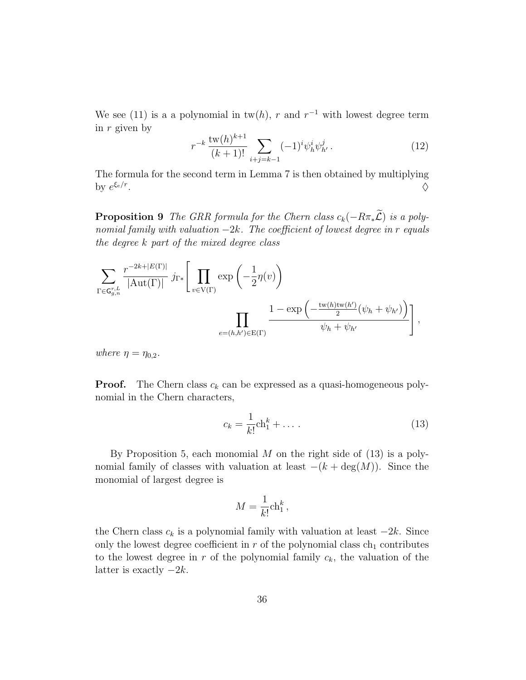We see (11) is a a polynomial in  $tw(h)$ , r and  $r^{-1}$  with lowest degree term in r given by

$$
r^{-k} \frac{\text{tw}(h)^{k+1}}{(k+1)!} \sum_{i+j=k-1} (-1)^i \psi_h^i \psi_{h'}^j.
$$
 (12)

The formula for the second term in Lemma 7 is then obtained by multiplying by  $e^{\xi_e/r}$ . And the contract of the contract of the contract of the contract of the contract of the contract of the contract of the contract of the contract of the contract of the contract of the contract of the contract of the con

**Proposition 9** The GRR formula for the Chern class  $c_k(-R\pi_*\widetilde{L})$  is a polynomial family with valuation  $-2k$ . The coefficient of lowest degree in r equals the degree k part of the mixed degree class

$$
\sum_{\Gamma \in \mathbf{G}_{g,n}^{r,L}} \frac{r^{-2k+|E(\Gamma)|}}{|\mathrm{Aut}(\Gamma)|} j_{\Gamma*} \left[ \prod_{v \in V(\Gamma)} \exp\left(-\frac{1}{2} \eta(v)\right) \right]
$$

$$
\prod_{e=(h,h') \in E(\Gamma)} \frac{1 - \exp\left(-\frac{\mathrm{tw}(h)\mathrm{tw}(h')}{2} (\psi_h + \psi_{h'})\right)}{\psi_h + \psi_{h'}} \right],
$$

where  $\eta = \eta_{0,2}$ .

**Proof.** The Chern class  $c_k$  can be expressed as a quasi-homogeneous polynomial in the Chern characters,

$$
c_k = \frac{1}{k!} \text{ch}_1^k + \dots \tag{13}
$$

By Proposition 5, each monomial  $M$  on the right side of  $(13)$  is a polynomial family of classes with valuation at least  $-(k + \deg(M))$ . Since the monomial of largest degree is

$$
M = \frac{1}{k!} \text{ch}_1^k,
$$

the Chern class  $c_k$  is a polynomial family with valuation at least  $-2k$ . Since only the lowest degree coefficient in  $r$  of the polynomial class  $ch_1$  contributes to the lowest degree in  $r$  of the polynomial family  $c_k$ , the valuation of the latter is exactly  $-2k$ .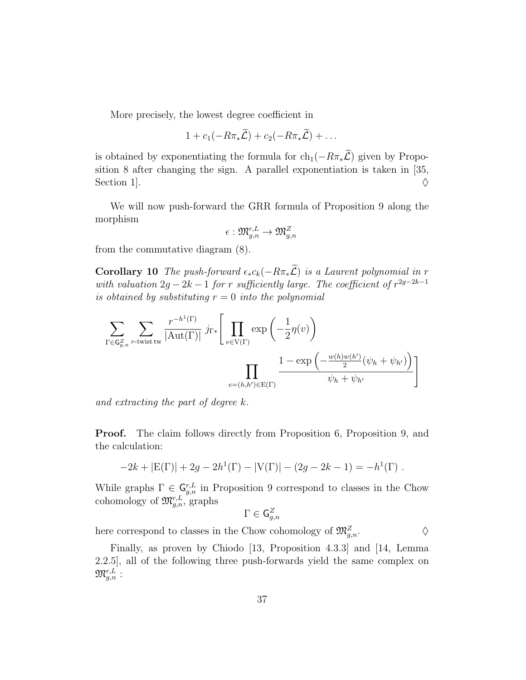More precisely, the lowest degree coefficient in

$$
1 + c_1(-R\pi_*\widetilde{\mathcal{L}}) + c_2(-R\pi_*\widetilde{\mathcal{L}}) + \ldots
$$

is obtained by exponentiating the formula for  $ch_1(-R\pi_*\widetilde{\mathcal{L}})$  given by Proposition 8 after changing the sign. A parallel exponentiation is taken in [35, Section 1].

We will now push-forward the GRR formula of Proposition 9 along the morphism

$$
\epsilon: \mathfrak{M}^{r,L}_{g,n}\to \mathfrak{M}^Z_{g,n}
$$

from the commutative diagram (8).

**Corollary 10** The push-forward  $\epsilon_* c_k(-R\pi_*\tilde{L})$  is a Laurent polynomial in r with valuation  $2g - 2k - 1$  for r sufficiently large. The coefficient of  $r^{2g-2k-1}$ is obtained by substituting  $r = 0$  into the polynomial

$$
\sum_{\Gamma \in \mathsf{G}_{g,n}^{Z}} \sum_{r \text{-twist tw}} \frac{r^{-h^{1}(\Gamma)}}{|\mathrm{Aut}(\Gamma)|} j_{\Gamma *}\left[\prod_{v \in \mathrm{V}(\Gamma)} \exp\left(-\frac{1}{2}\eta(v)\right)\right]
$$

$$
\prod_{e=(h,h') \in \mathrm{E}(\Gamma)} \frac{1-\exp\left(-\frac{w(h)w(h')}{2}(\psi_{h}+\psi_{h'})\right)}{\psi_{h}+\psi_{h'}}
$$

and extracting the part of degree k.

Proof. The claim follows directly from Proposition 6, Proposition 9, and the calculation:

$$
-2k + |E(\Gamma)| + 2g - 2h^{1}(\Gamma) - |V(\Gamma)| - (2g - 2k - 1) = -h^{1}(\Gamma).
$$

While graphs  $\Gamma \in \mathsf{G}_{g,n}^{r,L}$  in Proposition 9 correspond to classes in the Chow cohomology of  $\mathfrak{M}_{g,n}^{r,L}$ , graphs<br> $\Gamma \subset C^Z$ 

$$
\Gamma\in \mathsf{G}_{g,n}^Z
$$

here correspond to classes in the Chow cohomology of  $\mathfrak{M}^Z_{g,n}$ .

Finally, as proven by Chiodo [13, Proposition 4.3.3] and [14, Lemma 2.2.5], all of the following three push-forwards yield the same complex on  $\mathfrak{M}^{r,L}_{g,n}$  :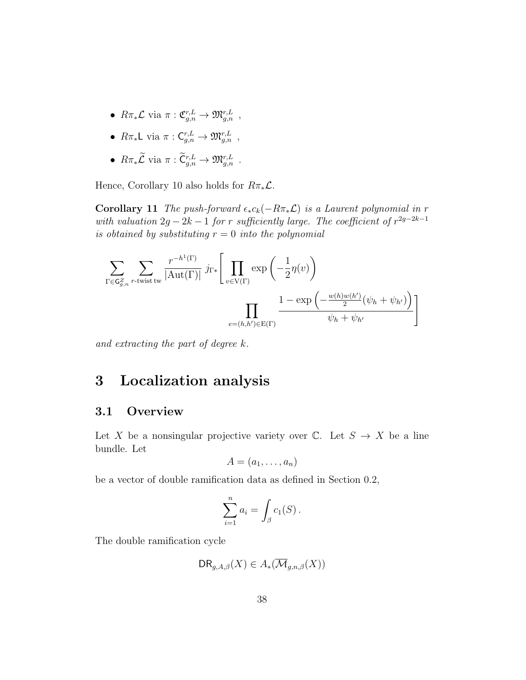- $R\pi_*\mathcal{L}$  via  $\pi: \mathfrak{C}_{g,n}^{r,L} \to \mathfrak{M}_{g,n}^{r,L}$ ,
- $R\pi_*\mathsf{L}$  via  $\pi: \mathsf{C}_{g,n}^{r,L} \to \mathfrak{M}_{g,n}^{r,L}$ ,
- $R\pi_*\mathcal{L}$  via  $\pi: \widetilde{\mathsf{C}}_{g,n}^{r,L} \to \mathfrak{M}_{g,n}^{r,L}$ .

Hence, Corollary 10 also holds for  $R\pi_*\mathcal{L}$ .

**Corollary 11** The push-forward  $\epsilon_* c_k(-R\pi_*\mathcal{L})$  is a Laurent polynomial in r with valuation  $2g - 2k - 1$  for r sufficiently large. The coefficient of  $r^{2g-2k-1}$ is obtained by substituting  $r = 0$  into the polynomial

$$
\sum_{\Gamma \in \mathsf{G}_{g,n}^Z} \sum_{r \text{-twist tw}} \frac{r^{-h^1(\Gamma)}}{|\text{Aut}(\Gamma)|} j_{\Gamma *} \left[ \prod_{v \in \mathrm{V}(\Gamma)} \exp\left(-\frac{1}{2} \eta(v)\right) \right]
$$

$$
\prod_{e=(h,h') \in \mathrm{E}(\Gamma)} \frac{1 - \exp\left(-\frac{w(h)w(h')}{2} (\psi_h + \psi_{h'})\right)}{\psi_h + \psi_{h'}}
$$

and extracting the part of degree k.

# 3 Localization analysis

### 3.1 Overview

Let X be a nonsingular projective variety over  $\mathbb{C}$ . Let  $S \to X$  be a line bundle. Let

$$
A=(a_1,\ldots,a_n)
$$

be a vector of double ramification data as defined in Section 0.2,

$$
\sum_{i=1}^n a_i = \int_{\beta} c_1(S) .
$$

The double ramification cycle

$$
\mathsf{DR}_{g,A,\beta}(X) \in A_*(\overline{\mathcal{M}}_{g,n,\beta}(X))
$$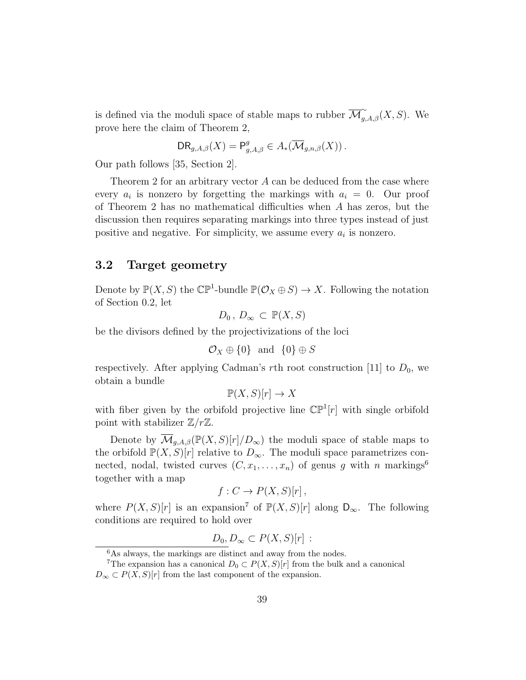is defined via the moduli space of stable maps to rubber  $\overline{\mathcal{M}}_{g,A,\beta}^{\sim}(X, S)$ . We prove here the claim of Theorem 2,

$$
\mathsf{DR}_{g,A,\beta}(X) = \mathsf{P}^g_{g,A,\beta} \in A_*(\overline{\mathcal{M}}_{g,n,\beta}(X)).
$$

Our path follows [35, Section 2].

Theorem 2 for an arbitrary vector A can be deduced from the case where every  $a_i$  is nonzero by forgetting the markings with  $a_i = 0$ . Our proof of Theorem 2 has no mathematical difficulties when A has zeros, but the discussion then requires separating markings into three types instead of just positive and negative. For simplicity, we assume every  $a_i$  is nonzero.

#### 3.2 Target geometry

Denote by  $\mathbb{P}(X, S)$  the  $\mathbb{CP}^1$ -bundle  $\mathbb{P}(\mathcal{O}_X \oplus S) \to X$ . Following the notation of Section 0.2, let

$$
D_0, D_{\infty} \subset \mathbb{P}(X, S)
$$

be the divisors defined by the projectivizations of the loci

$$
\mathcal{O}_X \oplus \{0\} \ \ \text{and} \ \ \{0\} \oplus S
$$

respectively. After applying Cadman's rth root construction [11] to  $D_0$ , we obtain a bundle

$$
\mathbb{P}(X, S)[r] \to X
$$

with fiber given by the orbifold projective line  $\mathbb{CP}^1[r]$  with single orbifold point with stabilizer  $\mathbb{Z}/r\mathbb{Z}$ .

Denote by  $\overline{\mathcal{M}}_{q,A,\beta}(\mathbb{P}(X,S)[r]/D_{\infty})$  the moduli space of stable maps to the orbifold  $\mathbb{P}(X, S)[r]$  relative to  $D_{\infty}$ . The moduli space parametrizes connected, nodal, twisted curves  $(C, x_1, \ldots, x_n)$  of genus g with n markings<sup>6</sup> together with a map

$$
f: C \to P(X, S)[r],
$$

where  $P(X, S)[r]$  is an expansion<sup>7</sup> of  $\mathbb{P}(X, S)[r]$  along  $D_{\infty}$ . The following conditions are required to hold over

$$
D_0, D_{\infty} \subset P(X, S)[r] :
$$

 ${}^{6}\mathrm{As}$  always, the markings are distinct and away from the nodes.

<sup>&</sup>lt;sup>7</sup>The expansion has a canonical  $D_0 \subset P(X, S)[r]$  from the bulk and a canonical  $D_{\infty} \subset P(X, S)[r]$  from the last component of the expansion.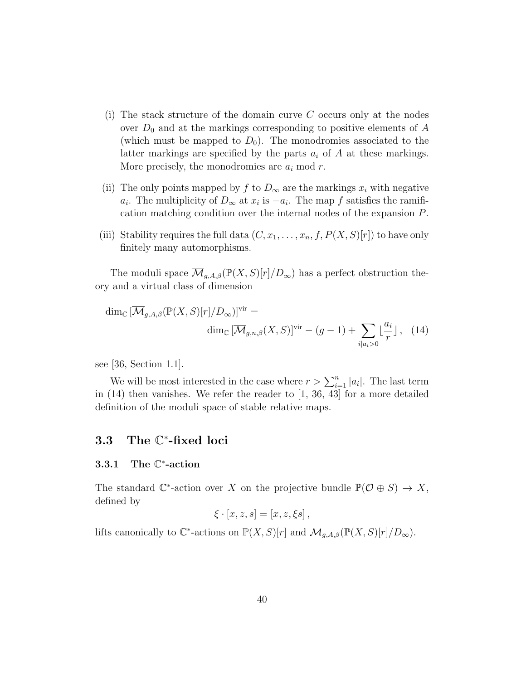- (i) The stack structure of the domain curve  $C$  occurs only at the nodes over  $D_0$  and at the markings corresponding to positive elements of A (which must be mapped to  $D_0$ ). The monodromies associated to the latter markings are specified by the parts  $a_i$  of A at these markings. More precisely, the monodromies are  $a_i \mod r$ .
- (ii) The only points mapped by f to  $D_{\infty}$  are the markings  $x_i$  with negative  $a_i$ . The multiplicity of  $D_{\infty}$  at  $x_i$  is  $-a_i$ . The map f satisfies the ramification matching condition over the internal nodes of the expansion P.
- (iii) Stability requires the full data  $(C, x_1, \ldots, x_n, f, P(X, S)[r])$  to have only finitely many automorphisms.

The moduli space  $\overline{\mathcal{M}}_{g,A,\beta}(\mathbb{P}(X,S)[r]/D_{\infty})$  has a perfect obstruction theory and a virtual class of dimension

$$
\dim_{\mathbb{C}}\left[\overline{\mathcal{M}}_{g,A,\beta}(\mathbb{P}(X,S)[r]/D_{\infty})\right]^{\text{vir}} = \dim_{\mathbb{C}}\left[\overline{\mathcal{M}}_{g,n,\beta}(X,S)\right]^{\text{vir}} - (g-1) + \sum_{i|a_i>0} \lfloor \frac{a_i}{r} \rfloor, \quad (14)
$$

see [36, Section 1.1].

We will be most interested in the case where  $r > \sum_{i=1}^{n} |a_i|$ . The last term in  $(14)$  then vanishes. We refer the reader to  $[1, 36, 43]$  for a more detailed definition of the moduli space of stable relative maps.

# 3.3 The C ∗ -fixed loci

### 3.3.1 The C ∗ -action

The standard  $\mathbb{C}^*$ -action over X on the projective bundle  $\mathbb{P}(\mathcal{O} \oplus S) \to X$ , defined by

$$
\xi \cdot [x, z, s] = [x, z, \xi s],
$$

lifts canonically to  $\mathbb{C}^*$ -actions on  $\mathbb{P}(X, S)[r]$  and  $\overline{\mathcal{M}}_{g,A,\beta}(\mathbb{P}(X, S)[r]/D_{\infty})$ .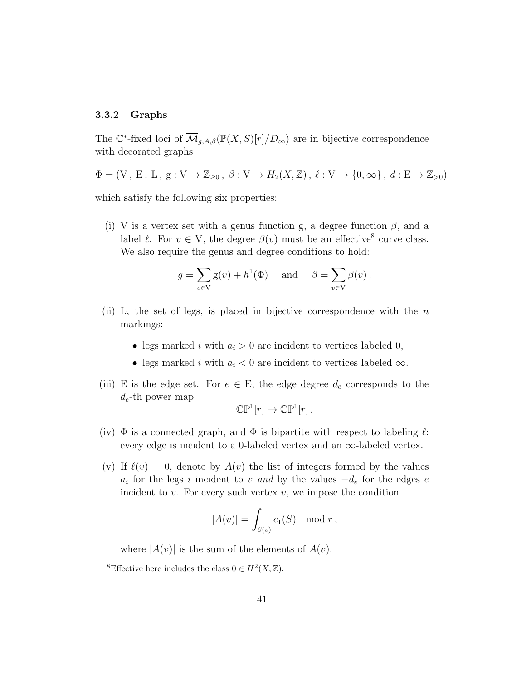#### 3.3.2 Graphs

The C<sup>\*</sup>-fixed loci of  $\overline{\mathcal{M}}_{g,A,\beta}(\mathbb{P}(X,S)[r]/D_{\infty})$  are in bijective correspondence with decorated graphs

$$
\Phi = (\mathbf{V}, \mathbf{E}, \mathbf{L}, \mathbf{g}: \mathbf{V} \to \mathbb{Z}_{\geq 0}, \beta: \mathbf{V} \to H_2(X, \mathbb{Z}), \ell: \mathbf{V} \to \{0, \infty\}, d: \mathbf{E} \to \mathbb{Z}_{> 0})
$$

which satisfy the following six properties:

(i) V is a vertex set with a genus function g, a degree function  $\beta$ , and a label  $\ell$ . For  $v \in V$ , the degree  $\beta(v)$  must be an effective<sup>8</sup> curve class. We also require the genus and degree conditions to hold:

$$
g = \sum_{v \in V} g(v) + h^1(\Phi)
$$
 and  $\beta = \sum_{v \in V} \beta(v)$ .

- (ii) L, the set of legs, is placed in bijective correspondence with the  $n$ markings:
	- legs marked i with  $a_i > 0$  are incident to vertices labeled 0,
	- legs marked i with  $a_i < 0$  are incident to vertices labeled  $\infty$ .
- (iii) E is the edge set. For  $e \in E$ , the edge degree  $d_e$  corresponds to the  $d_e$ -th power map

$$
\mathbb{CP}^1[r]\to\mathbb{CP}^1[r]\ .
$$

- (iv)  $\Phi$  is a connected graph, and  $\Phi$  is bipartite with respect to labeling  $\ell$ : every edge is incident to a 0-labeled vertex and an  $\infty$ -labeled vertex.
- (v) If  $\ell(v) = 0$ , denote by  $A(v)$  the list of integers formed by the values  $a_i$  for the legs i incident to v and by the values  $-d_e$  for the edges e incident to  $v$ . For every such vertex  $v$ , we impose the condition

$$
|A(v)| = \int_{\beta(v)} c_1(S) \mod r,
$$

where  $|A(v)|$  is the sum of the elements of  $A(v)$ .

<sup>&</sup>lt;sup>8</sup>Effective here includes the class  $0 \in H^2(X, \mathbb{Z})$ .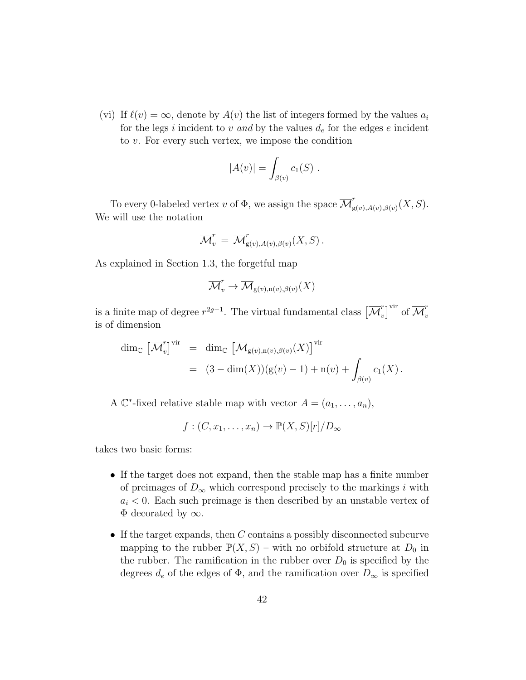(vi) If  $\ell(v) = \infty$ , denote by  $A(v)$  the list of integers formed by the values  $a_i$ for the legs i incident to v and by the values  $d_e$  for the edges e incident to v. For every such vertex, we impose the condition

$$
|A(v)| = \int_{\beta(v)} c_1(S) .
$$

To every 0-labeled vertex v of  $\Phi$ , we assign the space  $\overline{\mathcal{M}}_{\sigma}^{r}$  $\int_{g(v),A(v),\beta(v)}^{'}(X,S).$ We will use the notation

$$
\overline{\mathcal{M}}_v^r = \overline{\mathcal{M}}_{g(v), A(v), \beta(v)}^r(X, S).
$$

As explained in Section 1.3, the forgetful map

$$
\overline{\mathcal{M}}^r_v \to \overline{\mathcal{M}}_{\mathrm{g}(v),\mathrm{n}(v),\beta(v)}(X)
$$

is a finite map of degree  $r^{2g-1}$ . The virtual fundamental class  $\left[\overline{\mathcal{M}}_v^r\right]$  $\left[v\right]^\mathrm{vir}$  of  $\overline{\mathcal{M}}_v^r$ v is of dimension

$$
\dim_{\mathbb{C}} \left[ \overline{\mathcal{M}}_{v}^{r} \right]^{\text{vir}} = \dim_{\mathbb{C}} \left[ \overline{\mathcal{M}}_{g(v),n(v),\beta(v)}(X) \right]^{\text{vir}} \n= (3 - \dim(X)) (g(v) - 1) + n(v) + \int_{\beta(v)} c_1(X).
$$

A  $\mathbb{C}^*$ -fixed relative stable map with vector  $A = (a_1, \ldots, a_n)$ ,

 $f: (C, x_1, \ldots, x_n) \to \mathbb{P}(X, S)[r]/D_{\infty}$ 

takes two basic forms:

- If the target does not expand, then the stable map has a finite number of preimages of  $D_{\infty}$  which correspond precisely to the markings i with  $a_i < 0$ . Each such preimage is then described by an unstable vertex of  $\Phi$  decorated by  $\infty$ .
- If the target expands, then  $C$  contains a possibly disconnected subcurve mapping to the rubber  $\mathbb{P}(X, S)$  – with no orbifold structure at  $D_0$  in the rubber. The ramification in the rubber over  $D_0$  is specified by the degrees  $d_e$  of the edges of  $\Phi$ , and the ramification over  $D_{\infty}$  is specified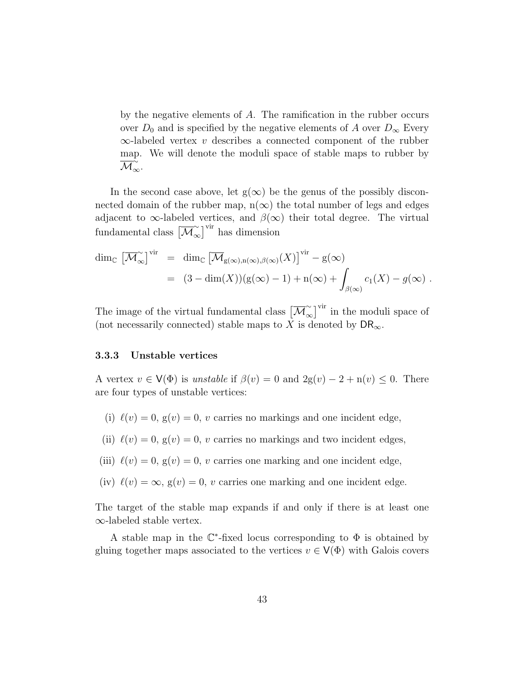by the negative elements of A. The ramification in the rubber occurs over  $D_0$  and is specified by the negative elements of A over  $D_{\infty}$  Every  $\infty$ -labeled vertex v describes a connected component of the rubber map. We will denote the moduli space of stable maps to rubber by  $\overline{\mathcal{M}}_\infty$ .

In the second case above, let  $g(\infty)$  be the genus of the possibly disconnected domain of the rubber map,  $n(\infty)$  the total number of legs and edges adjacent to  $\infty$ -labeled vertices, and  $\beta(\infty)$  their total degree. The virtual fundamental class  $\left[\overline{\mathcal{M}}_{\infty}^{\infty}\right]$  $\left[\infty\atop \infty\right]$ <sup>vir</sup> has dimension

$$
\dim_{\mathbb{C}} \left[ \overline{\mathcal{M}}_{\infty}^{\sim} \right]^{vir} = \dim_{\mathbb{C}} \left[ \overline{\mathcal{M}}_{g(\infty), n(\infty), \beta(\infty)}(X) \right]^{vir} - g(\infty)
$$
  
= 
$$
(3 - \dim(X)) (g(\infty) - 1) + n(\infty) + \int_{\beta(\infty)} c_1(X) - g(\infty) .
$$

The image of the virtual fundamental class  $\left[\overline{\mathcal{M}}_{\alpha}^{\sim}\right]$  $\left[\infty\atop{\infty}\right]$ <sup>vir</sup> in the moduli space of (not necessarily connected) stable maps to X is denoted by  $\mathsf{DR}_{\infty}$ .

#### 3.3.3 Unstable vertices

A vertex  $v \in V(\Phi)$  is unstable if  $\beta(v) = 0$  and  $2g(v) - 2 + n(v) \leq 0$ . There are four types of unstable vertices:

- (i)  $\ell(v) = 0$ ,  $g(v) = 0$ , v carries no markings and one incident edge,
- (ii)  $\ell(v) = 0$ ,  $g(v) = 0$ , v carries no markings and two incident edges,
- (iii)  $\ell(v) = 0$ ,  $g(v) = 0$ , v carries one marking and one incident edge,
- (iv)  $\ell(v) = \infty$ ,  $g(v) = 0$ , v carries one marking and one incident edge.

The target of the stable map expands if and only if there is at least one ∞-labeled stable vertex.

A stable map in the  $\mathbb{C}^*$ -fixed locus corresponding to  $\Phi$  is obtained by gluing together maps associated to the vertices  $v \in V(\Phi)$  with Galois covers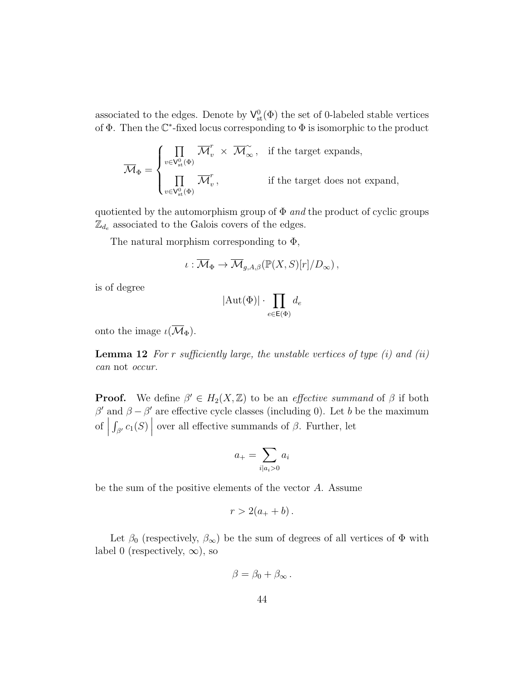associated to the edges. Denote by  $V^0_{st}(\Phi)$  the set of 0-labeled stable vertices of  $\Phi$ . Then the  $\mathbb{C}^*$ -fixed locus corresponding to  $\Phi$  is isomorphic to the product

$$
\overline{\mathcal{M}}_{\Phi} = \begin{cases} \prod_{v \in \mathsf{V}_{\mathsf{st}}^{0}(\Phi)} \overline{\mathcal{M}}_{v}^{r} \; \times \; \overline{\mathcal{M}}_{\infty}^{\sim} \, , & \text{if the target expands,} \\ \prod_{v \in \mathsf{V}_{\mathsf{st}}^{0}(\Phi)} \overline{\mathcal{M}}_{v}^{r} \, , & \text{if the target does not expand,} \end{cases}
$$

quotiented by the automorphism group of  $\Phi$  and the product of cyclic groups  $\mathbb{Z}_{d_e}$  associated to the Galois covers of the edges.

The natural morphism corresponding to  $\Phi$ ,

$$
\iota: \overline{\mathcal{M}}_{\Phi} \to \overline{\mathcal{M}}_{g,A,\beta}(\mathbb{P}(X,S)[r]/D_{\infty}),
$$

is of degree

$$
|\mathrm{Aut}(\Phi)|\cdot\prod_{e\in\mathsf{E}(\Phi)}d_e
$$

onto the image  $\iota(\overline{\mathcal{M}}_{\Phi}).$ 

**Lemma 12** For r sufficiently large, the unstable vertices of type  $(i)$  and  $(ii)$ can not occur.

**Proof.** We define  $\beta' \in H_2(X, \mathbb{Z})$  to be an *effective summand* of  $\beta$  if both  $β'$  and  $β - β'$  are effective cycle classes (including 0). Let b be the maximum  $\left| \right|$  $\int_{\beta'} c_1(S)$ over all effective summands of  $\beta$ . Further, let

$$
a_{+} = \sum_{i \mid a_{i} > 0} a_{i}
$$

be the sum of the positive elements of the vector A. Assume

$$
r>2(a_++b).
$$

Let  $\beta_0$  (respectively,  $\beta_{\infty}$ ) be the sum of degrees of all vertices of  $\Phi$  with label 0 (respectively,  $\infty$ ), so

$$
\beta = \beta_0 + \beta_{\infty}.
$$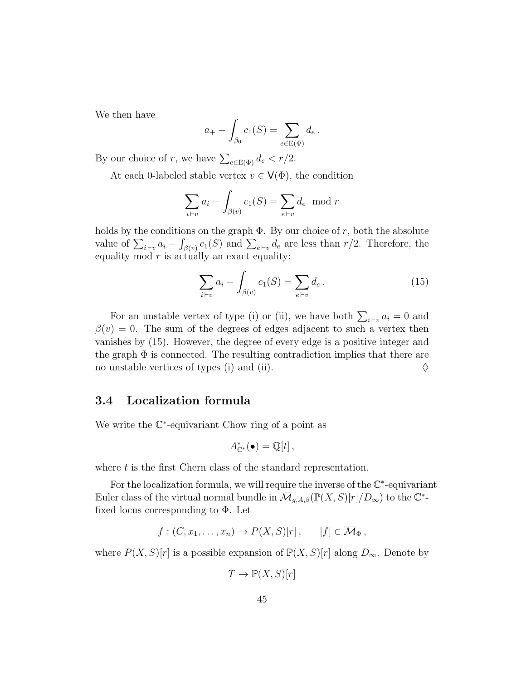We then have

$$
a_{+} - \int_{\beta_0} c_1(S) = \sum_{e \in E(\Phi)} d_e.
$$

By our choice of r, we have  $\sum_{e \in E(\Phi)} d_e < r/2$ .

At each 0-labeled stable vertex  $v \in V(\Phi)$ , the condition

$$
\sum_{i \vdash v} a_i - \int_{\beta(v)} c_1(S) = \sum_{e \vdash v} d_e \mod r
$$

holds by the conditions on the graph  $\Phi$ . By our choice of r, both the absolute value of  $\sum_{i\vdash v} a_i - \int_{\beta(v)} c_1(S)$  and  $\sum_{e\vdash v} d_e$  are less than  $r/2$ . Therefore, the equality mod  $r$  is actually an exact equality:

$$
\sum_{i \vdash v} a_i - \int_{\beta(v)} c_1(S) = \sum_{e \vdash v} d_e.
$$
 (15)

For an unstable vertex of type (i) or (ii), we have both  $\sum_{i\vdash v} a_i = 0$  and  $\beta(v) = 0$ . The sum of the degrees of edges adjacent to such a vertex then vanishes by (15). However, the degree of every edge is a positive integer and the graph  $\Phi$  is connected. The resulting contradiction implies that there are no unstable vertices of types (i) and (ii).  $\diamond$ 

#### 3.4 Localization formula

We write the  $\mathbb{C}^*$ -equivariant Chow ring of a point as

$$
A^*_{\mathbb{C}^*}(\bullet) = \mathbb{Q}[t],
$$

where  $t$  is the first Chern class of the standard representation.

For the localization formula, we will require the inverse of the  $\mathbb{C}^*$ -equivariant Euler class of the virtual normal bundle in  $\overline{\mathcal{M}}_{g,A,\beta}(\mathbb{P}(X,S)[r]/D_{\infty})$  to the  $\mathbb{C}^*$ fixed locus corresponding to  $\Phi$ . Let

$$
f:(C, x_1,...,x_n)\to P(X,S)[r],
$$
  $[f]\in \overline{\mathcal{M}}_{\Phi}$ ,

where  $P(X, S)[r]$  is a possible expansion of  $\mathbb{P}(X, S)[r]$  along  $D_{\infty}$ . Denote by

$$
T \to \mathbb{P}(X, S)[r]
$$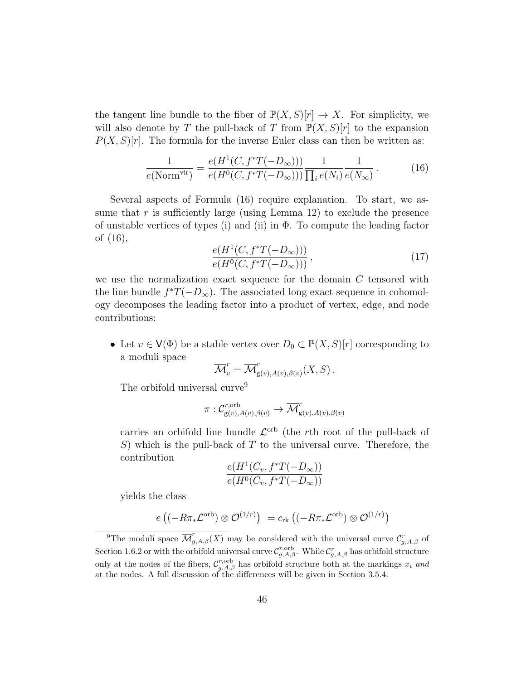the tangent line bundle to the fiber of  $\mathbb{P}(X, S)[r] \to X$ . For simplicity, we will also denote by T the pull-back of T from  $\mathbb{P}(X, S)[r]$  to the expansion  $P(X, S)[r]$ . The formula for the inverse Euler class can then be written as:

$$
\frac{1}{e(\text{Norm}^{\text{vir}})} = \frac{e(H^1(C, f^*T(-D_{\infty})))}{e(H^0(C, f^*T(-D_{\infty})))} \frac{1}{\prod_i e(N_i)} \frac{1}{e(N_{\infty})}.
$$
(16)

Several aspects of Formula (16) require explanation. To start, we assume that  $r$  is sufficiently large (using Lemma 12) to exclude the presence of unstable vertices of types (i) and (ii) in  $\Phi$ . To compute the leading factor of (16),

$$
\frac{e(H^1(C, f^*T(-D_{\infty})))}{e(H^0(C, f^*T(-D_{\infty})))},
$$
\n(17)

we use the normalization exact sequence for the domain  $C$  tensored with the line bundle  $f^*T(-D_{\infty})$ . The associated long exact sequence in cohomology decomposes the leading factor into a product of vertex, edge, and node contributions:

• Let  $v \in V(\Phi)$  be a stable vertex over  $D_0 \subset \mathbb{P}(X, S)[r]$  corresponding to a moduli space

$$
\overline{\mathcal{M}}_v^r = \overline{\mathcal{M}}_{g(v), A(v), \beta(v)}^r(X, S).
$$

The orbifold universal curve<sup>9</sup>

$$
\pi: \mathcal{C}^{r, \text{orb}}_{g(v), A(v), \beta(v)} \to \overline{\mathcal{M}}^r_{g(v), A(v), \beta(v)}
$$

carries an orbifold line bundle  $\mathcal{L}^{\text{orb}}$  (the rth root of the pull-back of S) which is the pull-back of  $T$  to the universal curve. Therefore, the contribution

$$
\frac{e(H^1(C_v, f^*T(-D_{\infty}))}{e(H^0(C_v, f^*T(-D_{\infty}))}
$$

yields the class

$$
e((-R\pi_*\mathcal{L}^{\mathrm{orb}})\otimes\mathcal{O}^{(1/r)}) = c_{\mathrm{rk}}((-R\pi_*\mathcal{L}^{\mathrm{orb}})\otimes\mathcal{O}^{(1/r)})
$$

<sup>&</sup>lt;sup>9</sup>The moduli space  $\overline{\mathcal{M}}_{g,A,\beta}^{r}(X)$  may be considered with the universal curve  $\mathcal{C}_{g,A,\beta}^{r}$  of Section 1.6.2 or with the orbifold universal curve  $\mathcal{C}_{g,A,\beta}^{r,\text{orb}}$ . While  $\mathcal{C}_{g,A,\beta}^{r}$  has orbifold structure only at the nodes of the fibers,  $\mathcal{C}_{g,A,\beta}^{r,\text{orb}}$  has orbifold structure both at the markings  $x_i$  and at the nodes. A full discussion of the differences will be given in Section 3.5.4.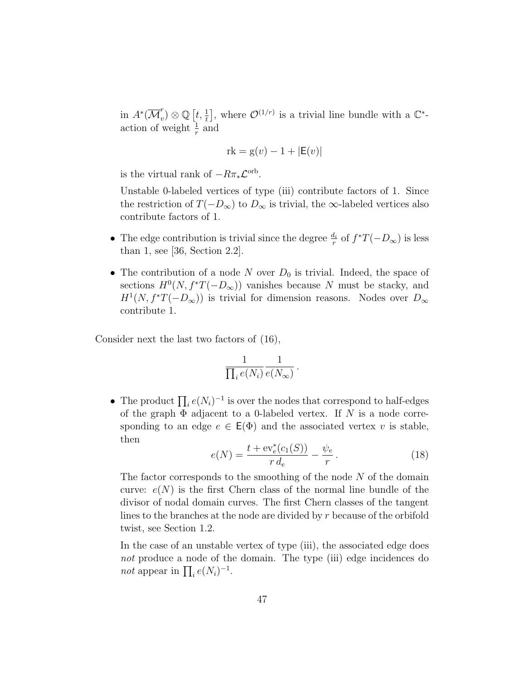in  $A^*(\overline{\mathcal{M}}_v^r)$  $v^r(v) \otimes \mathbb{Q}\left[t, \frac{1}{t}\right]$ , where  $\mathcal{O}^{(1/r)}$  is a trivial line bundle with a  $\mathbb{C}^*$ action of weight  $\frac{1}{r}$  and

$$
rk = g(v) - 1 + |E(v)|
$$

is the virtual rank of  $-R\pi_*\mathcal{L}^{\text{orb}}$ .

Unstable 0-labeled vertices of type (iii) contribute factors of 1. Since the restriction of  $T(-D_{\infty})$  to  $D_{\infty}$  is trivial, the  $\infty$ -labeled vertices also contribute factors of 1.

- The edge contribution is trivial since the degree  $\frac{d_i}{r}$  of  $f^*T(-D_{\infty})$  is less than 1, see [36, Section 2.2].
- The contribution of a node N over  $D_0$  is trivial. Indeed, the space of sections  $H^0(N, f^*T(-D_{\infty}))$  vanishes because N must be stacky, and  $H^1(N, f^*T(-D_{\infty}))$  is trivial for dimension reasons. Nodes over  $D_{\infty}$ contribute 1.

Consider next the last two factors of (16),

$$
\frac{1}{\prod_i e(N_i)}\frac{1}{e(N_\infty)}\,.
$$

• The product  $\prod_i e(N_i)^{-1}$  is over the nodes that correspond to half-edges of the graph  $\Phi$  adjacent to a 0-labeled vertex. If N is a node corresponding to an edge  $e \in \mathsf{E}(\Phi)$  and the associated vertex v is stable, then

$$
e(N) = \frac{t + \mathrm{ev}_e^*(c_1(S))}{r d_e} - \frac{\psi_e}{r}.
$$
 (18)

The factor corresponds to the smoothing of the node  $N$  of the domain curve:  $e(N)$  is the first Chern class of the normal line bundle of the divisor of nodal domain curves. The first Chern classes of the tangent lines to the branches at the node are divided by r because of the orbifold twist, see Section 1.2.

In the case of an unstable vertex of type (iii), the associated edge does not produce a node of the domain. The type (iii) edge incidences do *not* appear in  $\prod_i e(N_i)^{-1}$ .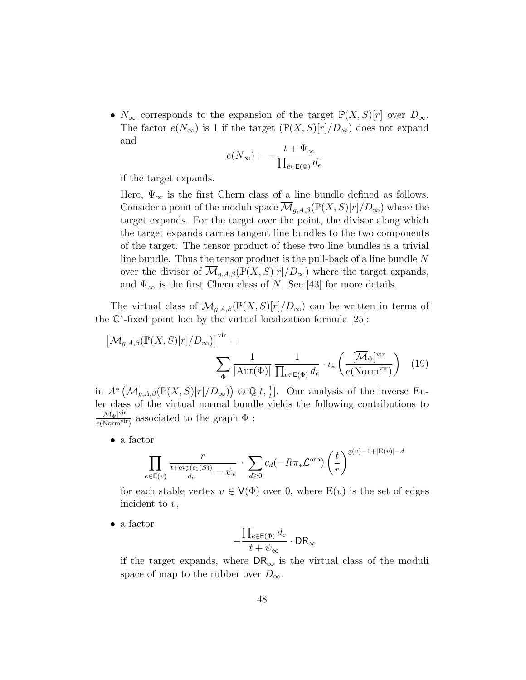•  $N_{\infty}$  corresponds to the expansion of the target  $\mathbb{P}(X, S)[r]$  over  $D_{\infty}$ . The factor  $e(N_{\infty})$  is 1 if the target  $(\mathbb{P}(X, S)[r]/D_{\infty})$  does not expand and

$$
e(N_{\infty})=-\frac{t+\Psi_{\infty}}{\prod_{e\in\mathsf{E}(\Phi)}d_e}
$$

if the target expands.

Here,  $\Psi_{\infty}$  is the first Chern class of a line bundle defined as follows. Consider a point of the moduli space  $\overline{\mathcal{M}}_{g,A,\beta}(\mathbb{P}(X,S)[r]/D_{\infty})$  where the target expands. For the target over the point, the divisor along which the target expands carries tangent line bundles to the two components of the target. The tensor product of these two line bundles is a trivial line bundle. Thus the tensor product is the pull-back of a line bundle N over the divisor of  $\overline{\mathcal{M}}_{g,A,\beta}(\mathbb{P}(X,S)[r]/D_{\infty})$  where the target expands, and  $\Psi_{\infty}$  is the first Chern class of N. See [43] for more details.

The virtual class of  $\mathcal{M}_{q,A,\beta}(\mathbb{P}(X,S)[r]/D_{\infty})$  can be written in terms of the C ∗ -fixed point loci by the virtual localization formula [25]:

$$
\left[\overline{\mathcal{M}}_{g,A,\beta}(\mathbb{P}(X,S)[r]/D_{\infty})\right]^{\text{vir}} = \sum_{\Phi} \frac{1}{|\text{Aut}(\Phi)|} \frac{1}{\prod_{e \in \mathbb{E}(\Phi)} d_e} \cdot \iota_*\left(\frac{|\overline{\mathcal{M}}_{\Phi}]^{\text{vir}}}{e(\text{Norm}^{\text{vir}})}\right) \tag{19}
$$

in  $A^*\left(\overline{\mathcal{M}}_{g,A,\beta}(\mathbb{P}(X,S)[r]/D_{\infty})\right) \otimes \mathbb{Q}[t,\frac{1}{t}].$  Our analysis of the inverse Euler class of the virtual normal bundle yields the following contributions to  $[\overline{\mathcal M}_\Phi]^{\rm vir}$  $\frac{[M_{\Phi}]^{(1)}}{e(\text{Norm}^{vir})}$  associated to the graph  $\Phi$ :

• a factor

$$
\prod_{e \in \mathsf{E}(v)} \frac{r}{\frac{t + \mathrm{ev}_e^*(c_1(S))}{d_e} - \psi_e} \cdot \sum_{d \ge 0} c_d(-R\pi_* \mathcal{L}^{\mathrm{orb}}) \left(\frac{t}{r}\right)^{\mathrm{g}(v) - 1 + |\mathrm{E}(v)| - d}
$$

for each stable vertex  $v \in V(\Phi)$  over 0, where  $E(v)$  is the set of edges incident to v,

• a factor

$$
-\frac{\prod_{e\in\mathsf{E}(\Phi)}d_e}{t+\psi_\infty}\cdot\mathsf{DR}_\infty
$$

if the target expands, where  $\textsf{DR}_{\infty}$  is the virtual class of the moduli space of map to the rubber over  $D_{\infty}$ .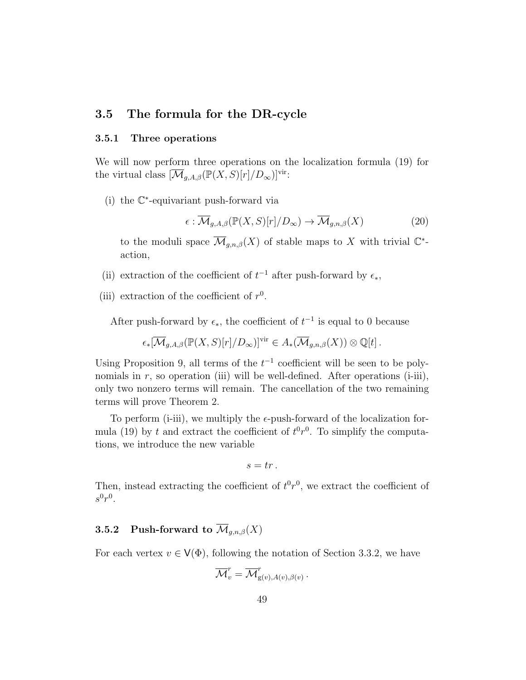#### 3.5 The formula for the DR-cycle

#### 3.5.1 Three operations

We will now perform three operations on the localization formula (19) for the virtual class  $[\overline{\mathcal{M}}_{q,A,\beta}(\mathbb{P}(X,S)[r]/D_\infty)]^{\text{vir}}$ :

(i) the C ∗ -equivariant push-forward via

$$
\epsilon : \overline{\mathcal{M}}_{g,A,\beta}(\mathbb{P}(X,S)[r]/D_{\infty}) \to \overline{\mathcal{M}}_{g,n,\beta}(X)
$$
 (20)

to the moduli space  $\overline{\mathcal{M}}_{g,n,\beta}(X)$  of stable maps to X with trivial  $\mathbb{C}^*$ action,

- (ii) extraction of the coefficient of  $t^{-1}$  after push-forward by  $\epsilon_*$ ,
- (iii) extraction of the coefficient of  $r^0$ .

After push-forward by  $\epsilon_{*}$ , the coefficient of  $t^{-1}$  is equal to 0 because

$$
\epsilon_*[\overline{\mathcal{M}}_{g,A,\beta}(\mathbb{P}(X,S)[r]/D_\infty)]^{\text{vir}} \in A_*(\overline{\mathcal{M}}_{g,n,\beta}(X)) \otimes \mathbb{Q}[t].
$$

Using Proposition 9, all terms of the  $t^{-1}$  coefficient will be seen to be polynomials in  $r$ , so operation (iii) will be well-defined. After operations (i-iii), only two nonzero terms will remain. The cancellation of the two remaining terms will prove Theorem 2.

To perform (i-iii), we multiply the  $\epsilon$ -push-forward of the localization formula (19) by t and extract the coefficient of  $t^0r^0$ . To simplify the computations, we introduce the new variable

$$
s=tr\,.
$$

Then, instead extracting the coefficient of  $t^0r^0$ , we extract the coefficient of  $s^0r^0$ .

# 3.5.2 Push-forward to  $\overline{\mathcal{M}}_{g,n,\beta}(X)$

For each vertex  $v \in V(\Phi)$ , following the notation of Section 3.3.2, we have

$$
\overline{\mathcal{M}}^r_v = \overline{\mathcal{M}}^r_{\mathrm{g}(v), A(v), \beta(v)}\,.
$$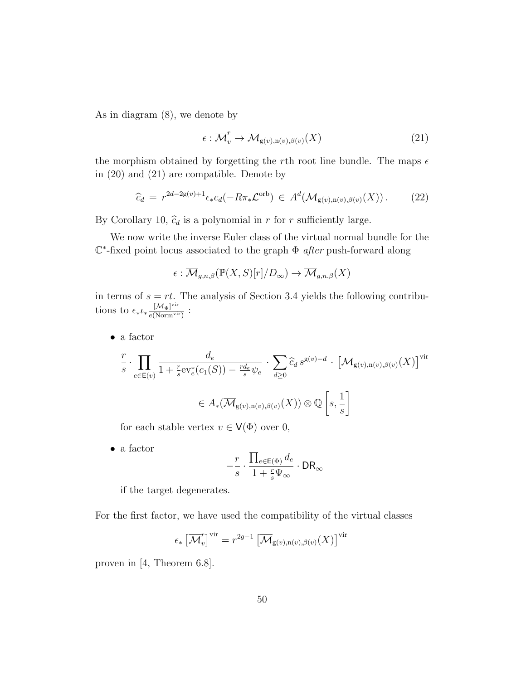As in diagram (8), we denote by

$$
\epsilon : \overline{\mathcal{M}}_v^r \to \overline{\mathcal{M}}_{g(v),n(v),\beta(v)}(X)
$$
\n(21)

the morphism obtained by forgetting the rth root line bundle. The maps  $\epsilon$ in (20) and (21) are compatible. Denote by

$$
\widehat{c}_d = r^{2d-2g(v)+1} \epsilon_* c_d(-R\pi_* \mathcal{L}^{\text{orb}}) \in A^d(\overline{\mathcal{M}}_{g(v),n(v),\beta(v)}(X)). \tag{22}
$$

By Corollary 10,  $\hat{c}_d$  is a polynomial in r for r sufficiently large.

We now write the inverse Euler class of the virtual normal bundle for the  $\mathbb{C}^*$ -fixed point locus associated to the graph  $\Phi$  after push-forward along

$$
\epsilon: \overline{\mathcal{M}}_{g,n,\beta}(\mathbb{P}(X,S)[r]/D_\infty) \to \overline{\mathcal{M}}_{g,n,\beta}(X)
$$

in terms of  $s = rt$ . The analysis of Section 3.4 yields the following contributions to  $\epsilon_* \iota_* \frac{[\overline{\mathcal{M}}_{\Phi}]^{\text{vir}}}{e(\text{Norm}^{\text{vir}})}$  $\frac{[M_{\Phi}]^{(1)}}{e(\text{Norm}^{\text{vir}})}$ :

• a factor

$$
\frac{r}{s} \cdot \prod_{e \in \mathsf{E}(v)} \frac{d_e}{1 + \frac{r}{s} \text{ev}_e^*(c_1(S)) - \frac{r d_e}{s} \psi_e} \cdot \sum_{d \ge 0} \widehat{c}_d s^{g(v) - d} \cdot \left[ \overline{\mathcal{M}}_{g(v), n(v), \beta(v)}(X) \right]^{\text{vir}} \in A_*(\overline{\mathcal{M}}_{g(v), n(v), \beta(v)}(X)) \otimes \mathbb{Q} \left[ s, \frac{1}{s} \right]
$$

for each stable vertex  $v \in V(\Phi)$  over 0,

• a factor

$$
-\frac{r}{s}\cdot\frac{\prod_{e\in\mathsf{E}(\Phi)}d_e}{1+\frac{r}{s}\Psi_\infty}\cdot\mathsf{DR}_\infty
$$

if the target degenerates.

For the first factor, we have used the compatibility of the virtual classes

$$
\epsilon_* \left[ \overline{\mathcal{M}}_v^r \right]^{\text{vir}} = r^{2g-1} \left[ \overline{\mathcal{M}}_{g(v),n(v),\beta(v)}(X) \right]^{\text{vir}}
$$

proven in [4, Theorem 6.8].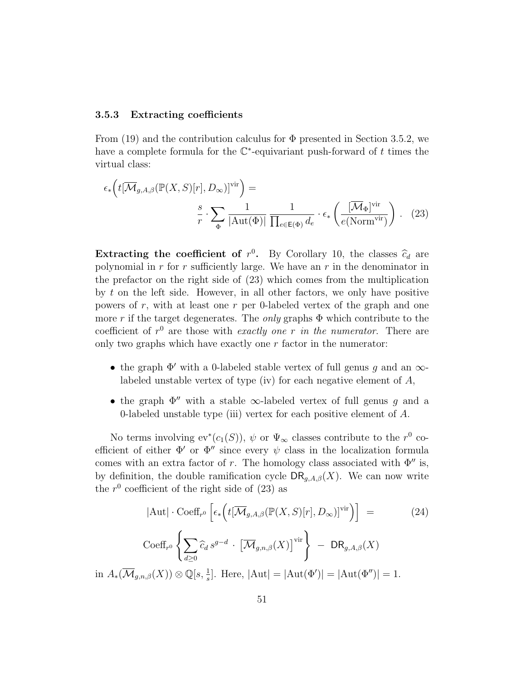#### 3.5.3 Extracting coefficients

From (19) and the contribution calculus for  $\Phi$  presented in Section 3.5.2, we have a complete formula for the  $\mathbb{C}^*$ -equivariant push-forward of t times the virtual class:

$$
\epsilon_* \left( t[\overline{\mathcal{M}}_{g,A,\beta}(\mathbb{P}(X,S)[r], D_{\infty})]^{\text{vir}} \right) =
$$

$$
\frac{s}{r} \cdot \sum_{\Phi} \frac{1}{|\text{Aut}(\Phi)|} \frac{1}{\prod_{e \in \mathsf{E}(\Phi)} d_e} \cdot \epsilon_* \left( \frac{[\overline{\mathcal{M}}_{\Phi}]^{\text{vir}}}{e(\text{Norm}^{\text{vir}})} \right). \quad (23)
$$

**Extracting the coefficient of**  $r^0$ . By Corollary 10, the classes  $\hat{c}_d$  are not promined in *x* for *x* sufficiently large. We have an *x* in the denominator in polynomial in  $r$  for  $r$  sufficiently large. We have an  $r$  in the denominator in the prefactor on the right side of (23) which comes from the multiplication by  $t$  on the left side. However, in all other factors, we only have positive powers of  $r$ , with at least one  $r$  per 0-labeled vertex of the graph and one more r if the target degenerates. The *only* graphs  $\Phi$  which contribute to the coefficient of  $r^0$  are those with exactly one r in the numerator. There are only two graphs which have exactly one  $r$  factor in the numerator:

- the graph  $\Phi'$  with a 0-labeled stable vertex of full genus g and an  $\infty$ labeled unstable vertex of type (iv) for each negative element of A,
- the graph  $\Phi''$  with a stable  $\infty$ -labeled vertex of full genus g and a 0-labeled unstable type (iii) vertex for each positive element of A.

No terms involving  $ev^*(c_1(S))$ ,  $\psi$  or  $\Psi_{\infty}$  classes contribute to the  $r^0$  coefficient of either  $\Phi'$  or  $\Phi''$  since every  $\psi$  class in the localization formula comes with an extra factor of r. The homology class associated with  $\Phi''$  is, by definition, the double ramification cycle  $\text{DR}_{g,A,\beta}(X)$ . We can now write the  $r^0$  coefficient of the right side of  $(23)$  as

$$
|\mathrm{Aut}| \cdot \mathrm{Coeff}_{r^0} \left[ \epsilon_* \left( t[\overline{\mathcal{M}}_{g,A,\beta}(\mathbb{P}(X,S)[r], D_\infty)]^{\mathrm{vir}} \right) \right] =
$$
 (24)  

$$
\mathrm{Coeff}_{r^0} \left\{ \sum_{d \ge 0} \widehat{c}_d \, s^{g-d} \cdot \left[ \overline{\mathcal{M}}_{g,n,\beta}(X) \right]^\mathrm{vir} \right\} - \mathrm{DR}_{g,A,\beta}(X)
$$
  
in  $A_*(\overline{\mathcal{M}}_{g,n,\beta}(X)) \otimes \mathbb{Q}[s, \frac{1}{s}].$  Here,  $|\mathrm{Aut}[\Phi']| = |\mathrm{Aut}(\Phi')| = |\mathrm{Aut}(\Phi'')| = 1.$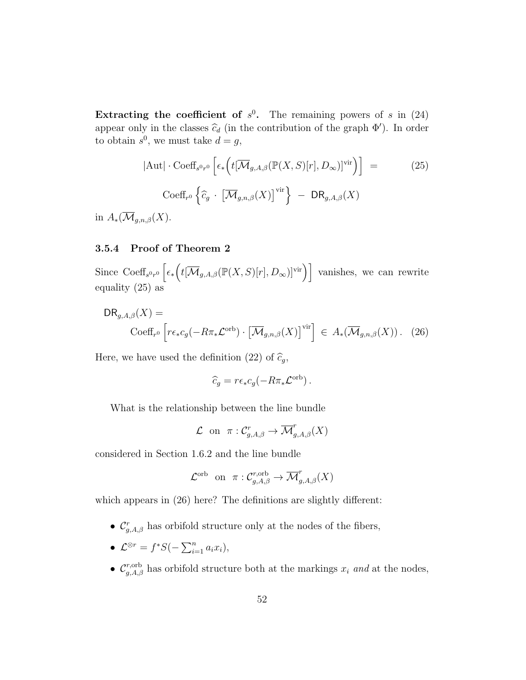Extracting the coefficient of  $s^0$ . The remaining powers of s in (24) appear only in the classes  $\hat{c}_d$  (in the contribution of the graph  $\Phi'$ ). In order to obtain  $s^0$ , we must take  $d = g$ ,

$$
|\text{Aut}| \cdot \text{Coeff}_{s^{0}r^{0}} \left[ \epsilon_{*} \left( t[\overline{\mathcal{M}}_{g,A,\beta}(\mathbb{P}(X,S)[r], D_{\infty})]^{\text{vir}} \right) \right] =
$$
 (25)  
\n
$$
\text{Coeff}_{r^{0}} \left\{ \widehat{c}_{g} \cdot \left[ \overline{\mathcal{M}}_{g,n,\beta}(X) \right]^{\text{vir}} \right\} - \text{DR}_{g,A,\beta}(X)
$$

in  $A_*(\overline{\mathcal{M}}_{g,n,\beta}(X)).$ 

#### 3.5.4 Proof of Theorem 2

Since  $\text{Coeff}_{s^0r^0}\left[\epsilon_*\left(t[\overline{\mathcal{M}}_{g,A,\beta}(\mathbb{P}(X,S)[r],D_\infty)]^{\text{vir}}\right)\right]$  vanishes, we can rewrite equality (25) as

$$
\text{DR}_{g,A,\beta}(X) = \text{Coeff}_{r^0} \left[ r\epsilon_* c_g(-R\pi_* \mathcal{L}^{\text{orb}}) \cdot \left[ \overline{\mathcal{M}}_{g,n,\beta}(X) \right]^{\text{vir}} \right] \in A_*(\overline{\mathcal{M}}_{g,n,\beta}(X)). \quad (26)
$$

Here, we have used the definition (22) of  $\widehat{c}_g$ ,

$$
\widehat{c}_g = r\epsilon_* c_g(-R\pi_*\mathcal{L}^{\text{orb}}).
$$

What is the relationship between the line bundle

$$
\mathcal{L} \text{ on } \pi: \mathcal{C}^r_{g,A,\beta} \to \overline{\mathcal{M}}^r_{g,A,\beta}(X)
$$

considered in Section 1.6.2 and the line bundle

$$
\mathcal{L}^{\mathrm{orb}} \quad \text{on} \quad \pi: \mathcal{C}^{r, \mathrm{orb}}_{g, A, \beta} \to \overline{\mathcal{M}}^r_{g, A, \beta}(X)
$$

which appears in  $(26)$  here? The definitions are slightly different:

- $\mathcal{C}_{g,A,\beta}^r$  has orbifold structure only at the nodes of the fibers,
- $\mathcal{L}^{\otimes r} = f^*S(-\sum_{i=1}^n a_i x_i),$
- $\mathcal{C}_{g,A,\beta}^{r,\text{orb}}$  has orbifold structure both at the markings  $x_i$  and at the nodes,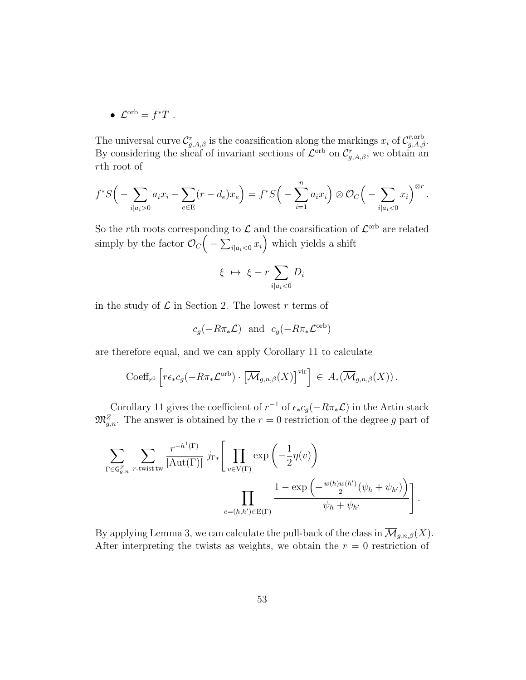• 
$$
\mathcal{L}^{\mathrm{orb}} = f^*T
$$
.

The universal curve  $\mathcal{C}_{g,A,\beta}^r$  is the coarsification along the markings  $x_i$  of  $\mathcal{C}_{g,A,\beta}^{r,\text{orb}}$ . By considering the sheaf of invariant sections of  $\mathcal{L}^{\text{orb}}$  on  $\mathcal{C}_{g,A,\beta}^{r}$ , we obtain an rth root of

$$
f^*S\Big(-\sum_{i|a_i>0}a_ix_i-\sum_{e\in E}(r-d_e)x_e\Big)=f^*S\Big(-\sum_{i=1}^n a_ix_i\Big)\otimes\mathcal{O}_C\Big(-\sum_{i|a_i<0}x_i\Big)^{\otimes r}.
$$

So the rth roots corresponding to  $\mathcal L$  and the coarsification of  $\mathcal L^{\text{orb}}$  are related simply by the factor  $\mathcal{O}_C\Big(-\sum_{i|a_i<0}x_i\Big)$  which yields a shift

$$
\xi \ \mapsto \ \xi - r \sum_{i \mid a_i < 0} D_i
$$

in the study of  $\mathcal L$  in Section 2. The lowest r terms of

$$
c_g(-R\pi_*\mathcal{L})
$$
 and  $c_g(-R\pi_*\mathcal{L}^{\text{orb}})$ 

are therefore equal, and we can apply Corollary 11 to calculate

$$
\mathrm{Coeff}_{r^0}\left[r\epsilon_* c_g(-R\pi_*\mathcal{L}^{\mathrm{orb}})\cdot\left[\overline{\mathcal{M}}_{g,n,\beta}(X)\right]^{\mathrm{vir}}\right] \in A_*(\overline{\mathcal{M}}_{g,n,\beta}(X)).
$$

Corollary 11 gives the coefficient of  $r^{-1}$  of  $\epsilon_* c_g(-R\pi_*\mathcal{L})$  in the Artin stack  $\mathfrak{M}_{g,n}^Z$ . The answer is obtained by the  $r=0$  restriction of the degree g part of

$$
\sum_{\Gamma \in \mathsf{G}_{g,n}^Z} \sum_{r \text{-twist tw}} \frac{r^{-h^1(\Gamma)}}{|\mathrm{Aut}(\Gamma)|} j_{\Gamma *} \left[ \prod_{v \in \mathrm{V}(\Gamma)} \exp\left(-\frac{1}{2}\eta(v)\right) \right]
$$

$$
\prod_{e=(h,h') \in \mathrm{E}(\Gamma)} \frac{1 - \exp\left(-\frac{w(h)w(h')}{2}(\psi_h + \psi_{h'})\right)}{\psi_h + \psi_{h'}} \right].
$$

By applying Lemma 3, we can calculate the pull-back of the class in  $\overline{\mathcal{M}}_{g,n,\beta}(X)$ . After interpreting the twists as weights, we obtain the  $r = 0$  restriction of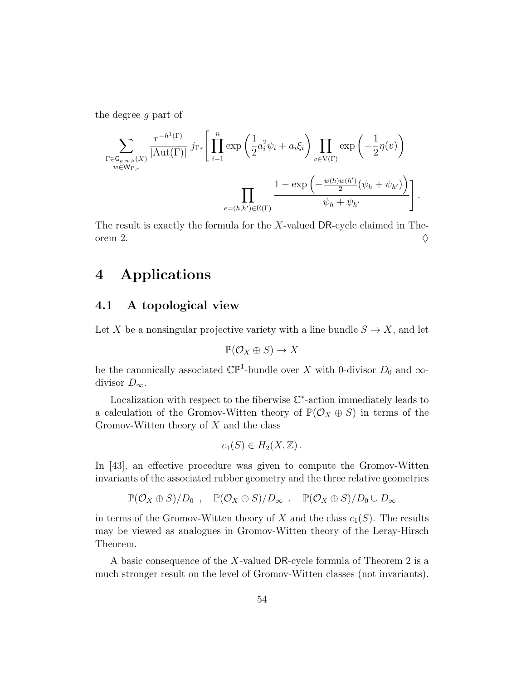the degree g part of

$$
\sum_{\substack{\Gamma \in \mathsf{G}_{g,n,\beta}(X) \\ w \in \mathsf{W}_{\Gamma,r}}} \frac{r^{-h^{1}(\Gamma)}}{|\mathrm{Aut}(\Gamma)|} j_{\Gamma*} \left[ \prod_{i=1}^{n} \exp \left( \frac{1}{2} a_i^2 \psi_i + a_i \xi_i \right) \prod_{v \in \mathrm{V}(\Gamma)} \exp \left( -\frac{1}{2} \eta(v) \right) \right]
$$

$$
= \prod_{e=(h,h') \in \mathrm{E}(\Gamma)} \frac{1 - \exp \left( -\frac{w(h)w(h')}{2} (\psi_h + \psi_{h'}) \right)}{\psi_h + \psi_{h'}} \right].
$$

The result is exactly the formula for the X-valued DR-cycle claimed in Theorem 2.  $\Diamond$ 

# 4 Applications

### 4.1 A topological view

Let X be a nonsingular projective variety with a line bundle  $S \to X$ , and let

$$
\mathbb{P}(\mathcal{O}_X \oplus S) \to X
$$

be the canonically associated  $\mathbb{CP}^1$ -bundle over X with 0-divisor  $D_0$  and  $\infty$ divisor  $D_{\infty}$ .

Localization with respect to the fiberwise  $\mathbb{C}^*$ -action immediately leads to a calculation of the Gromov-Witten theory of  $\mathbb{P}(\mathcal{O}_X \oplus S)$  in terms of the Gromov-Witten theory of  $X$  and the class

$$
c_1(S) \in H_2(X, \mathbb{Z}).
$$

In [43], an effective procedure was given to compute the Gromov-Witten invariants of the associated rubber geometry and the three relative geometries

$$
\mathbb{P}(\mathcal{O}_X \oplus S)/D_0 , \quad \mathbb{P}(\mathcal{O}_X \oplus S)/D_{\infty} , \quad \mathbb{P}(\mathcal{O}_X \oplus S)/D_0 \cup D_{\infty}
$$

in terms of the Gromov-Witten theory of X and the class  $c_1(S)$ . The results may be viewed as analogues in Gromov-Witten theory of the Leray-Hirsch Theorem.

A basic consequence of the X-valued DR-cycle formula of Theorem 2 is a much stronger result on the level of Gromov-Witten classes (not invariants).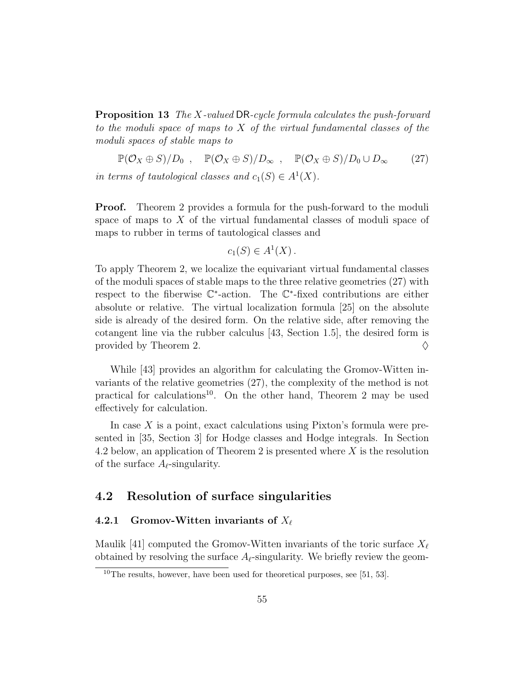Proposition 13 The X-valued DR-cycle formula calculates the push-forward to the moduli space of maps to  $X$  of the virtual fundamental classes of the moduli spaces of stable maps to

 $\mathbb{P}(\mathcal{O}_X \oplus S)/D_0$ ,  $\mathbb{P}(\mathcal{O}_X \oplus S)/D_{\infty}$ ,  $\mathbb{P}(\mathcal{O}_X \oplus S)/D_0 \cup D_{\infty}$  (27) in terms of tautological classes and  $c_1(S) \in A^1(X)$ .

**Proof.** Theorem 2 provides a formula for the push-forward to the moduli space of maps to  $X$  of the virtual fundamental classes of moduli space of maps to rubber in terms of tautological classes and

$$
c_1(S) \in A^1(X) \, .
$$

To apply Theorem 2, we localize the equivariant virtual fundamental classes of the moduli spaces of stable maps to the three relative geometries (27) with respect to the fiberwise  $\mathbb{C}^*$ -action. The  $\mathbb{C}^*$ -fixed contributions are either absolute or relative. The virtual localization formula [25] on the absolute side is already of the desired form. On the relative side, after removing the cotangent line via the rubber calculus [43, Section 1.5], the desired form is provided by Theorem 2.  $\Diamond$ 

While [43] provides an algorithm for calculating the Gromov-Witten invariants of the relative geometries (27), the complexity of the method is not practical for calculations<sup>10</sup>. On the other hand, Theorem 2 may be used effectively for calculation.

In case  $X$  is a point, exact calculations using Pixton's formula were presented in [35, Section 3] for Hodge classes and Hodge integrals. In Section 4.2 below, an application of Theorem 2 is presented where X is the resolution of the surface  $A_{\ell}$ -singularity.

### 4.2 Resolution of surface singularities

#### 4.2.1 Gromov-Witten invariants of  $X_\ell$

Maulik [41] computed the Gromov-Witten invariants of the toric surface  $X_\ell$ obtained by resolving the surface  $A_{\ell}$ -singularity. We briefly review the geom-

 $10$ The results, however, have been used for theoretical purposes, see [51, 53].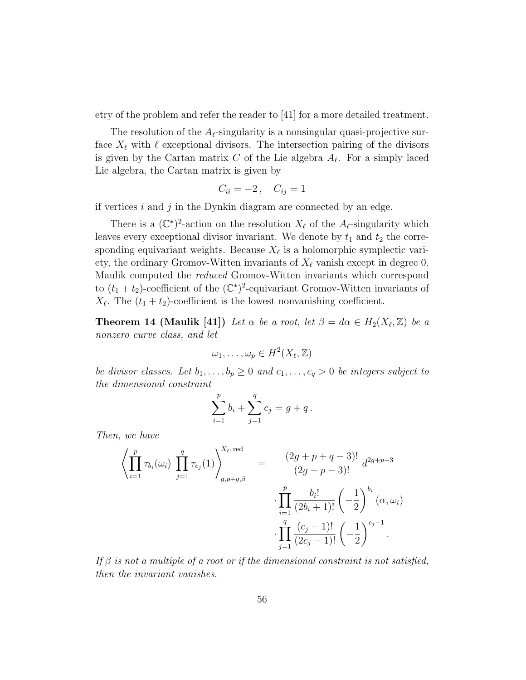etry of the problem and refer the reader to [41] for a more detailed treatment.

The resolution of the  $A_{\ell}$ -singularity is a nonsingular quasi-projective surface  $X_{\ell}$  with  $\ell$  exceptional divisors. The intersection pairing of the divisors is given by the Cartan matrix C of the Lie algebra  $A_{\ell}$ . For a simply laced Lie algebra, the Cartan matrix is given by

$$
C_{ii} = -2, \quad C_{ij} = 1
$$

if vertices  $i$  and  $j$  in the Dynkin diagram are connected by an edge.

There is a  $(\mathbb{C}^*)^2$ -action on the resolution  $X_{\ell}$  of the  $A_{\ell}$ -singularity which leaves every exceptional divisor invariant. We denote by  $t_1$  and  $t_2$  the corresponding equivariant weights. Because  $X_{\ell}$  is a holomorphic symplectic variety, the ordinary Gromov-Witten invariants of  $X_\ell$  vanish except in degree 0. Maulik computed the reduced Gromov-Witten invariants which correspond to  $(t_1 + t_2)$ -coefficient of the  $(\mathbb{C}^*)^2$ -equivariant Gromov-Witten invariants of  $X_{\ell}$ . The  $(t_1 + t_2)$ -coefficient is the lowest nonvanishing coefficient.

**Theorem 14 (Maulik [41])** Let  $\alpha$  be a root, let  $\beta = d\alpha \in H_2(X_{\ell}, \mathbb{Z})$  be a nonzero curve class, and let

$$
\omega_1,\ldots,\omega_p\in H^2(X_\ell,\mathbb{Z})
$$

be divisor classes. Let  $b_1, \ldots, b_p \geq 0$  and  $c_1, \ldots, c_q > 0$  be integers subject to the dimensional constraint

$$
\sum_{i=1}^{p} b_i + \sum_{j=1}^{q} c_j = g + q.
$$

Then, we have

$$
\left\langle \prod_{i=1}^{p} \tau_{b_i}(\omega_i) \prod_{j=1}^{q} \tau_{c_j}(1) \right\rangle_{g, p+q, \beta}^{X_{\ell}, \text{red}} = \frac{(2g+p+q-3)!}{(2g+p-3)!} d^{2g+p-3} \cdot \prod_{i=1}^{p} \frac{b_i!}{(2b_i+1)!} \left(-\frac{1}{2}\right)^{b_i} (\alpha, \omega_i) \cdot \prod_{j=1}^{q} \frac{(c_j-1)!}{(2c_j-1)!} \left(-\frac{1}{2}\right)^{c_j-1}.
$$

If  $\beta$  is not a multiple of a root or if the dimensional constraint is not satisfied, then the invariant vanishes.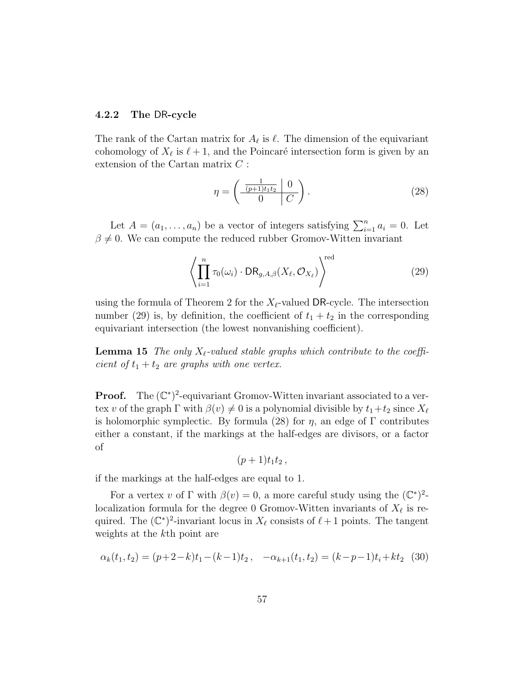#### 4.2.2 The DR-cycle

The rank of the Cartan matrix for  $A_{\ell}$  is  $\ell$ . The dimension of the equivariant cohomology of  $X_{\ell}$  is  $\ell + 1$ , and the Poincaré intersection form is given by an extension of the Cartan matrix C :

$$
\eta = \left(\begin{array}{c|c}\n\frac{1}{(p+1)t_1t_2} & 0 \\
\hline\n0 & C\n\end{array}\right).
$$
\n(28)

Let  $A = (a_1, \ldots, a_n)$  be a vector of integers satisfying  $\sum_{i=1}^n a_i = 0$ . Let  $\beta \neq 0$ . We can compute the reduced rubber Gromov-Witten invariant

$$
\left\langle \prod_{i=1}^{n} \tau_0(\omega_i) \cdot \text{DR}_{g,A,\beta}(X_{\ell}, \mathcal{O}_{X_{\ell}}) \right\rangle^{\text{red}}
$$
\n(29)

using the formula of Theorem 2 for the  $X_{\ell}$ -valued DR-cycle. The intersection number (29) is, by definition, the coefficient of  $t_1 + t_2$  in the corresponding equivariant intersection (the lowest nonvanishing coefficient).

**Lemma 15** The only  $X_{\ell}$ -valued stable graphs which contribute to the coefficient of  $t_1 + t_2$  are graphs with one vertex.

**Proof.** The  $(\mathbb{C}^*)^2$ -equivariant Gromov-Witten invariant associated to a vertex v of the graph Γ with  $\beta(v) \neq 0$  is a polynomial divisible by  $t_1+t_2$  since  $X_\ell$ is holomorphic symplectic. By formula (28) for  $\eta$ , an edge of Γ contributes either a constant, if the markings at the half-edges are divisors, or a factor of

$$
(p+1)t_1t_2,
$$

if the markings at the half-edges are equal to 1.

For a vertex v of  $\Gamma$  with  $\beta(v) = 0$ , a more careful study using the  $(\mathbb{C}^*)^2$ localization formula for the degree 0 Gromov-Witten invariants of  $X_{\ell}$  is required. The  $(\mathbb{C}^*)^2$ -invariant locus in  $X_\ell$  consists of  $\ell + 1$  points. The tangent weights at the kth point are

$$
\alpha_k(t_1, t_2) = (p+2-k)t_1 - (k-1)t_2, \quad -\alpha_{k+1}(t_1, t_2) = (k-p-1)t_1 + kt_2 \tag{30}
$$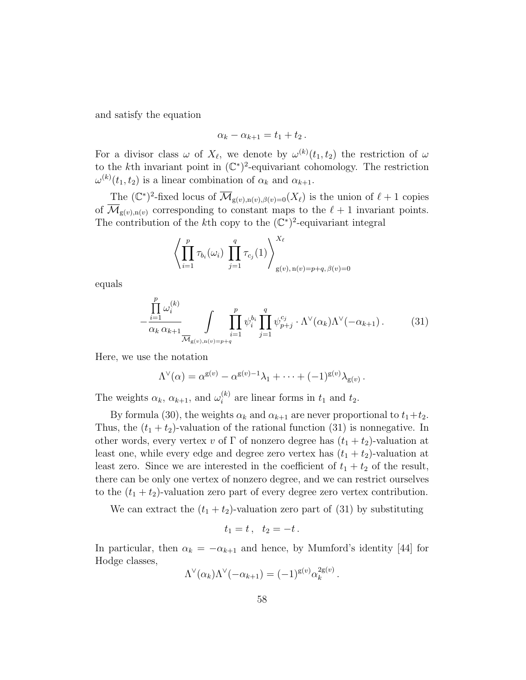and satisfy the equation

$$
\alpha_k-\alpha_{k+1}=t_1+t_2.
$$

For a divisor class  $\omega$  of  $X_{\ell}$ , we denote by  $\omega^{(k)}(t_1, t_2)$  the restriction of  $\omega$ to the k<sup>th</sup> invariant point in  $(\mathbb{C}^*)^2$ -equivariant cohomology. The restriction  $\omega^{(k)}(t_1, t_2)$  is a linear combination of  $\alpha_k$  and  $\alpha_{k+1}$ .

The  $(\mathbb{C}^*)^2$ -fixed locus of  $\overline{\mathcal{M}}_{g(v),n(v),\beta(v)=0}(X_\ell)$  is the union of  $\ell+1$  copies of  $\overline{\mathcal{M}}_{g(v),n(v)}$  corresponding to constant maps to the  $\ell + 1$  invariant points. The contribution of the k<sup>th</sup> copy to the  $(\mathbb{C}^*)^2$ -equivariant integral

$$
\left\langle \prod_{i=1}^p \tau_{b_i}(\omega_i) \prod_{j=1}^q \tau_{c_j}(1) \right\rangle_{g(v), n(v) = p+q, \beta(v) = 0}^{X_\ell}
$$

equals

$$
-\frac{\prod_{i=1}^{p} \omega_i^{(k)}}{\alpha_k \alpha_{k+1}} \int\limits_{\overline{\mathcal{M}}_{g(v),n(v)=p+q}} \prod_{i=1}^{p} \psi_i^{b_i} \prod_{j=1}^{q} \psi_{p+j}^{c_j} \cdot \Lambda^{\vee}(\alpha_k) \Lambda^{\vee}(-\alpha_{k+1}). \tag{31}
$$

Here, we use the notation

$$
\Lambda^{\vee}(\alpha) = \alpha^{\mathsf{g}(v)} - \alpha^{\mathsf{g}(v)-1}\lambda_1 + \cdots + (-1)^{\mathsf{g}(v)}\lambda_{\mathsf{g}(v)}.
$$

The weights  $\alpha_k$ ,  $\alpha_{k+1}$ , and  $\omega_i^{(k)}$  $i^{(k)}$  are linear forms in  $t_1$  and  $t_2$ .

By formula (30), the weights  $\alpha_k$  and  $\alpha_{k+1}$  are never proportional to  $t_1+t_2$ . Thus, the  $(t_1 + t_2)$ -valuation of the rational function (31) is nonnegative. In other words, every vertex v of  $\Gamma$  of nonzero degree has  $(t_1 + t_2)$ -valuation at least one, while every edge and degree zero vertex has  $(t_1 + t_2)$ -valuation at least zero. Since we are interested in the coefficient of  $t_1 + t_2$  of the result, there can be only one vertex of nonzero degree, and we can restrict ourselves to the  $(t_1 + t_2)$ -valuation zero part of every degree zero vertex contribution.

We can extract the  $(t_1 + t_2)$ -valuation zero part of (31) by substituting

$$
t_1=t\,,\ \ t_2=-t\,.
$$

In particular, then  $\alpha_k = -\alpha_{k+1}$  and hence, by Mumford's identity [44] for Hodge classes,

$$
\Lambda^{\vee}(\alpha_k)\Lambda^{\vee}(-\alpha_{k+1}) = (-1)^{g(v)}\alpha_k^{2g(v)}.
$$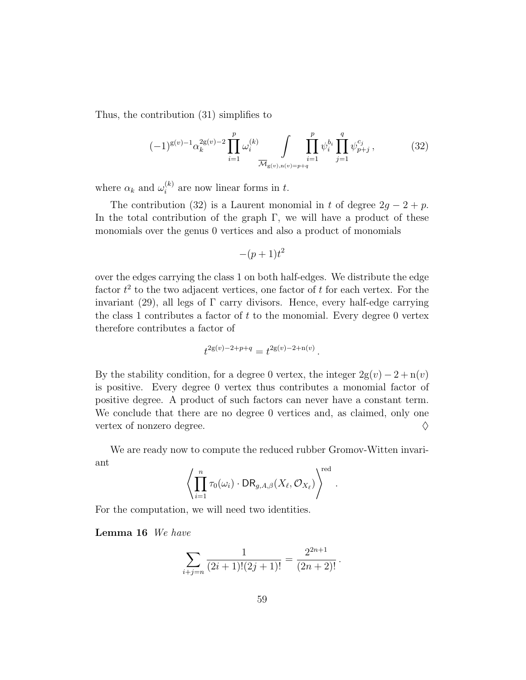Thus, the contribution (31) simplifies to

$$
(-1)^{g(v)-1} \alpha_k^{2g(v)-2} \prod_{i=1}^p \omega_i^{(k)} \int \prod_{i=1}^p \psi_i^{b_i} \prod_{j=1}^q \psi_{p+j}^{c_j}, \qquad (32)
$$

where  $\alpha_k$  and  $\omega_i^{(k)}$  $i^{(k)}$  are now linear forms in t.

The contribution (32) is a Laurent monomial in t of degree  $2g - 2 + p$ . In the total contribution of the graph  $\Gamma$ , we will have a product of these monomials over the genus 0 vertices and also a product of monomials

$$
-(p+1)t^2
$$

over the edges carrying the class 1 on both half-edges. We distribute the edge factor  $t^2$  to the two adjacent vertices, one factor of t for each vertex. For the invariant (29), all legs of  $\Gamma$  carry divisors. Hence, every half-edge carrying the class 1 contributes a factor of  $t$  to the monomial. Every degree 0 vertex therefore contributes a factor of

$$
t^{2g(v)-2+p+q} = t^{2g(v)-2+n(v)}.
$$

By the stability condition, for a degree 0 vertex, the integer  $2g(v) - 2 + n(v)$ is positive. Every degree 0 vertex thus contributes a monomial factor of positive degree. A product of such factors can never have a constant term. We conclude that there are no degree 0 vertices and, as claimed, only one vertex of nonzero degree.  $\Diamond$ 

We are ready now to compute the reduced rubber Gromov-Witten invariant

$$
\left\langle \prod_{i=1}^n \tau_0(\omega_i) \cdot \mathsf{DR}_{g,A,\beta}(X_{\ell}, \mathcal{O}_{X_{\ell}}) \right\rangle^{\text{red}}.
$$

For the computation, we will need two identities.

#### Lemma 16 We have

$$
\sum_{i+j=n} \frac{1}{(2i+1)!(2j+1)!} = \frac{2^{2n+1}}{(2n+2)!}.
$$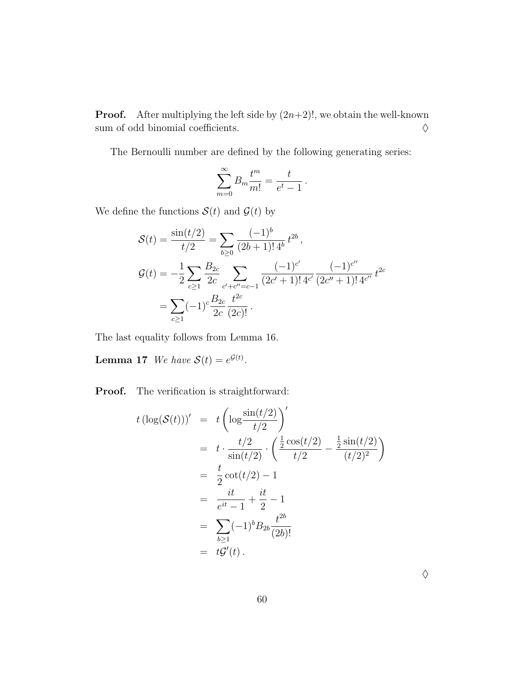**Proof.** After multiplying the left side by  $(2n+2)!$ , we obtain the well-known sum of odd binomial coefficients.  $\Diamond$ 

The Bernoulli number are defined by the following generating series:

$$
\sum_{m=0}^{\infty} B_m \frac{t^m}{m!} = \frac{t}{e^t - 1}.
$$

We define the functions  $S(t)$  and  $G(t)$  by

$$
\mathcal{S}(t) = \frac{\sin(t/2)}{t/2} = \sum_{b \ge 0} \frac{(-1)^b}{(2b+1)! \, 4^b} \, t^{2b},
$$
  

$$
\mathcal{G}(t) = -\frac{1}{2} \sum_{c \ge 1} \frac{B_{2c}}{2c} \sum_{c' + c'' = c - 1} \frac{(-1)^{c'}}{(2c' + 1)! \, 4^{c'}} \frac{(-1)^{c''}}{(2c'' + 1)! \, 4^{c''}} \, t^{2c}
$$

$$
= \sum_{c \ge 1} (-1)^c \frac{B_{2c}}{2c} \frac{t^{2c}}{(2c)!}.
$$

The last equality follows from Lemma 16.

**Lemma 17** We have  $\mathcal{S}(t) = e^{\mathcal{G}(t)}$ .

Proof. The verification is straightforward:

$$
t (\log(S(t)))' = t \left( \log \frac{\sin(t/2)}{t/2} \right)'
$$
  
=  $t \cdot \frac{t/2}{\sin(t/2)} \cdot \left( \frac{\frac{1}{2} \cos(t/2)}{t/2} - \frac{\frac{1}{2} \sin(t/2)}{(t/2)^2} \right)$   
=  $\frac{t}{2} \cot(t/2) - 1$   
=  $\frac{it}{e^{it} - 1} + \frac{it}{2} - 1$   
=  $\sum_{b \ge 1} (-1)^b B_{2b} \frac{t^{2b}}{(2b)!}$   
=  $t\mathcal{G}'(t)$ .

 $\Diamond$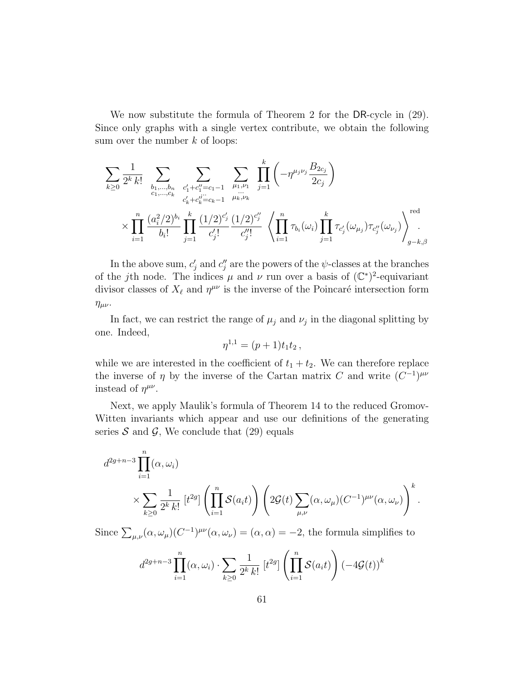We now substitute the formula of Theorem 2 for the DR-cycle in (29). Since only graphs with a single vertex contribute, we obtain the following sum over the number  $k$  of loops:

$$
\sum_{k\geq 0} \frac{1}{2^k k!} \sum_{\substack{b_1,\dots,b_n \\ c_1,\dots,c_k}} \sum_{\substack{c'_1+c''_1=c_1-1 \\ c'_k+c''_k=c_k-1}} \sum_{\substack{\mu_1,\nu_1 \\ \mu_k,\nu_k}} \prod_{j=1}^k \left(-\eta^{\mu_j \nu_j} \frac{B_{2c_j}}{2c_j}\right)
$$
  

$$
\times \prod_{i=1}^n \frac{(a_i^2/2)^{b_i}}{b_i!} \prod_{j=1}^k \frac{(1/2)^{c'_j}}{c'_j!} \frac{(1/2)^{c''_j}}{c''_j!} \left\langle \prod_{i=1}^n \tau_{b_i}(\omega_i) \prod_{j=1}^k \tau_{c'_j}(\omega_{\mu_j}) \tau_{c''_j}(\omega_{\nu_j}) \right\rangle_{g-k,\beta}^{\text{red}}
$$

In the above sum,  $c'_j$  and  $c''_j$  are the powers of the  $\psi$ -classes at the branches of the jth node. The indices  $\mu$  and  $\nu$  run over a basis of  $(\mathbb{C}^*)^2$ -equivariant divisor classes of  $X_{\ell}$  and  $\eta^{\mu\nu}$  is the inverse of the Poincaré intersection form  $\eta_{\mu\nu}$ .

In fact, we can restrict the range of  $\mu_j$  and  $\nu_j$  in the diagonal splitting by one. Indeed,

$$
\eta^{1,1} = (p+1)t_1t_2 \,,
$$

while we are interested in the coefficient of  $t_1 + t_2$ . We can therefore replace the inverse of  $\eta$  by the inverse of the Cartan matrix C and write  $(C^{-1})^{\mu\nu}$ instead of  $\eta^{\mu\nu}$ .

Next, we apply Maulik's formula of Theorem 14 to the reduced Gromov-Witten invariants which appear and use our definitions of the generating series  $S$  and  $\mathcal{G}$ , We conclude that (29) equals

$$
d^{2g+n-3} \prod_{i=1}^{n} (\alpha, \omega_i)
$$
  
\$\times \sum\_{k\geq 0} \frac{1}{2^k k!} [t^{2g}] \left( \prod\_{i=1}^n \mathcal{S}(a\_i t) \right) \left( 2\mathcal{G}(t) \sum\_{\mu,\nu} (\alpha, \omega\_\mu) (C^{-1})^{\mu\nu} (\alpha, \omega\_\nu) \right)^k\$.

Since  $\sum_{\mu,\nu} (\alpha, \omega_{\mu}) (C^{-1})^{\mu\nu} (\alpha, \omega_{\nu}) = (\alpha, \alpha) = -2$ , the formula simplifies to

$$
d^{2g+n-3} \prod_{i=1}^{n} (\alpha, \omega_i) \cdot \sum_{k \ge 0} \frac{1}{2^k k!} [t^{2g}] \left( \prod_{i=1}^{n} \mathcal{S}(a_i t) \right) (-4\mathcal{G}(t))^k
$$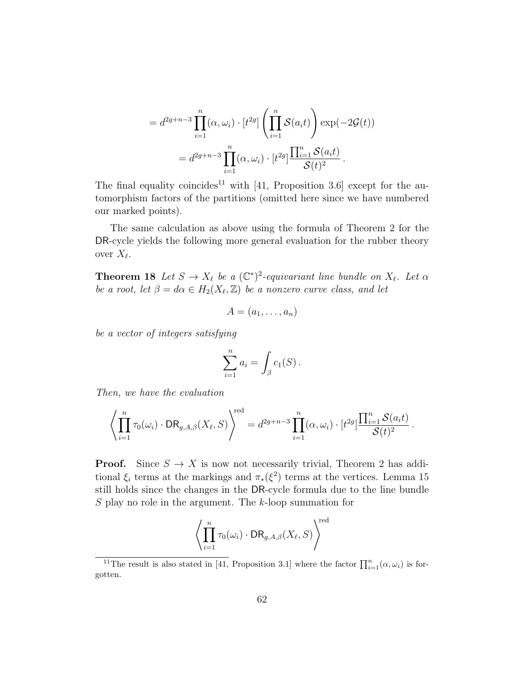$$
=d^{2g+n-3}\prod_{i=1}^n(\alpha,\omega_i)\cdot [t^{2g}]\left(\prod_{i=1}^n\mathcal{S}(a_it)\right)\exp(-2\mathcal{G}(t))
$$

$$
=d^{2g+n-3}\prod_{i=1}^n(\alpha,\omega_i)\cdot [t^{2g}]\frac{\prod_{i=1}^n\mathcal{S}(a_it)}{\mathcal{S}(t)^2}.
$$

The final equality coincides<sup>11</sup> with [41, Proposition 3.6] except for the automorphism factors of the partitions (omitted here since we have numbered our marked points).

The same calculation as above using the formula of Theorem 2 for the DR-cycle yields the following more general evaluation for the rubber theory over  $X_{\ell}$ .

**Theorem 18** Let  $S \to X_{\ell}$  be a  $(\mathbb{C}^*)^2$ -equivariant line bundle on  $X_{\ell}$ . Let  $\alpha$ be a root, let  $\beta = d\alpha \in H_2(X_{\ell}, \mathbb{Z})$  be a nonzero curve class, and let

$$
A=(a_1,\ldots,a_n)
$$

be a vector of integers satisfying

$$
\sum_{i=1}^n a_i = \int_{\beta} c_1(S) .
$$

Then, we have the evaluation

$$
\left\langle \prod_{i=1}^n \tau_0(\omega_i) \cdot \text{DR}_{g,A,\beta}(X_{\ell},S) \right\rangle^{\text{red}} = d^{2g+n-3} \prod_{i=1}^n (\alpha, \omega_i) \cdot [t^{2g}] \frac{\prod_{i=1}^n \mathcal{S}(a_i t)}{\mathcal{S}(t)^2}.
$$

**Proof.** Since  $S \to X$  is now not necessarily trivial, Theorem 2 has additional  $\xi_i$  terms at the markings and  $\pi_*(\xi^2)$  terms at the vertices. Lemma 15 still holds since the changes in the DR-cycle formula due to the line bundle S play no role in the argument. The k-loop summation for

$$
\left\langle \prod_{i=1}^n \tau_0(\omega_i) \cdot \text{DR}_{g,A,\beta}(X_{\ell},S) \right\rangle^{\text{red}}
$$

<sup>&</sup>lt;sup>11</sup>The result is also stated in [41, Proposition 3.1] where the factor  $\prod_{i=1}^{n}(\alpha,\omega_i)$  is forgotten.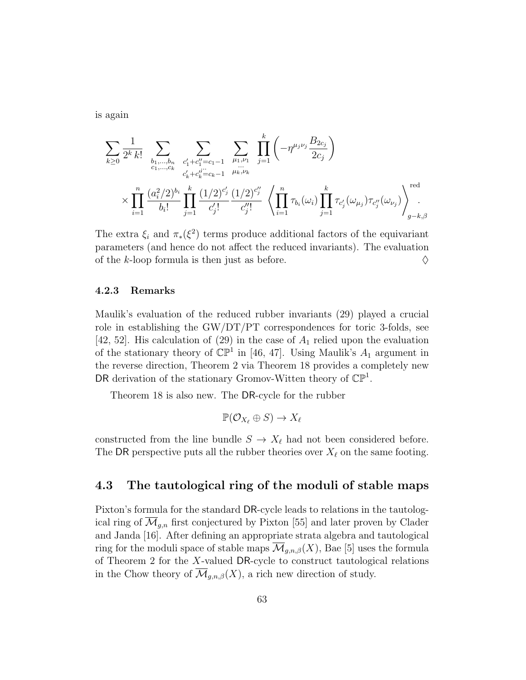is again

$$
\sum_{k\geq 0} \frac{1}{2^k k!} \sum_{\substack{b_1,\dots,b_n \\ c_1,\dots,c_k}} \sum_{\substack{c'_1+c''_1 = c_1-1 \\ c'_k+c''_k = c_k-1}} \sum_{\substack{\mu_1,\nu_1 \\ \mu_k,\nu_k}} \prod_{j=1}^k \left(-\eta^{\mu_j \nu_j} \frac{B_{2c_j}}{2c_j}\right)
$$
  
 
$$
\times \prod_{i=1}^n \frac{(a_i^2/2)^{b_i}}{b_i!} \prod_{j=1}^k \frac{(1/2)^{c'_j}}{c'_j!} \frac{(1/2)^{c''_j}}{c''_j!} \left\langle \prod_{i=1}^n \tau_{b_i}(\omega_i) \prod_{j=1}^k \tau_{c'_j}(\omega_{\mu_j}) \tau_{c''_j}(\omega_{\nu_j}) \right\rangle_{g-k,\beta}^{\text{red}}
$$

The extra  $\xi_i$  and  $\pi_*(\xi^2)$  terms produce additional factors of the equivariant parameters (and hence do not affect the reduced invariants). The evaluation of the k-loop formula is then just as before.  $\Diamond$ 

#### 4.2.3 Remarks

Maulik's evaluation of the reduced rubber invariants (29) played a crucial role in establishing the  $\frac{GW}{DT}/PT$  correspondences for toric 3-folds, see [42, 52]. His calculation of (29) in the case of  $A_1$  relied upon the evaluation of the stationary theory of  $\mathbb{CP}^1$  in [46, 47]. Using Maulik's  $A_1$  argument in the reverse direction, Theorem 2 via Theorem 18 provides a completely new DR derivation of the stationary Gromov-Witten theory of  $\mathbb{CP}^1$ .

Theorem 18 is also new. The DR-cycle for the rubber

$$
\mathbb{P}(\mathcal{O}_{X_{\ell}} \oplus S) \to X_{\ell}
$$

constructed from the line bundle  $S \to X_{\ell}$  had not been considered before. The DR perspective puts all the rubber theories over  $X_\ell$  on the same footing.

#### 4.3 The tautological ring of the moduli of stable maps

Pixton's formula for the standard DR-cycle leads to relations in the tautological ring of  $\mathcal{M}_{g,n}$  first conjectured by Pixton [55] and later proven by Clader and Janda [16]. After defining an appropriate strata algebra and tautological ring for the moduli space of stable maps  $\overline{\mathcal{M}}_{q,n,\beta}(X)$ , Bae [5] uses the formula of Theorem 2 for the X-valued DR-cycle to construct tautological relations in the Chow theory of  $\mathcal{M}_{g,n,\beta}(X)$ , a rich new direction of study.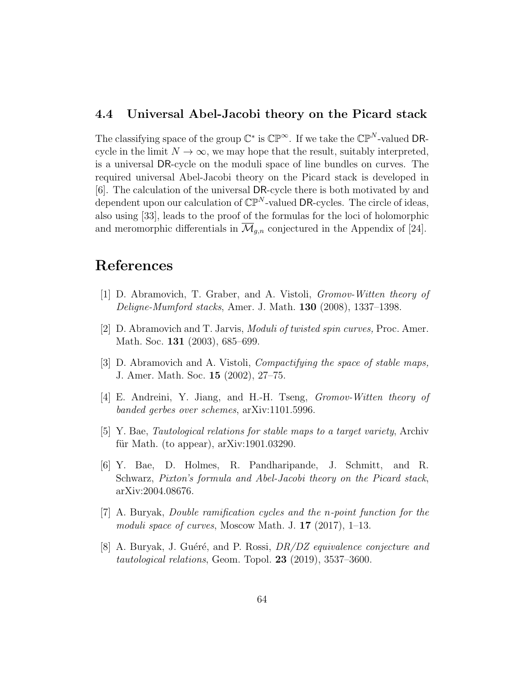#### 4.4 Universal Abel-Jacobi theory on the Picard stack

The classifying space of the group  $\mathbb{C}^*$  is  $\mathbb{CP}^{\infty}$ . If we take the  $\mathbb{CP}^N$ -valued DRcycle in the limit  $N \to \infty$ , we may hope that the result, suitably interpreted. is a universal DR-cycle on the moduli space of line bundles on curves. The required universal Abel-Jacobi theory on the Picard stack is developed in [6]. The calculation of the universal DR-cycle there is both motivated by and dependent upon our calculation of  $\mathbb{CP}^N$ -valued DR-cycles. The circle of ideas, also using [33], leads to the proof of the formulas for the loci of holomorphic and meromorphic differentials in  $\overline{\mathcal{M}}_{q,n}$  conjectured in the Appendix of [24].

# References

- [1] D. Abramovich, T. Graber, and A. Vistoli, Gromov-Witten theory of Deligne-Mumford stacks, Amer. J. Math. 130 (2008), 1337–1398.
- [2] D. Abramovich and T. Jarvis, Moduli of twisted spin curves, Proc. Amer. Math. Soc. 131 (2003), 685–699.
- [3] D. Abramovich and A. Vistoli, Compactifying the space of stable maps, J. Amer. Math. Soc. 15 (2002), 27–75.
- [4] E. Andreini, Y. Jiang, and H.-H. Tseng, Gromov-Witten theory of banded gerbes over schemes, arXiv:1101.5996.
- [5] Y. Bae, Tautological relations for stable maps to a target variety, Archiv für Math. (to appear),  $arXiv:1901.03290$ .
- [6] Y. Bae, D. Holmes, R. Pandharipande, J. Schmitt, and R. Schwarz, Pixton's formula and Abel-Jacobi theory on the Picard stack, arXiv:2004.08676.
- [7] A. Buryak, Double ramification cycles and the n-point function for the moduli space of curves, Moscow Math. J. 17 (2017), 1–13.
- [8] A. Buryak, J. Guéré, and P. Rossi,  $DR/DL$  equivalence conjecture and tautological relations, Geom. Topol. 23 (2019), 3537–3600.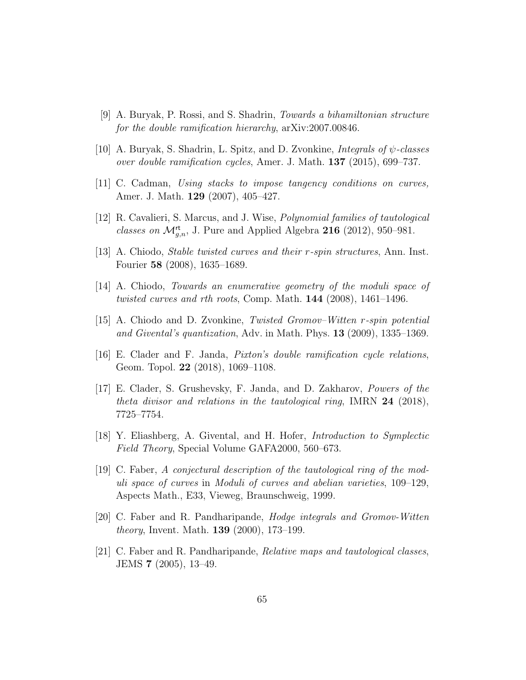- [9] A. Buryak, P. Rossi, and S. Shadrin, Towards a bihamiltonian structure for the double ramification hierarchy, arXiv:2007.00846.
- [10] A. Buryak, S. Shadrin, L. Spitz, and D. Zvonkine, *Integrals of*  $\psi$ *-classes* over double ramification cycles, Amer. J. Math.  $137$  (2015), 699–737.
- [11] C. Cadman, Using stacks to impose tangency conditions on curves, Amer. J. Math. 129 (2007), 405–427.
- [12] R. Cavalieri, S. Marcus, and J. Wise, Polynomial families of tautological classes on  $\mathcal{M}_{g,n}^{\mathsf{rt}}$ , J. Pure and Applied Algebra 216 (2012), 950–981.
- [13] A. Chiodo, Stable twisted curves and their r-spin structures, Ann. Inst. Fourier 58 (2008), 1635–1689.
- [14] A. Chiodo, Towards an enumerative geometry of the moduli space of twisted curves and rth roots, Comp. Math. 144 (2008), 1461–1496.
- [15] A. Chiodo and D. Zvonkine, Twisted Gromov–Witten r-spin potential and Givental's quantization, Adv. in Math. Phys. 13 (2009), 1335–1369.
- [16] E. Clader and F. Janda, Pixton's double ramification cycle relations, Geom. Topol. 22 (2018), 1069–1108.
- [17] E. Clader, S. Grushevsky, F. Janda, and D. Zakharov, Powers of the theta divisor and relations in the tautological ring, IMRN  $24$  (2018), 7725–7754.
- [18] Y. Eliashberg, A. Givental, and H. Hofer, Introduction to Symplectic Field Theory, Special Volume GAFA2000, 560–673.
- [19] C. Faber, A conjectural description of the tautological ring of the moduli space of curves in Moduli of curves and abelian varieties, 109–129, Aspects Math., E33, Vieweg, Braunschweig, 1999.
- [20] C. Faber and R. Pandharipande, Hodge integrals and Gromov-Witten theory, Invent. Math. 139 (2000), 173–199.
- [21] C. Faber and R. Pandharipande, Relative maps and tautological classes, JEMS 7 (2005), 13–49.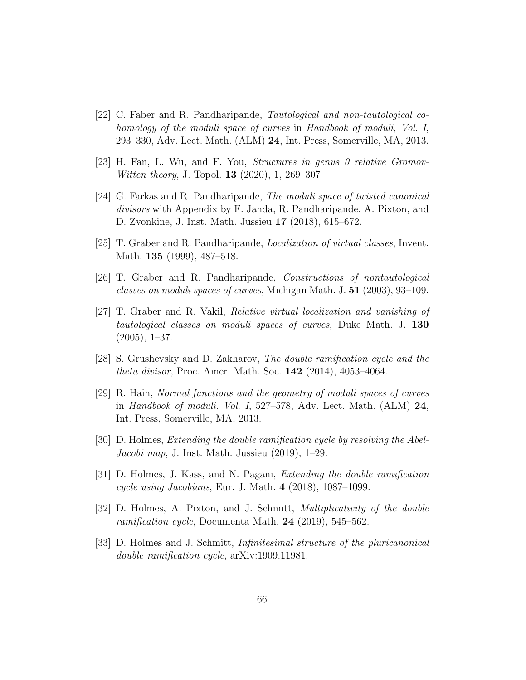- [22] C. Faber and R. Pandharipande, Tautological and non-tautological cohomology of the moduli space of curves in Handbook of moduli, Vol. I, 293–330, Adv. Lect. Math. (ALM) 24, Int. Press, Somerville, MA, 2013.
- [23] H. Fan, L. Wu, and F. You, *Structures in genus 0 relative Gromov*-Witten theory, J. Topol. 13 (2020), 1, 269–307
- [24] G. Farkas and R. Pandharipande, The moduli space of twisted canonical divisors with Appendix by F. Janda, R. Pandharipande, A. Pixton, and D. Zvonkine, J. Inst. Math. Jussieu 17 (2018), 615–672.
- [25] T. Graber and R. Pandharipande, Localization of virtual classes, Invent. Math. **135** (1999), 487–518.
- [26] T. Graber and R. Pandharipande, Constructions of nontautological classes on moduli spaces of curves, Michigan Math. J. 51 (2003), 93–109.
- [27] T. Graber and R. Vakil, Relative virtual localization and vanishing of tautological classes on moduli spaces of curves, Duke Math. J. 130  $(2005), 1-37.$
- [28] S. Grushevsky and D. Zakharov, The double ramification cycle and the theta divisor, Proc. Amer. Math. Soc. 142 (2014), 4053–4064.
- [29] R. Hain, Normal functions and the geometry of moduli spaces of curves in Handbook of moduli. Vol. I, 527–578, Adv. Lect. Math. (ALM) 24, Int. Press, Somerville, MA, 2013.
- [30] D. Holmes, Extending the double ramification cycle by resolving the Abel-Jacobi map, J. Inst. Math. Jussieu (2019), 1–29.
- [31] D. Holmes, J. Kass, and N. Pagani, Extending the double ramification cycle using Jacobians, Eur. J. Math. 4 (2018), 1087–1099.
- [32] D. Holmes, A. Pixton, and J. Schmitt, Multiplicativity of the double ramification cycle, Documenta Math. 24 (2019), 545–562.
- [33] D. Holmes and J. Schmitt, Infinitesimal structure of the pluricanonical double ramification cycle, arXiv:1909.11981.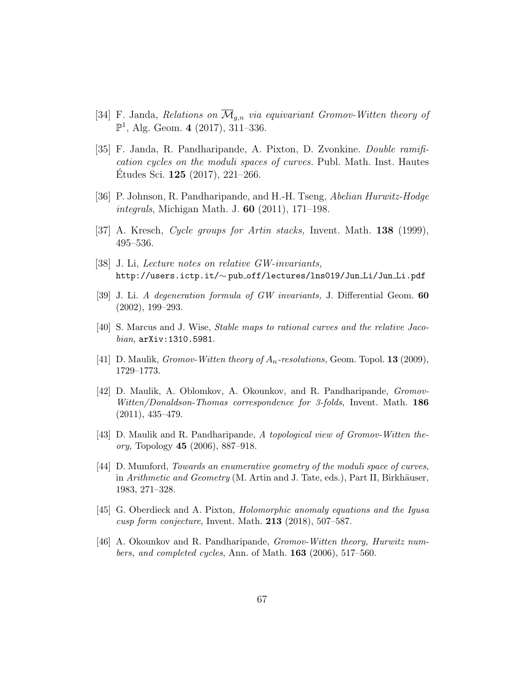- [34] F. Janda, Relations on  $\overline{\mathcal{M}}_{q,n}$  via equivariant Gromov-Witten theory of  $\mathbb{P}^1$ , Alg. Geom. 4 (2017), 311-336.
- [35] F. Janda, R. Pandharipande, A. Pixton, D. Zvonkine. Double ramification cycles on the moduli spaces of curves. Publ. Math. Inst. Hautes Etudes Sci.  $125$  (2017), 221–266.
- [36] P. Johnson, R. Pandharipande, and H.-H. Tseng, Abelian Hurwitz-Hodge integrals, Michigan Math. J. 60 (2011), 171–198.
- [37] A. Kresch, Cycle groups for Artin stacks, Invent. Math. 138 (1999), 495–536.
- [38] J. Li, Lecture notes on relative GW-invariants, http://users.ictp.it/∼ pub off/lectures/lns019/Jun Li/Jun Li.pdf
- [39] J. Li. A degeneration formula of GW invariants, J. Differential Geom. 60 (2002), 199–293.
- [40] S. Marcus and J. Wise, Stable maps to rational curves and the relative Jacobian, arXiv:1310.5981.
- [41] D. Maulik, Gromov-Witten theory of  $A_n$ -resolutions, Geom. Topol. 13 (2009), 1729–1773.
- [42] D. Maulik, A. Oblomkov, A. Okounkov, and R. Pandharipande, Gromov-Witten/Donaldson-Thomas correspondence for 3-folds, Invent. Math. 186 (2011), 435–479.
- [43] D. Maulik and R. Pandharipande, A topological view of Gromov-Witten theory, Topology 45 (2006), 887–918.
- [44] D. Mumford, Towards an enumerative geometry of the moduli space of curves, in Arithmetic and Geometry (M. Artin and J. Tate, eds.), Part II, Birkhäuser, 1983, 271–328.
- [45] G. Oberdieck and A. Pixton, Holomorphic anomaly equations and the Igusa cusp form conjecture, Invent. Math. 213 (2018), 507–587.
- [46] A. Okounkov and R. Pandharipande, Gromov-Witten theory, Hurwitz numbers, and completed cycles, Ann. of Math.  $163$  (2006), 517–560.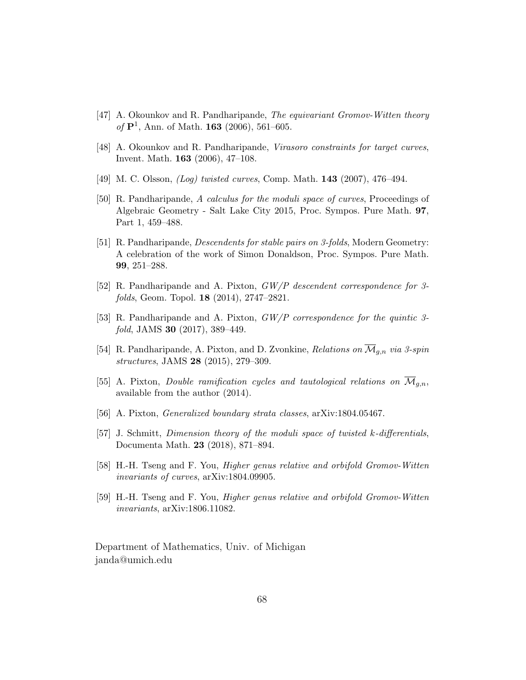- [47] A. Okounkov and R. Pandharipande, The equivariant Gromov-Witten theory of  ${\bf P}^1$ , Ann. of Math. 163 (2006), 561–605.
- [48] A. Okounkov and R. Pandharipande, Virasoro constraints for target curves, Invent. Math. 163 (2006), 47–108.
- [49] M. C. Olsson, *(Log) twisted curves*, Comp. Math. **143** (2007), 476–494.
- [50] R. Pandharipande, A calculus for the moduli space of curves, Proceedings of Algebraic Geometry - Salt Lake City 2015, Proc. Sympos. Pure Math. 97, Part 1, 459–488.
- [51] R. Pandharipande, Descendents for stable pairs on 3-folds, Modern Geometry: A celebration of the work of Simon Donaldson, Proc. Sympos. Pure Math. 99, 251–288.
- [52] R. Pandharipande and A. Pixton, GW/P descendent correspondence for 3 folds, Geom. Topol. 18 (2014), 2747–2821.
- [53] R. Pandharipande and A. Pixton, GW/P correspondence for the quintic 3 fold, JAMS **30** (2017), 389-449.
- [54] R. Pandharipande, A. Pixton, and D. Zvonkine, Relations on  $\mathcal{M}_{q,n}$  via 3-spin structures, JAMS 28 (2015), 279–309.
- [55] A. Pixton, Double ramification cycles and tautological relations on  $\overline{\mathcal{M}}_{q,n}$ , available from the author (2014).
- [56] A. Pixton, Generalized boundary strata classes, arXiv:1804.05467.
- [57] J. Schmitt, Dimension theory of the moduli space of twisted k-differentials, Documenta Math. 23 (2018), 871–894.
- [58] H.-H. Tseng and F. You, Higher genus relative and orbifold Gromov-Witten invariants of curves, arXiv:1804.09905.
- [59] H.-H. Tseng and F. You, Higher genus relative and orbifold Gromov-Witten invariants, arXiv:1806.11082.

Department of Mathematics, Univ. of Michigan janda@umich.edu